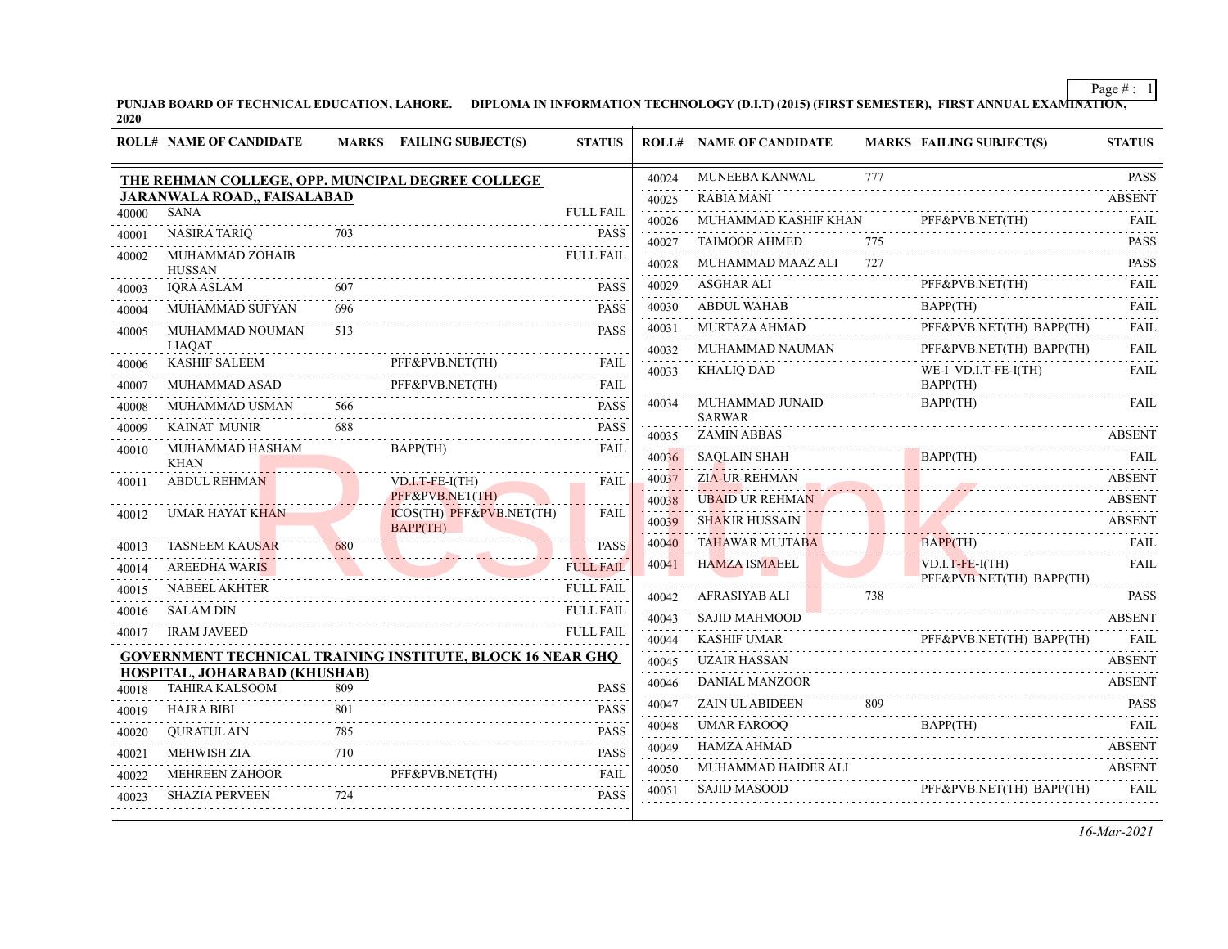PUNJAB BOARD OF TECHNICAL EDUCATION, LAHORE. DIPLOMA IN INFORMATION TECHNOLOGY (D.I.T) (2015) (FIRST SEMESTER), FIRST ANNUAL EXAMI<del>NATION,</del><br>2020

|                | <b>ROLL# NAME OF CANDIDATE</b>                   |     | MARKS FAILING SUBJECT(S)                                          | <b>STATUS</b>              |                | <b>ROLL# NAME OF CANDIDATE</b>      |          | <b>MARKS FAILING SUBJECT(S)</b>               | <b>STATUS</b>    |
|----------------|--------------------------------------------------|-----|-------------------------------------------------------------------|----------------------------|----------------|-------------------------------------|----------|-----------------------------------------------|------------------|
|                | THE REHMAN COLLEGE, OPP. MUNCIPAL DEGREE COLLEGE |     |                                                                   |                            | 40024          | MUNEEBA KANWAL                      | 777<br>. |                                               | <b>PASS</b><br>. |
|                | <b>JARANWALA ROAD,, FAISALABAD</b>               |     |                                                                   |                            | 40025          | <b>RABIA MANI</b>                   |          |                                               | <b>ABSENT</b>    |
| 40000          | <b>SANA</b>                                      |     |                                                                   | <b>FULL FAIL</b>           | 40026          | MUHAMMAD KASHIF KHAN                |          | PFF&PVB.NET(TH)                               | FAIL.            |
| 40001          | <b>NASIRA TARIO</b>                              | 703 |                                                                   | <b>PASS</b>                | 40027          | <b>TAIMOOR AHMED</b>                | 775<br>. |                                               | <b>PASS</b>      |
| 40002          | MUHAMMAD ZOHAIB<br><b>HUSSAN</b>                 |     |                                                                   | <b>FULL FAIL</b>           | 40028          | MUHAMMAD MAAZ ALI                   | 727      |                                               | <b>PASS</b>      |
| 40003          | <b>IQRA ASLAM</b>                                | 607 |                                                                   | <b>PASS</b>                | 40029          | ASGHAR ALI                          |          | PFF&PVB.NET(TH)                               | <b>FAIL</b><br>. |
| 40004          | MUHAMMAD SUFYAN                                  | 696 |                                                                   | <b>PASS</b>                | 40030          | <b>ABDUL WAHAB</b>                  |          | BAPP(TH)                                      | <b>FAIL</b>      |
| 40005          | MUHAMMAD NOUMAN                                  | 513 |                                                                   | <b>PASS</b>                | 40031          | MURTAZA AHMAD                       |          | PFF&PVB.NET(TH) BAPP(TH)                      | <b>FAIL</b>      |
|                | <b>LIAOAT</b>                                    |     |                                                                   |                            | 40032          | MUHAMMAD NAUMAN                     |          | PFF&PVB.NET(TH) BAPP(TH)                      | <b>FAIL</b>      |
| 40006<br>40007 | <b>KASHIF SALEEM</b><br>MUHAMMAD ASAD            |     | PFF&PVB.NET(TH)<br>PFF&PVB.NET(TH)                                | <b>FAIL</b><br><b>FAIL</b> | 40033          | <b>KHALIO DAD</b>                   |          | WE-I VD.I.T-FE-I(TH)<br>BAPP(TH)              | <b>FAIL</b>      |
| 40008          | MUHAMMAD USMAN                                   | 566 |                                                                   | <b>PASS</b>                | 40034          | MUHAMMAD JUNAID                     |          | BAPP(TH)                                      | FAIL             |
| 40009          | <b>KAINAT MUNIR</b>                              | 688 |                                                                   | <b>PASS</b>                |                | <b>SARWAR</b><br><b>ZAMIN ABBAS</b> |          |                                               | <b>ABSENT</b>    |
| 40010          | MUHAMMAD HASHAM                                  |     | BAPP(TH)                                                          | <b>FAIL</b>                | 40035<br>40036 | <b>SAQLAIN SHAH</b>                 |          | BAPP(TH)                                      | FAIL             |
|                | <b>KHAN</b>                                      |     |                                                                   |                            | 40037          | ZIA-UR-REHMAN                       |          |                                               | <b>ABSENT</b>    |
| 40011          | <b>ABDUL REHMAN</b>                              |     | $VD.I.T-FE-I(TH)$<br>PFF&PVB.NET(TH)                              | <b>FAIL</b>                | 40038          | <b>UBAID UR REHMAN</b>              |          |                                               | <b>ABSENT</b>    |
| 40012          | <b>UMAR HAYAT KHAN</b>                           |     | ICOS(TH) PFF&PVB.NET(TH)<br>BAPP(TH)                              | <b>FAIL</b>                | 40039          | <b>SHAKIR HUSSAIN</b>               |          |                                               | <b>ABSENT</b>    |
| 40013          | <b>TASNEEM KAUSAR</b>                            | 680 |                                                                   | <b>PASS</b>                | 40040          | <b>TAHAWAR MUJTABA</b>              |          | BAPP(TH)                                      | <b>FAIL</b>      |
| 40014          | <b>AREEDHA WARIS</b>                             |     |                                                                   | <b>FULL FAIL</b>           | 40041          | <b>HAMZA ISMAEEL</b>                |          | $VD.I.T-FE-I(TH)$<br>PFF&PVB.NET(TH) BAPP(TH) | .<br><b>FAIL</b> |
| 40015          | <b>NABEEL AKHTER</b>                             |     |                                                                   | <b>FULL FAIL</b>           | 40042          | AFRASIYAB ALI                       | 738      |                                               | <b>PASS</b>      |
| 40016          | <b>SALAM DIN</b>                                 |     |                                                                   | <b>FULL FAIL</b>           | 40043          | SAJID MAHMOOD                       |          |                                               | <b>ABSENT</b>    |
| 40017          | <b>IRAM JAVEED</b>                               |     |                                                                   | <b>FULL FAIL</b>           | 40044          | <b>KASHIF UMAR</b>                  |          | PFF&PVB.NET(TH) BAPP(TH)                      | FAII.            |
|                |                                                  |     | <b>GOVERNMENT TECHNICAL TRAINING INSTITUTE, BLOCK 16 NEAR GHQ</b> |                            | 40045          | <b>UZAIR HASSAN</b>                 |          |                                               | <b>ABSENT</b>    |
|                | HOSPITAL, JOHARABAD (KHUSHAB)                    | 809 |                                                                   | <b>PASS</b>                | .<br>40046     | <b>DANIAL MANZOOR</b>               |          |                                               | <b>ABSENT</b>    |
| 40018          | <b>TAHIRA KALSOOM</b>                            | 801 |                                                                   |                            | 40047          | <b>ZAIN UL ABIDEEN</b>              | 809      |                                               | <b>PASS</b>      |
| 40019          | HAJRA BIBI                                       | 785 |                                                                   | <b>PASS</b>                | 40048          | <b>UMAR FAROOQ</b>                  |          | BAPP(TH)                                      | <b>FAIL</b>      |
| 40020          | <b>OURATUL AIN</b>                               | .   |                                                                   | <b>PASS</b>                | 40049          | HAMZA AHMAD                         |          |                                               | <b>ABSENT</b>    |
| 40021          | <b>MEHWISH ZIA</b>                               | 710 | PFF&PVB.NET(TH)                                                   | <b>PASS</b><br><b>FAIL</b> | 40050          | MUHAMMAD HAIDER ALI                 |          |                                               | <b>ABSENT</b>    |
| 40022          | <b>MEHREEN ZAHOOR</b>                            | 724 |                                                                   |                            | 40051          | <b>SAJID MASOOD</b>                 |          | PFF&PVB.NET(TH) BAPP(TH)                      | <b>FAIL</b>      |
| 40023          | <b>SHAZIA PERVEEN</b>                            |     |                                                                   | <b>PASS</b>                |                |                                     |          |                                               |                  |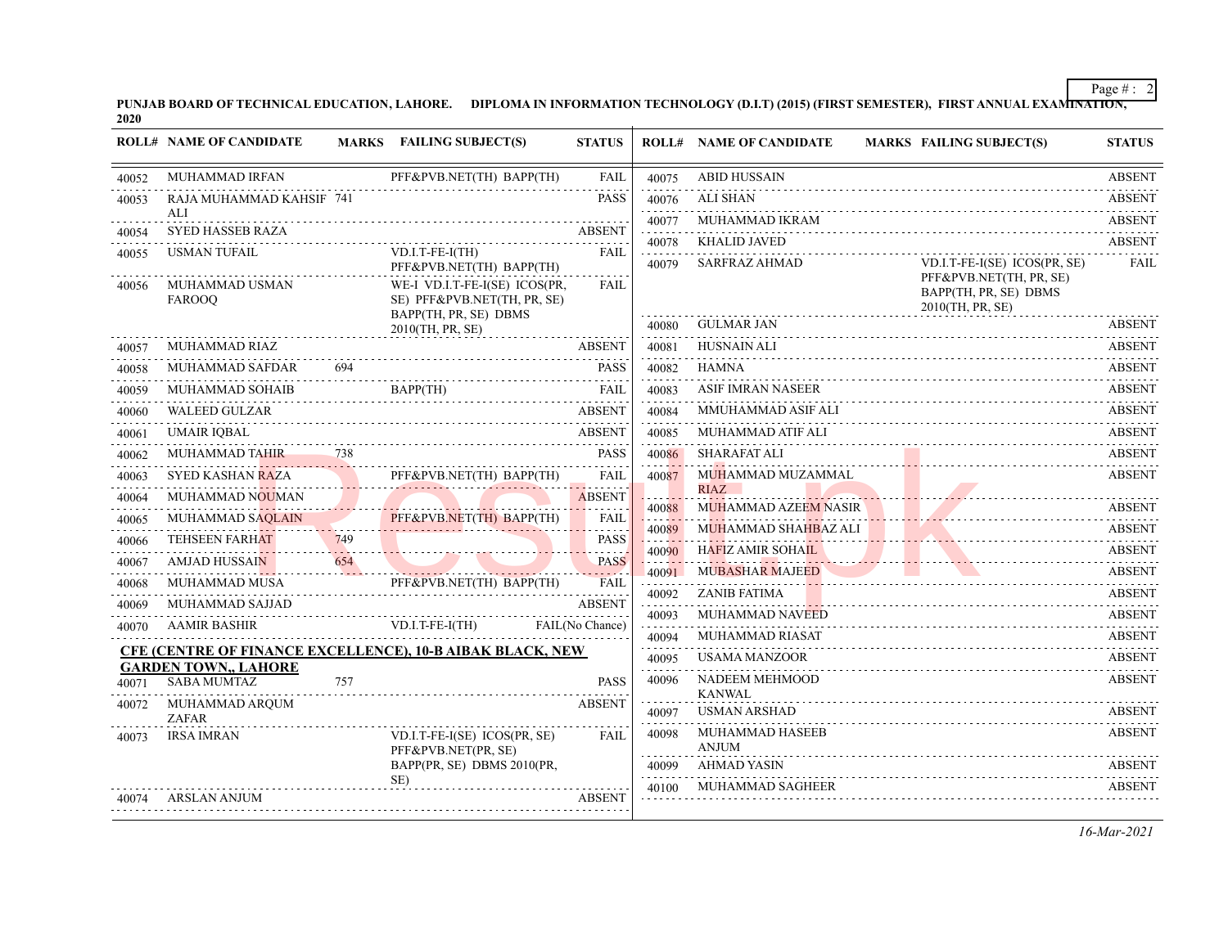PUNJAB BOARD OF TECHNICAL EDUCATION, LAHORE. DIPLOMA IN INFORMATION TECHNOLOGY (D.I.T) (2015) (FIRST SEMESTER), FIRST ANNUAL EXAMI<del>NATION,</del><br>2020

|       | <b>ROLL# NAME OF CANDIDATE</b>                                                                           |     | MARKS FAILING SUBJECT(S)                                                              | <b>STATUS</b>               |                     | <b>ROLL# NAME OF CANDIDATE</b>             | <b>MARKS FAILING SUBJECT(S)</b>                                      | <b>STATUS</b>      |
|-------|----------------------------------------------------------------------------------------------------------|-----|---------------------------------------------------------------------------------------|-----------------------------|---------------------|--------------------------------------------|----------------------------------------------------------------------|--------------------|
| 40052 | <b>MUHAMMAD IRFAN</b>                                                                                    |     | PFF&PVB.NET(TH) BAPP(TH)                                                              | <b>FAIL</b>                 | 40075               | <b>ABID HUSSAIN</b>                        |                                                                      | <b>ABSENT</b><br>. |
| 40053 | RAJA MUHAMMAD KAHSIF 741                                                                                 |     |                                                                                       | <b>PASS</b>                 | 40076               | <b>ALI SHAN</b>                            |                                                                      | <b>ABSENT</b>      |
| 40054 | ALI<br><b>SYED HASSEB RAZA</b>                                                                           |     |                                                                                       | <b>ABSENT</b>               | 40077               | MUHAMMAD IKRAM                             |                                                                      | <b>ABSENT</b>      |
| 40055 | <b>USMAN TUFAIL</b>                                                                                      |     | VD.I.T-FE-I(TH)                                                                       | <b>FAIL</b>                 | 40078               | <b>KHALID JAVED</b>                        |                                                                      | <b>ABSENT</b><br>. |
|       |                                                                                                          |     | PFF&PVB.NET(TH) BAPP(TH)                                                              |                             | 40079               | <b>SARFRAZ AHMAD</b>                       | VD.I.T-FE-I(SE) ICOS(PR, SE)                                         | FAIL               |
| 40056 | MUHAMMAD USMAN<br><b>FAROOO</b>                                                                          |     | WE-I VD.I.T-FE-I(SE) ICOS(PR,<br>SE) PFF&PVB.NET(TH, PR, SE)<br>BAPP(TH, PR, SE) DBMS | FAIL                        |                     |                                            | PFF&PVB.NET(TH, PR, SE)<br>BAPP(TH, PR, SE) DBMS<br>2010(TH, PR, SE) |                    |
|       |                                                                                                          |     | 2010(TH, PR, SE)                                                                      |                             | 40080               | <b>GULMAR JAN</b>                          |                                                                      | <b>ABSENT</b>      |
| 40057 | MUHAMMAD RIAZ                                                                                            |     |                                                                                       | <b>ABSENT</b>               | 40081               | HUSNAIN ALI                                |                                                                      | <b>ABSENT</b>      |
| 40058 | MUHAMMAD SAFDAR                                                                                          | 694 |                                                                                       | <b>PASS</b>                 | 40082               | HAMNA                                      |                                                                      | <b>ABSENT</b>      |
| 40059 | MUHAMMAD SOHAIB                                                                                          |     | BAPP(TH)                                                                              | FAII.                       | 40083               | <b>ASIF IMRAN NASEER</b>                   |                                                                      | <b>ABSENT</b>      |
| 40060 | <b>WALEED GULZAR</b>                                                                                     |     |                                                                                       | <b>ABSENT</b>               | 40084               | MMUHAMMAD ASIF ALI                         |                                                                      | <b>ABSENT</b>      |
| 40061 | <b>UMAIR IOBAL</b>                                                                                       |     |                                                                                       | <b>ABSENT</b>               | 40085               | MUHAMMAD ATIF ALI                          |                                                                      | <b>ABSENT</b>      |
| 40062 |                                                                                                          |     | MUHAMMAD TAHIR 738                                                                    | <b>PASS</b>                 | 40086               | SHARAFAT ALI                               |                                                                      | <b>ABSENT</b>      |
| 40063 | <b>SYED KASHAN RAZA</b>                                                                                  |     | PFF&PVB.NET(TH) BAPP(TH)                                                              | <b>FAIL</b>                 | 40087               | MUHAMMAD MUZAMMAL                          |                                                                      | <b>ABSENT</b>      |
| 40064 | MUHAMMAD NOUMAN                                                                                          |     |                                                                                       | <b>ABSENT</b>               | 40088               | <b>RIAZ</b><br><b>MUHAMMAD AZEEM NASIR</b> |                                                                      | <b>ABSENT</b>      |
| 40065 | MUHAMMAD SAQLAIN                                                                                         |     | PFF&PVB.NET(TH) BAPP(TH)                                                              | <b>FAIL</b><br>.            | 40089               | MUHAMMAD SHAHBAZ ALI                       |                                                                      | <b>ABSENT</b>      |
| 40066 | <b>TEHSEEN FARHAT</b><br>the contract of the contract of the contract of the contract of the contract of | 749 | <u> 1988 - John Leon, John Leon, John Leon, John Leo</u>                              | <b>PASS</b><br>$-1 - 1 - 1$ | 40090               | <b>HAFIZ AMIR SOHAIL</b>                   | ABSENT                                                               | <b>ABSENT</b>      |
| 40067 | <b>AMJAD HUSSAIN</b>                                                                                     | 654 |                                                                                       | <b>PASS</b><br>د د د د د    | 40091               | <b>MUBASHAR MAJEED</b>                     | HAFIZ AMIR SOHAIL ARSENT<br><b>The Contract of Street</b>            | <b>ABSENT</b>      |
| 40068 | MUHAMMAD MUSA                                                                                            |     | PFF&PVB.NET(TH) BAPP(TH)                                                              | <b>FAIL</b>                 | 40092               | ZANIB FATIMA                               |                                                                      | <b>ABSENT</b>      |
| 40069 | MUHAMMAD SAJJAD                                                                                          |     |                                                                                       | <b>ABSENT</b>               | 40093               | MUHAMMAD NAVEED                            |                                                                      | ABSENT             |
| 40070 | <b>AAMIR BASHIR</b>                                                                                      |     | $VD.I.T-FE-I(TH)$                                                                     | FAIL(No Chance)             |                     | MUHAMMAD RIASAT                            |                                                                      | <b>ABSENT</b>      |
|       |                                                                                                          |     | <b>CFE (CENTRE OF FINANCE EXCELLENCE), 10-B AIBAK BLACK, NEW</b>                      |                             | 40094<br>.<br>40095 | <b>USAMA MANZOOR</b>                       |                                                                      | <b>ABSENT</b>      |
|       | <b>GARDEN TOWN., LAHORE</b>                                                                              |     |                                                                                       |                             |                     |                                            |                                                                      |                    |
| 40071 | <b>SABA MUMTAZ</b>                                                                                       | 757 |                                                                                       | <b>PASS</b>                 | 40096               | NADEEM MEHMOOD<br><b>KANWAL</b>            |                                                                      | <b>ABSENT</b>      |
| 40072 | MUHAMMAD ARQUM<br><b>ZAFAR</b>                                                                           |     |                                                                                       | <b>ABSENT</b>               | 40097               | USMAN ARSHAD                               |                                                                      | <b>ABSENT</b>      |
| 40073 | <b>IRSA IMRAN</b>                                                                                        |     | VD.I.T-FE-I(SE) ICOS(PR, SE)<br>PFF&PVB.NET(PR, SE)                                   | <b>FAIL</b>                 | 40098               | MUHAMMAD HASEEB<br><b>ANJUM</b>            |                                                                      | <b>ABSENT</b>      |
|       |                                                                                                          |     | BAPP(PR, SE) DBMS 2010(PR,                                                            |                             | 40099               | <b>AHMAD YASIN</b>                         |                                                                      | <b>ABSENT</b>      |
| 40074 | ARSLAN ANJUM                                                                                             |     | $SE$ )                                                                                | <b>ABSENT</b>               | 40100               | MUHAMMAD SAGHEER                           |                                                                      | <b>ABSENT</b>      |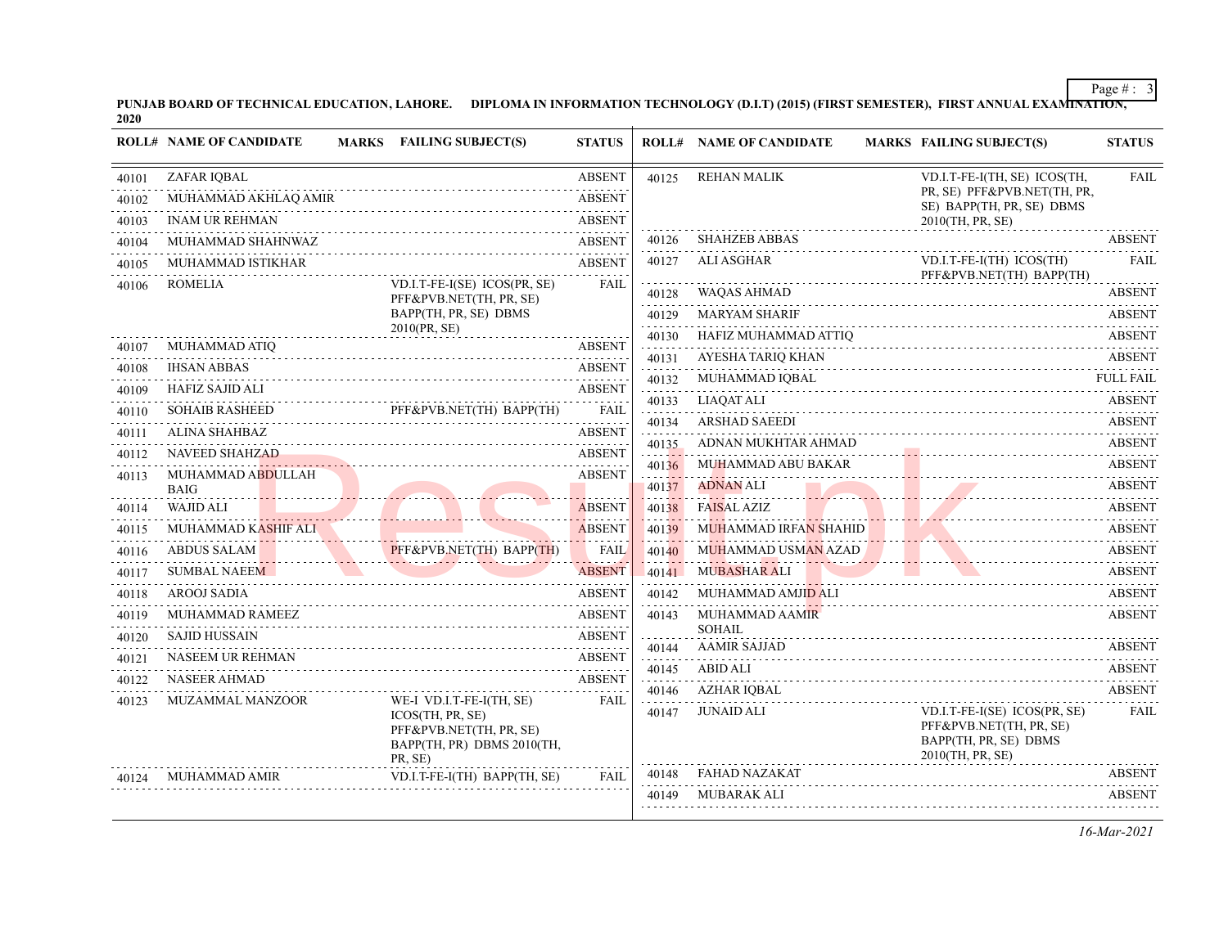PUNJAB BOARD OF TECHNICAL EDUCATION, LAHORE. DIPLOMA IN INFORMATION TECHNOLOGY (D.I.T) (2015) (FIRST SEMESTER), FIRST ANNUAL EXAMI<del>NATION,</del><br>2020

|       | <b>ROLL# NAME OF CANDIDATE</b>   | <b>MARKS</b> FAILING SUBJECT(S)                                                                                      | <b>STATUS</b> |                                   | <b>ROLL# NAME OF CANDIDATE</b>                            | <b>MARKS FAILING SUBJECT(S)</b>                                                                                        | <b>STATUS</b>      |
|-------|----------------------------------|----------------------------------------------------------------------------------------------------------------------|---------------|-----------------------------------|-----------------------------------------------------------|------------------------------------------------------------------------------------------------------------------------|--------------------|
| 40101 | ZAFAR IQBAL                      |                                                                                                                      | <b>ABSENT</b> | 40125                             | <b>REHAN MALIK</b>                                        | VD.I.T-FE-I(TH, SE) ICOS(TH,                                                                                           | FAIL               |
| 40102 | MUHAMMAD AKHLAQ AMIR             |                                                                                                                      | <b>ABSENT</b> |                                   |                                                           | PR, SE) PFF&PVB.NET(TH, PR,<br>SE) BAPP(TH, PR, SE) DBMS                                                               |                    |
| 40103 | <b>INAM UR REHMAN</b>            |                                                                                                                      | <b>ABSENT</b> |                                   |                                                           | 2010(TH, PR, SE)                                                                                                       |                    |
| 40104 | MUHAMMAD SHAHNWAZ                |                                                                                                                      | <b>ABSENT</b> | 40126                             | <b>SHAHZEB ABBAS</b>                                      |                                                                                                                        | <b>ABSENT</b>      |
| 40105 | MUHAMMAD ISTIKHAR                |                                                                                                                      | <b>ABSENT</b> | 40127                             | ALI ASGHAR                                                | VD.I.T-FE-I(TH) ICOS(TH)                                                                                               | <b>FAIL</b>        |
| 40106 | ROMELIA                          | VD.I.T-FE-I(SE) ICOS(PR, SE)                                                                                         | <b>FAIL</b>   | 40128                             | <b>WAQAS AHMAD</b>                                        | PFF&PVB.NET(TH) BAPP(TH)                                                                                               | <b>ABSENT</b>      |
|       |                                  | PFF&PVB.NET(TH, PR, SE)<br>BAPP(TH, PR, SE) DBMS                                                                     |               | 40129                             | <b>MARYAM SHARIF</b>                                      |                                                                                                                        | <b>ABSENT</b>      |
|       |                                  | 2010(PR, SE)                                                                                                         |               | 40130                             | HAFIZ MUHAMMAD ATTIQ                                      |                                                                                                                        | <b>ABSENT</b>      |
| 40107 | MUHAMMAD ATIO                    |                                                                                                                      | <b>ABSENT</b> | 40131                             | AYESHA TARIQ KHAN                                         |                                                                                                                        | <b>ABSENT</b>      |
| 40108 | <b>IHSAN ABBAS</b>               |                                                                                                                      | <b>ABSENT</b> | 40132                             | MUHAMMAD IOBAL                                            |                                                                                                                        | <b>FULL FAIL</b>   |
| 40109 | HAFIZ SAJID ALI                  |                                                                                                                      | <b>ABSENT</b> |                                   | 40133 LIAQAT ALI                                          |                                                                                                                        | <b>ABSENT</b>      |
| 40110 | <b>SOHAIB RASHEED</b>            | PFF&PVB.NET(TH) BAPP(TH)                                                                                             | <b>FAIL</b>   | 40134                             | <b>ARSHAD SAEEDI</b>                                      |                                                                                                                        | <b>ABSENT</b>      |
| 40111 | ALINA SHAHBAZ                    |                                                                                                                      | <b>ABSENT</b> | 40135                             | ADNAN MUKHTAR AHMAD                                       |                                                                                                                        | <b>ABSENT</b>      |
| 40112 | <b>NAVEED SHAHZAD</b>            |                                                                                                                      | <b>ABSENT</b> | 40136                             | MUHAMMAD ABU BAKAR                                        |                                                                                                                        | <b>ABSENT</b>      |
| 40113 | MUHAMMAD ABDULLAH<br><b>BAIG</b> |                                                                                                                      | <b>ABSENT</b> | 40137                             | <b>ADNAN ALI</b>                                          |                                                                                                                        | <b>ABSENT</b>      |
| 40114 | WAJID ALI                        |                                                                                                                      | <b>ABSENT</b> | <b>Contract Contract</b><br>40138 | the contract of the contract of the<br><b>FAISAL AZIZ</b> |                                                                                                                        | ABSENT             |
| 40115 | MUHAMMAD KASHIF ALI              |                                                                                                                      | <b>ABSENT</b> | 40139                             | MUHAMMAD IRFA <mark>N SHAHID</mark>                       | the contract of the contract of the contract of the contract of the contract of                                        | <b>ABSENT</b>      |
| 40116 | <b>ABDUS SALAM</b>               | PFF&PVB.NET(TH) BAPP(TH)                                                                                             | <b>FAIL</b>   | 40140                             | MUHAMMAD USMAN AZAD                                       |                                                                                                                        | <b>ABSENT</b>      |
| 40117 | <b>SUMBAL NAEEM</b>              | <u> 1999 - Jan James James Jan James James James James James James James James James James James James James Jam</u> | <b>ABSENT</b> |                                   | . <i>.</i><br>40141 MUBASHAR ALI                          |                                                                                                                        | <b>ABSENT</b>      |
| 40118 | AROOJ SADIA                      |                                                                                                                      | <b>ABSENT</b> | 40142                             | MUHAMMAD AMJID ALI                                        |                                                                                                                        | <b>ABSENT</b>      |
| 40119 | MUHAMMAD RAMEEZ                  |                                                                                                                      | <b>ABSENT</b> | 40143                             | <b>MUHAMMAD AAMIR</b>                                     |                                                                                                                        | <b>ABSENT</b>      |
| 40120 | <b>SAJID HUSSAIN</b>             |                                                                                                                      | <b>ABSENT</b> |                                   | <b>SOHAIL</b>                                             |                                                                                                                        |                    |
| 40121 | <b>NASEEM UR REHMAN</b>          |                                                                                                                      | <b>ABSENT</b> | 40144                             | <b>AAMIR SAJJAD</b>                                       |                                                                                                                        | <b>ABSENT</b>      |
| 40122 | <b>NASEER AHMAD</b>              |                                                                                                                      | <b>ABSENT</b> | 40145                             | <b>ABID ALI</b>                                           |                                                                                                                        | <b>ABSENT</b>      |
| 40123 | <b>MUZAMMAL MANZOOR</b>          | WE-I VD.I.T-FE-I(TH, SE)                                                                                             | <b>FAIL</b>   | 40146                             | <b>AZHAR IOBAL</b>                                        |                                                                                                                        | <b>ABSENT</b>      |
|       |                                  | ICOS(TH, PR, SE)<br>PFF&PVB.NET(TH, PR, SE)<br>BAPP(TH, PR) DBMS 2010(TH,<br>PR, SE)                                 |               | 40147                             | JUNAID ALI                                                | VD.I.T-FE-I(SE) ICOS(PR, SE)<br>PFF&PVB.NET(TH, PR, SE)<br>BAPP(TH, PR, SE) DBMS<br>2010(TH, PR, SE)                   | FAIL               |
| 40124 | <b>MUHAMMAD AMIR</b>             | VD.I.T-FE-I(TH) BAPP(TH, SE)                                                                                         | <b>FAIL</b>   | 40148                             | <b>FAHAD NAZAKAT</b>                                      |                                                                                                                        | <b>ABSENT</b><br>. |
|       |                                  |                                                                                                                      |               | 40149                             | MUBARAK ALI                                               | <u> 1986 - Paul Barbard de Barbard e Barbard e Barbard e Barbard e Barbard e Barbard e Barbard e Barbard e Barbard</u> | <b>ABSENT</b>      |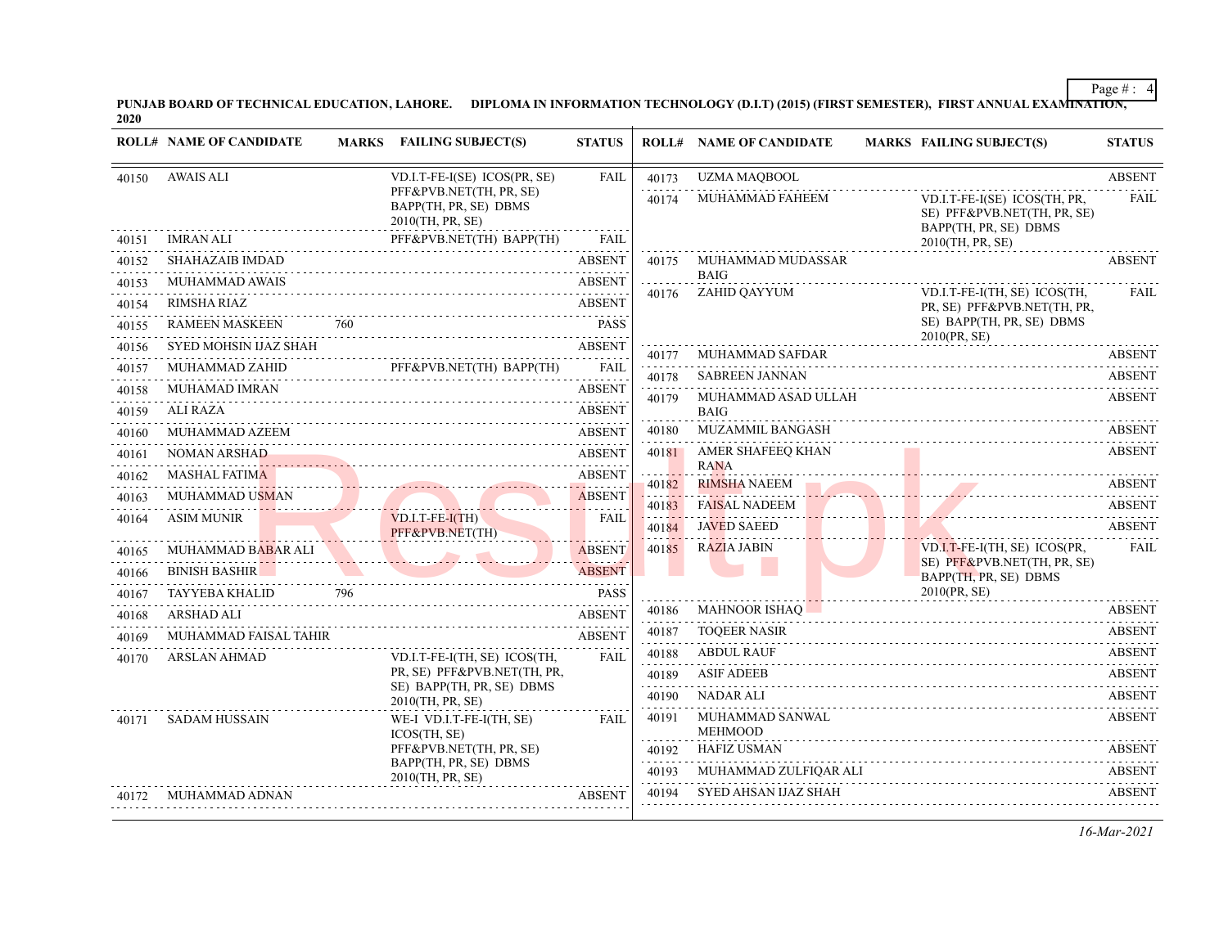PUNJAB BOARD OF TECHNICAL EDUCATION, LAHORE. DIPLOMA IN INFORMATION TECHNOLOGY (D.I.T) (2015) (FIRST SEMESTER), FIRST ANNUAL EXAMI<del>NATION,</del><br>2020

|       | <b>ROLL# NAME OF CANDIDATE</b>           |     | MARKS FAILING SUBJECT(S)                                                                         | <b>STATUS</b>                  |                     | <b>ROLL# NAME OF CANDIDATE</b>         | <b>MARKS FAILING SUBJECT(S)</b>                                                                          | <b>STATUS</b>                  |
|-------|------------------------------------------|-----|--------------------------------------------------------------------------------------------------|--------------------------------|---------------------|----------------------------------------|----------------------------------------------------------------------------------------------------------|--------------------------------|
| 40150 | <b>AWAIS ALI</b>                         |     | VD.I.T-FE-I(SE) ICOS(PR, SE)                                                                     | FAIL                           | 40173               | <b>UZMA MAQBOOL</b>                    |                                                                                                          | <b>ABSENT</b>                  |
| 40151 | <b>IMRAN ALI</b>                         |     | PFF&PVB.NET(TH, PR, SE)<br>BAPP(TH, PR, SE) DBMS<br>2010(TH, PR, SE)<br>PFF&PVB.NET(TH) BAPP(TH) | <b>FAIL</b>                    | 40174               | MUHAMMAD FAHEEM                        | VD.I.T-FE-I(SE) ICOS(TH, PR,<br>SE) PFF&PVB.NET(TH, PR, SE)<br>BAPP(TH, PR, SE) DBMS<br>2010(TH, PR, SE) | <b>FAIL</b>                    |
| 40152 | <b>SHAHAZAIB IMDAD</b>                   |     |                                                                                                  | <b>ABSENT</b>                  | 40175               | MUHAMMAD MUDASSAR                      |                                                                                                          | <b>ABSENT</b>                  |
| 40153 | <b>MUHAMMAD AWAIS</b>                    |     |                                                                                                  | <b>ABSENT</b>                  |                     | <b>BAIG</b>                            |                                                                                                          |                                |
| 40154 | <b>RIMSHA RIAZ</b>                       |     |                                                                                                  | <b>ABSENT</b>                  | 40176               | ZAHID OAYYUM                           | VD.I.T-FE-I(TH, SE) ICOS(TH,<br>PR, SE) PFF&PVB.NET(TH, PR,                                              | <b>FAIL</b>                    |
| 40155 | <b>RAMEEN MASKEEN</b>                    | 760 |                                                                                                  | <b>PASS</b>                    |                     |                                        | SE) BAPP(TH, PR, SE) DBMS<br>2010(PR, SE)                                                                |                                |
| 40156 | SYED MOHSIN IJAZ SHAH                    |     |                                                                                                  | <b>ABSENT</b>                  | 40177               | <b>MUHAMMAD SAFDAR</b>                 |                                                                                                          | <b>ABSENT</b>                  |
| 40157 | MUHAMMAD ZAHID                           |     | PFF&PVB.NET(TH) BAPP(TH)                                                                         | <b>FAIL</b>                    | .<br>40178          | <b>SABREEN JANNAN</b>                  |                                                                                                          | <b>ABSENT</b>                  |
| 40158 | <b>MUHAMAD IMRAN</b>                     |     |                                                                                                  | <b>ABSENT</b>                  | 40179               | MUHAMMAD ASAD ULLAH                    |                                                                                                          | <b>ABSENT</b>                  |
| 40159 | <b>ALI RAZA</b>                          |     |                                                                                                  | <b>ABSENT</b>                  | 40180               | <b>BAIG</b><br><b>MUZAMMIL BANGASH</b> |                                                                                                          | <b>ABSENT</b>                  |
| 40160 | MUHAMMAD AZEEM<br><b>NOMAN ARSHAD</b>    |     |                                                                                                  | <b>ABSENT</b><br><b>ABSENT</b> | 40181               | AMER SHAFEEQ KHAN                      |                                                                                                          | <b>ABSENT</b>                  |
| 40161 | <b>MASHAL FATIMA</b>                     |     |                                                                                                  | <b>ABSENT</b>                  |                     | <b>RANA</b>                            |                                                                                                          |                                |
| 40162 | <b>MUHAMMAD USMAN</b>                    |     |                                                                                                  | <b>ABSENT</b>                  | 40182               | <b>RIMSHA NAEEM</b>                    |                                                                                                          | <b>ABSENT</b>                  |
| 40163 | <b>ASIM MUNIR</b>                        |     | VD.I.T-FE-I(TH)                                                                                  | <b>FAIL</b>                    | 40183               | <b>FAISAL NADEEM</b>                   |                                                                                                          | <b>ABSENT</b>                  |
| 40164 |                                          |     | PFF&PVB.NET(TH)                                                                                  |                                | 40184               | <b>JAVED SAEED</b>                     |                                                                                                          | <b>ABSENT</b><br>.             |
| 40165 | MUHAMMAD BABAR ALI<br><u>Personality</u> |     |                                                                                                  | <b>ABSENT</b>                  | 40185               | <b>RAZIA JABIN</b>                     | VD.I.T-FE-I(TH, SE) ICOS(PR,<br>SE) PFF&PVB.NET(TH, PR, SE)                                              | <b>FAIL</b>                    |
| 40166 | <b>BINISH BASHIR</b>                     |     |                                                                                                  | <b>ABSENT</b>                  |                     |                                        | BAPP(TH, PR, SE) DBMS                                                                                    |                                |
| 40167 | TAYYEBA KHALID                           | 796 |                                                                                                  | <b>PASS</b>                    |                     |                                        | 2010(PR, SE)                                                                                             |                                |
| 40168 | <b>ARSHAD ALI</b>                        |     |                                                                                                  | <b>ABSENT</b>                  | 40186               | <b>MAHNOOR ISHAQ</b>                   |                                                                                                          | <b>ABSENT</b>                  |
| 40169 | MUHAMMAD FAISAL TAHIR                    |     |                                                                                                  | <b>ABSENT</b>                  | 40187               | <b>TOQEER NASIR</b>                    |                                                                                                          | <b>ABSENT</b>                  |
| 40170 | <b>ARSLAN AHMAD</b>                      |     | VD.I.T-FE-I(TH, SE) ICOS(TH,<br>PR, SE) PFF&PVB.NET(TH, PR,                                      | <b>FAIL</b>                    | 40188               | <b>ABDUL RAUF</b>                      |                                                                                                          | <b>ABSENT</b><br><b>ABSENT</b> |
|       |                                          |     | SE) BAPP(TH, PR, SE) DBMS                                                                        |                                | 40189<br>.<br>40190 | ASIF ADEEB<br>NADAR ALI                |                                                                                                          | <b>ABSENT</b>                  |
|       |                                          |     | 2010(TH, PR, SE)                                                                                 |                                | 40191               | MUHAMMAD SANWAL                        |                                                                                                          | <b>ABSENT</b>                  |
| 40171 | <b>SADAM HUSSAIN</b>                     |     | WE-I VD.I.T-FE-I(TH, SE)<br>ICOS(TH. SE)                                                         | <b>FAIL</b>                    |                     | <b>MEHMOOD</b>                         |                                                                                                          |                                |
|       |                                          |     | PFF&PVB.NET(TH, PR, SE)<br>BAPP(TH, PR, SE) DBMS                                                 |                                | 40192               | <b>HAFIZ USMAN</b>                     |                                                                                                          | <b>ABSENT</b>                  |
|       |                                          |     | 2010(TH, PR, SE)                                                                                 |                                | 40193<br>.          | MUHAMMAD ZULFIQAR ALI                  |                                                                                                          | <b>ABSENT</b>                  |
| 40172 | MUHAMMAD ADNAN                           |     |                                                                                                  | <b>ABSENT</b>                  | 40194               | SYED AHSAN IJAZ SHAH                   |                                                                                                          | <b>ABSENT</b>                  |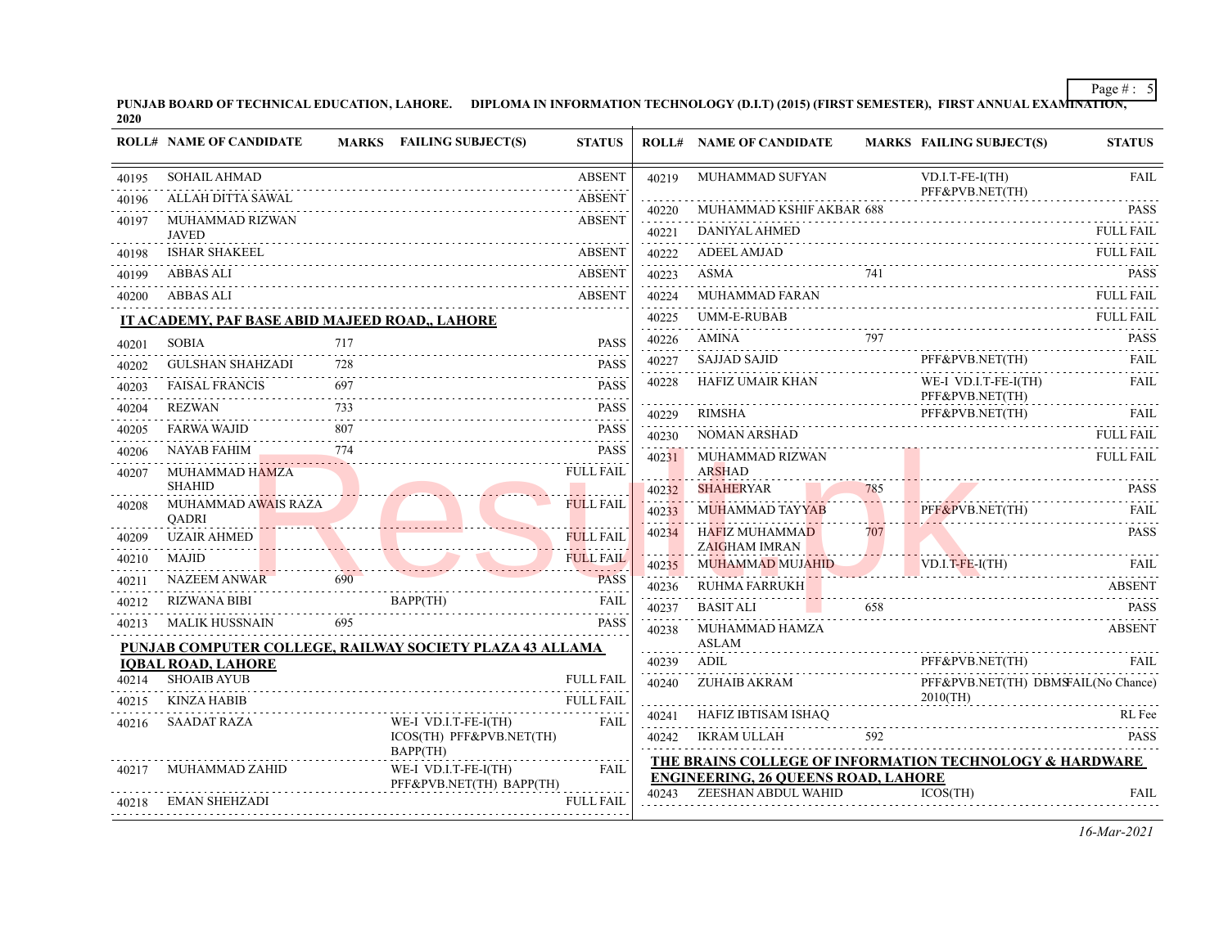PUNJAB BOARD OF TECHNICAL EDUCATION, LAHORE. DIPLOMA IN INFORMATION TECHNOLOGY (D.I.T) (2015) (FIRST SEMESTER), FIRST ANNUAL EXAMI<del>NATION,</del><br>2020

|       | <b>ROLL# NAME OF CANDIDATE</b>                                                        |      | MARKS FAILING SUBJECT(S)                                                                                                                                                                                                                                                                                                                                                                                                              | <b>STATUS</b>    |                        | <b>ROLL# NAME OF CANDIDATE</b>                                                                        |     | <b>MARKS FAILING SUBJECT(S)</b>              | <b>STATUS</b>       |
|-------|---------------------------------------------------------------------------------------|------|---------------------------------------------------------------------------------------------------------------------------------------------------------------------------------------------------------------------------------------------------------------------------------------------------------------------------------------------------------------------------------------------------------------------------------------|------------------|------------------------|-------------------------------------------------------------------------------------------------------|-----|----------------------------------------------|---------------------|
| 40195 | <b>SOHAIL AHMAD</b>                                                                   |      |                                                                                                                                                                                                                                                                                                                                                                                                                                       | <b>ABSENT</b>    | 40219                  | MUHAMMAD SUFYAN                                                                                       |     | VD.I.T-FE-I(TH)                              | <b>FAIL</b>         |
| 40196 | ALLAH DITTA SAWAL                                                                     |      |                                                                                                                                                                                                                                                                                                                                                                                                                                       | <b>ABSENT</b>    | 40220                  | MUHAMMAD KSHIF AKBAR 688                                                                              |     | PFF&PVB.NET(TH)                              | <b>PASS</b>         |
| 40197 | MUHAMMAD RIZWAN<br><b>JAVED</b>                                                       |      |                                                                                                                                                                                                                                                                                                                                                                                                                                       | <b>ABSENT</b>    | 40221                  | DANIYAL AHMED                                                                                         |     |                                              | <b>FULL FAIL</b>    |
| 40198 | <b>ISHAR SHAKEEL</b>                                                                  |      |                                                                                                                                                                                                                                                                                                                                                                                                                                       | <b>ABSENT</b>    | 40222                  | <b>ADEEL AMJAD</b>                                                                                    |     |                                              | <b>FULL FAIL</b>    |
| 40199 | ABBAS ALI                                                                             |      |                                                                                                                                                                                                                                                                                                                                                                                                                                       | <b>ABSENT</b>    | 40223                  | ASMA<br>ASMA 741 PASS                                                                                 | 741 |                                              | <b>PASS</b>         |
| 40200 | ABBAS ALI                                                                             |      | ABSENT                                                                                                                                                                                                                                                                                                                                                                                                                                |                  | .<br>40224             | MUHAMMAD FARAN                                                                                        |     |                                              | <b>FULL FAIL</b>    |
|       | IT ACADEMY, PAF BASE ABID MAJEED ROAD,, LAHORE                                        |      |                                                                                                                                                                                                                                                                                                                                                                                                                                       |                  | 40225                  | <b>UMM-E-RUBAB</b>                                                                                    |     |                                              | <b>FULL FAIL</b>    |
| 40201 | <b>SOBIA</b>                                                                          | 717  |                                                                                                                                                                                                                                                                                                                                                                                                                                       | <b>PASS</b>      | .<br>40226             | AMINA 797 PASS                                                                                        |     |                                              |                     |
| 40202 | <b>GULSHAN SHAHZADI</b>                                                               | 728  |                                                                                                                                                                                                                                                                                                                                                                                                                                       | <b>PASS</b>      | 40227                  | SAJJAD SAJID                                                                                          |     | PFF&PVB.NET(TH)                              | FAII.               |
| 40203 | <b>FAISAL FRANCIS</b>                                                                 | 697  |                                                                                                                                                                                                                                                                                                                                                                                                                                       | <b>PASS</b>      | 40228                  | <b>HAFIZ UMAIR KHAN</b>                                                                               |     | WE-I VD.I.T-FE-I(TH)<br>PFF&PVB.NET(TH)      | FAIL                |
| 40204 | <b>REZWAN</b>                                                                         |      |                                                                                                                                                                                                                                                                                                                                                                                                                                       | <b>PASS</b>      | 40229                  | RIMSHA                                                                                                |     | PFF&PVB.NET(TH)<br>PFF&PVB.NET(TH) FAIL FAIL |                     |
| 40205 | <b>FARWA WAJID</b>                                                                    | 807  |                                                                                                                                                                                                                                                                                                                                                                                                                                       | <b>PASS</b>      | 40230                  | <b>NOMAN ARSHAD</b>                                                                                   |     |                                              | <b>FULL FAIL</b>    |
| 40206 | NAYAB FAHIM                                                                           | .774 |                                                                                                                                                                                                                                                                                                                                                                                                                                       | <b>PASS</b>      | 40231                  | MUHAMMAD RIZWAN                                                                                       |     |                                              | <b>FULL FAIL</b>    |
| 40207 | MUHAMMAD HAMZA<br><b>SHAHID</b>                                                       |      |                                                                                                                                                                                                                                                                                                                                                                                                                                       | <b>FULL FAIL</b> |                        | <b>ARSHAD</b>                                                                                         |     |                                              |                     |
| 40208 | MUHAMMAD AWAIS RAZA                                                                   |      |                                                                                                                                                                                                                                                                                                                                                                                                                                       | <b>FULL FAIL</b> | 40232                  | <b>SHAHERYAR</b>                                                                                      | 785 | PASS                                         |                     |
|       | <b>OADRI</b>                                                                          |      | <u> 1998 - Samuel Germanic Barnette</u>                                                                                                                                                                                                                                                                                                                                                                                               |                  | 40233                  | MUHAMMAD TAYYAB<br>HAFIZ MUHAMMAD                                                                     | 707 | PFF&PVB.NET(TH)                              | FAIL<br><b>PASS</b> |
| 40209 | <b>UZAIR AHMED</b>                                                                    |      |                                                                                                                                                                                                                                                                                                                                                                                                                                       | <b>FULL FAIL</b> | 40234                  | <b>ZAIGHAM IMRAN</b>                                                                                  |     |                                              |                     |
| 40210 | MAJID                                                                                 |      |                                                                                                                                                                                                                                                                                                                                                                                                                                       | <b>FULL FAIL</b> | 40235<br>la a a diaran | MUHAMMAD MUJAHID<br>MUHAMMAD MUJAHID VD.I.T-FE-I(TH) FAIL                                             |     | $VD.I.T-FE-I(TH)$                            |                     |
| 40211 |                                                                                       |      | NAZEEM ANWAR 690 PASS                                                                                                                                                                                                                                                                                                                                                                                                                 | <b>PASS</b>      | 40236                  | <b>RUHMA FARRUKH</b>                                                                                  |     |                                              | <b>ABSENT</b>       |
| 40212 | <b>RIZWANA BIBI</b>                                                                   |      | BAPP(TH)<br>$\begin{minipage}{.4\linewidth} RIZWANA BIBI \hspace{1.5cm} BAP (TH) \hspace{1.5cm} FAIL \hspace{1.5cm} FAIL \hspace{1.5cm} FAIL \hspace{1.5cm} FAIL \hspace{1.5cm} FAIL \hspace{1.5cm} FAIL \hspace{1.5cm} FAIL \hspace{1.5cm} FAIL \hspace{1.5cm} FAIL \hspace{1.5cm} FAIL \hspace{1.5cm} FAIL \hspace{1.5cm} FAIL \hspace{1.5cm} FAIL \hspace{1.5cm} FAIL \hspace{1.5cm} FAIL \hspace{1.5cm} FAIL \hspace{1.5cm} FAIL$ |                  | 40237                  | <b>BASIT ALI</b><br>and the state of the                                                              | 658 | 658 PASS                                     |                     |
| 40213 | <b>MALIK HUSSNAIN</b>                                                                 |      | 695                                                                                                                                                                                                                                                                                                                                                                                                                                   | <b>PASS</b>      | 40238                  | MUHAMMAD HAMZA<br>ASLAM                                                                               |     |                                              | <b>ABSENT</b>       |
|       | PUNJAB COMPUTER COLLEGE, RAILWAY SOCIETY PLAZA 43 ALLAMA<br><b>IQBAL ROAD, LAHORE</b> |      |                                                                                                                                                                                                                                                                                                                                                                                                                                       |                  | 40239                  | ADIL                                                                                                  |     | PFF&PVB.NET(TH)                              | FAIL                |
| 40214 | <b>SHOAIB AYUB</b>                                                                    |      |                                                                                                                                                                                                                                                                                                                                                                                                                                       | <b>FULL FAIL</b> |                        | 40240 ZUHAIB AKRAM                                                                                    |     | PFF&PVB.NET(TH) DBMSFAIL(No Chance)          |                     |
| 40215 | KINZA HABIB                                                                           |      |                                                                                                                                                                                                                                                                                                                                                                                                                                       | <b>FULL FAIL</b> |                        |                                                                                                       |     | $2010$ (TH)                                  |                     |
| 40216 | <b>SAADAT RAZA</b>                                                                    |      | WE-I VD.I.T-FE-I(TH)                                                                                                                                                                                                                                                                                                                                                                                                                  | <b>FAIL</b>      |                        | 40241 HAFIZ IBTISAM ISHAQ<br>PASS                                                                     |     |                                              |                     |
|       |                                                                                       |      | ICOS(TH) PFF&PVB.NET(TH)<br>BAPP(TH)                                                                                                                                                                                                                                                                                                                                                                                                  |                  |                        | 40242 IKRAM ULLAH                                                                                     |     | 592                                          | <b>PASS</b>         |
| 40217 | MUHAMMAD ZAHID                                                                        |      | WE-I VD.I.T-FE-I(TH)                                                                                                                                                                                                                                                                                                                                                                                                                  | <b>FAIL</b>      |                        | THE BRAINS COLLEGE OF INFORMATION TECHNOLOGY & HARDWARE<br><b>ENGINEERING, 26 QUEENS ROAD, LAHORE</b> |     |                                              |                     |
|       | 40218 EMAN SHEHZADI                                                                   |      | PFF&PVB.NET(TH) BAPP(TH)                                                                                                                                                                                                                                                                                                                                                                                                              | <b>FULL FAIL</b> |                        | 40243 ZEESHAN ABDUL WAHID                                                                             |     | ICOS(TH)                                     | <b>FAIL</b>         |
|       |                                                                                       |      |                                                                                                                                                                                                                                                                                                                                                                                                                                       |                  |                        |                                                                                                       |     |                                              |                     |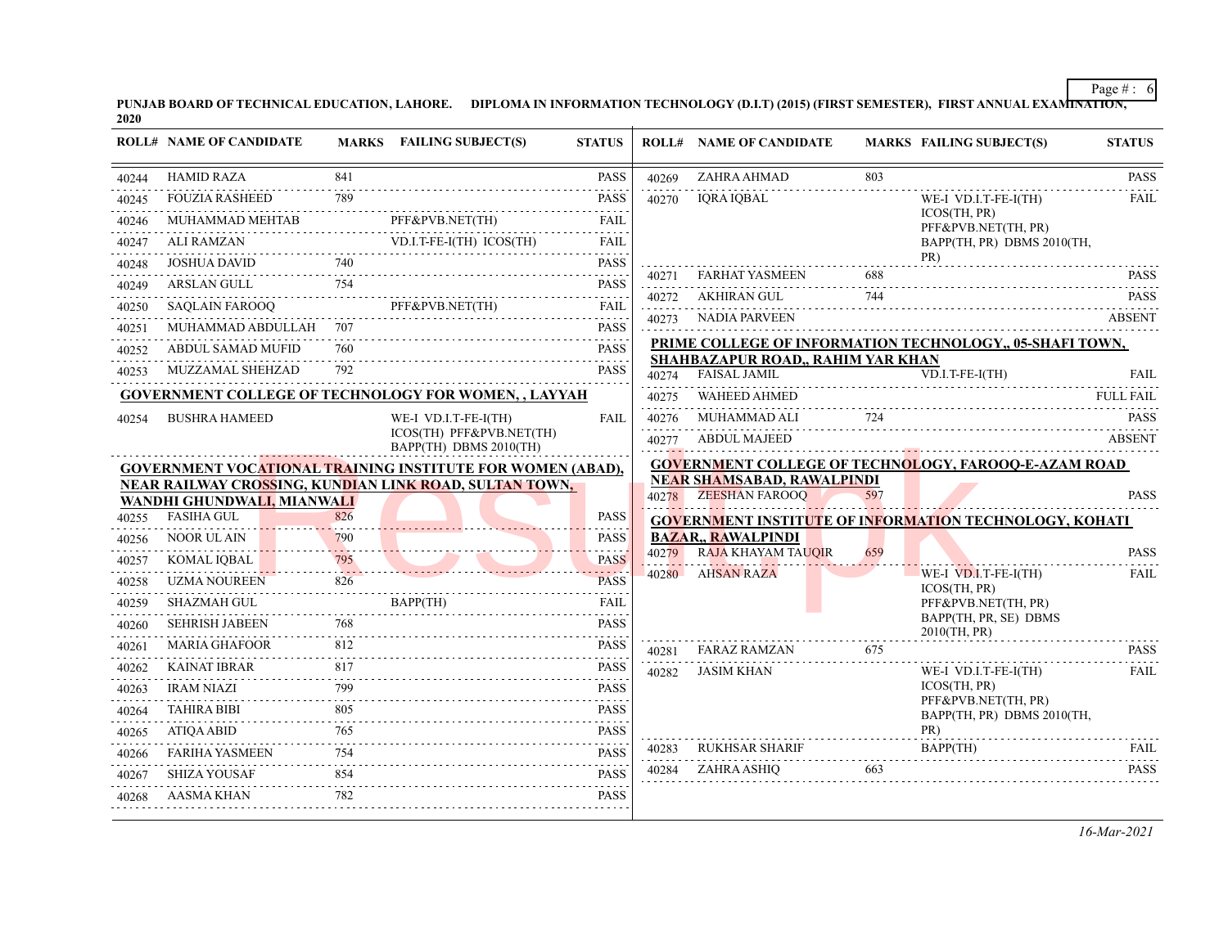PUNJAB BOARD OF TECHNICAL EDUCATION, LAHORE. DIPLOMA IN INFORMATION TECHNOLOGY (D.I.T) (2015) (FIRST SEMESTER), FIRST ANNUAL EXAMI<del>NATION,</del><br>2020

| <b>HAMID RAZA</b><br>841<br>ZAHRA AHMAD<br><b>PASS</b><br>803<br>40269<br>2.2.2.2.2.2.2<br>789<br><b>FOUZIA RASHEED</b><br><b>PASS</b><br>IORA IOBAL<br>WE-I VD.I.T-FE-I(TH)<br>40270<br>ICOS(TH, PR)<br>PFF&PVB.NET(TH)<br>MUHAMMAD MEHTAB<br><b>FAIL</b><br>PFF&PVB.NET(TH, PR)<br>.<br>ALI RAMZAN<br>ALI RAMZAN VD.I.T-FE-I(TH) ICOS(TH) FAIL<br><b>FAIL</b><br>BAPP(TH, PR) DBMS 2010(TH,<br>PR)<br>740<br><b>PASS</b><br><b>JOSHUA DAVID</b><br><b>FARHAT YASMEEN</b><br>688<br>.<br>40271<br>ARSLAN GULL 754 PASS<br>AKHIRAN GUL<br>744<br>40272<br>PFF&PVB.NET(TH)<br>SAQLAIN FAROOQ<br>PFF&PVB.NET(TH) FAIL<br>.<br>NADIA PARVEEN<br>40273<br>ABSENT<br>MUHAMMAD ABDULLAH 707<br><b>PASS</b><br>PRIME COLLEGE OF INFORMATION TECHNOLOGY, 05-SHAFI TOWN,<br>760<br><b>PASS</b><br>ABDUL SAMAD MUFID<br>SHAHBAZAPUR ROAD., RAHIM YAR KHAN<br>792<br>MUZZAMAL SHEHZAD<br><b>PASS</b><br>40274 FAISAL JAMIL<br>$VD.I.T-FE-I(TH)$<br><b>GOVERNMENT COLLEGE OF TECHNOLOGY FOR WOMEN, , LAYYAH</b><br>WAHEED AHMED<br>40275<br>724<br>MUHAMMAD ALI<br><b>BUSHRA HAMEED</b><br>WE-I VD.I.T-FE-I(TH)<br><b>FAIL</b><br>40276<br>ICOS(TH) PFF&PVB.NET(TH)<br>ABDUL MAJEED<br>40277<br>BAPP(TH) DBMS 2010(TH)<br><b>GOVERNMENT COLLEGE OF TECHNOLOGY, FAROOQ-E-AZAM ROAD</b><br><b>GOVERNMENT VOCATIONAL TRAINING INSTITUTE FOR WOMEN (ABAD),</b><br>NEAR SHAMSABAD, RAWALPINDI<br>NEAR RAILWAY CROSSING, KUNDIAN LINK ROAD, SULTAN TOWN,<br>40278 ZEESHAN FAROOQ<br>597<br>WANDHI GHUNDWALI, MIANWALI<br><b>FASIHA GUL</b><br>826<br><b>PASS</b><br><b>GOVERNMENT INSTITUTE OF INFORMATION TECHNOLOGY, KOHATI</b><br><b>BAZAR., RAWALPINDI</b><br><b>NOOR UL AIN</b><br><b>PASS</b><br>790<br>.<br>RAJA KHAYAM TAUQIR<br>659<br>40279<br>795<br><b>PASS</b><br>KOMAL IQBAL<br>795<br>.<br>40280 AHSAN RAZA<br>$WE-I$ $VD.I.T-FE-I(TH)$<br><b>UZMA NOUREEN</b><br>826<br><b>PASS</b><br>ICOS(TH, PR)<br>BAPP(TH)<br>SHAZMAH GUL<br><b>FAIL</b><br>PFF&PVB.NET(TH, PR)<br>BAPP(TH, PR, SE) DBMS<br>768<br><b>PASS</b><br><b>SEHRISH JABEEN</b><br>2010(TH, PR)<br>812<br><b>MARIA GHAFOOR</b><br><b>PASS</b><br>675<br>40281<br>FARAZ RAMZAN<br>.<br>.<br><b>KAINAT IBRAR</b><br>817<br><b>PASS</b><br>JASIM KHAN<br>WE-I VD.I.T-FE-I(TH)<br>40282<br>ICOS(TH, PR)<br>799<br><b>PASS</b><br>IRAM NIAZI<br>PFF&PVB.NET(TH, PR)<br>805<br><b>TAHIRA BIBI</b><br><b>PASS</b><br>BAPP(TH, PR) DBMS 2010(TH,<br>PR)<br><b>ATIQA ABID</b><br>765<br><b>PASS</b><br>BAPP(TH)<br>40283 RUKHSAR SHARIF<br>BAPP(TH) FAIL<br><b>PASS</b><br><b>FARIHA YASMEEN</b><br>754<br>ZAHRA ASHIQ<br>663<br>40284<br><b>SHIZA YOUSAF</b><br>854<br><b>PASS</b><br><b>AASMA KHAN</b><br>782<br><b>PASS</b> |       | <b>ROLL# NAME OF CANDIDATE</b> | MARKS FAILING SUBJECT(S) | <b>STATUS</b> | <b>ROLL# NAME OF CANDIDATE</b> | <b>MARKS FAILING SUBJECT(S)</b> | <b>STATUS</b>    |
|----------------------------------------------------------------------------------------------------------------------------------------------------------------------------------------------------------------------------------------------------------------------------------------------------------------------------------------------------------------------------------------------------------------------------------------------------------------------------------------------------------------------------------------------------------------------------------------------------------------------------------------------------------------------------------------------------------------------------------------------------------------------------------------------------------------------------------------------------------------------------------------------------------------------------------------------------------------------------------------------------------------------------------------------------------------------------------------------------------------------------------------------------------------------------------------------------------------------------------------------------------------------------------------------------------------------------------------------------------------------------------------------------------------------------------------------------------------------------------------------------------------------------------------------------------------------------------------------------------------------------------------------------------------------------------------------------------------------------------------------------------------------------------------------------------------------------------------------------------------------------------------------------------------------------------------------------------------------------------------------------------------------------------------------------------------------------------------------------------------------------------------------------------------------------------------------------------------------------------------------------------------------------------------------------------------------------------------------------------------------------------------------------------------------------------------------------------------------------------------------------------------------------------------------------------------------------------------------------------------------------------------------------------------------------------|-------|--------------------------------|--------------------------|---------------|--------------------------------|---------------------------------|------------------|
|                                                                                                                                                                                                                                                                                                                                                                                                                                                                                                                                                                                                                                                                                                                                                                                                                                                                                                                                                                                                                                                                                                                                                                                                                                                                                                                                                                                                                                                                                                                                                                                                                                                                                                                                                                                                                                                                                                                                                                                                                                                                                                                                                                                                                                                                                                                                                                                                                                                                                                                                                                                                                                                                                  | 40244 |                                |                          |               |                                |                                 | <b>PASS</b>      |
|                                                                                                                                                                                                                                                                                                                                                                                                                                                                                                                                                                                                                                                                                                                                                                                                                                                                                                                                                                                                                                                                                                                                                                                                                                                                                                                                                                                                                                                                                                                                                                                                                                                                                                                                                                                                                                                                                                                                                                                                                                                                                                                                                                                                                                                                                                                                                                                                                                                                                                                                                                                                                                                                                  | 40245 |                                |                          |               |                                |                                 | .<br>FAIL        |
|                                                                                                                                                                                                                                                                                                                                                                                                                                                                                                                                                                                                                                                                                                                                                                                                                                                                                                                                                                                                                                                                                                                                                                                                                                                                                                                                                                                                                                                                                                                                                                                                                                                                                                                                                                                                                                                                                                                                                                                                                                                                                                                                                                                                                                                                                                                                                                                                                                                                                                                                                                                                                                                                                  | 40246 |                                |                          |               |                                |                                 |                  |
|                                                                                                                                                                                                                                                                                                                                                                                                                                                                                                                                                                                                                                                                                                                                                                                                                                                                                                                                                                                                                                                                                                                                                                                                                                                                                                                                                                                                                                                                                                                                                                                                                                                                                                                                                                                                                                                                                                                                                                                                                                                                                                                                                                                                                                                                                                                                                                                                                                                                                                                                                                                                                                                                                  | 40247 |                                |                          |               |                                |                                 |                  |
|                                                                                                                                                                                                                                                                                                                                                                                                                                                                                                                                                                                                                                                                                                                                                                                                                                                                                                                                                                                                                                                                                                                                                                                                                                                                                                                                                                                                                                                                                                                                                                                                                                                                                                                                                                                                                                                                                                                                                                                                                                                                                                                                                                                                                                                                                                                                                                                                                                                                                                                                                                                                                                                                                  | 40248 |                                |                          |               |                                |                                 | <b>PASS</b>      |
|                                                                                                                                                                                                                                                                                                                                                                                                                                                                                                                                                                                                                                                                                                                                                                                                                                                                                                                                                                                                                                                                                                                                                                                                                                                                                                                                                                                                                                                                                                                                                                                                                                                                                                                                                                                                                                                                                                                                                                                                                                                                                                                                                                                                                                                                                                                                                                                                                                                                                                                                                                                                                                                                                  | 40249 |                                |                          |               |                                |                                 | <b>PASS</b>      |
|                                                                                                                                                                                                                                                                                                                                                                                                                                                                                                                                                                                                                                                                                                                                                                                                                                                                                                                                                                                                                                                                                                                                                                                                                                                                                                                                                                                                                                                                                                                                                                                                                                                                                                                                                                                                                                                                                                                                                                                                                                                                                                                                                                                                                                                                                                                                                                                                                                                                                                                                                                                                                                                                                  | 40250 |                                |                          |               |                                |                                 |                  |
|                                                                                                                                                                                                                                                                                                                                                                                                                                                                                                                                                                                                                                                                                                                                                                                                                                                                                                                                                                                                                                                                                                                                                                                                                                                                                                                                                                                                                                                                                                                                                                                                                                                                                                                                                                                                                                                                                                                                                                                                                                                                                                                                                                                                                                                                                                                                                                                                                                                                                                                                                                                                                                                                                  | 40251 |                                |                          |               |                                |                                 |                  |
|                                                                                                                                                                                                                                                                                                                                                                                                                                                                                                                                                                                                                                                                                                                                                                                                                                                                                                                                                                                                                                                                                                                                                                                                                                                                                                                                                                                                                                                                                                                                                                                                                                                                                                                                                                                                                                                                                                                                                                                                                                                                                                                                                                                                                                                                                                                                                                                                                                                                                                                                                                                                                                                                                  | 40252 |                                |                          |               |                                |                                 |                  |
|                                                                                                                                                                                                                                                                                                                                                                                                                                                                                                                                                                                                                                                                                                                                                                                                                                                                                                                                                                                                                                                                                                                                                                                                                                                                                                                                                                                                                                                                                                                                                                                                                                                                                                                                                                                                                                                                                                                                                                                                                                                                                                                                                                                                                                                                                                                                                                                                                                                                                                                                                                                                                                                                                  | 40253 |                                |                          |               |                                |                                 | FAII.            |
|                                                                                                                                                                                                                                                                                                                                                                                                                                                                                                                                                                                                                                                                                                                                                                                                                                                                                                                                                                                                                                                                                                                                                                                                                                                                                                                                                                                                                                                                                                                                                                                                                                                                                                                                                                                                                                                                                                                                                                                                                                                                                                                                                                                                                                                                                                                                                                                                                                                                                                                                                                                                                                                                                  |       |                                |                          |               |                                |                                 | <b>FULL FAIL</b> |
|                                                                                                                                                                                                                                                                                                                                                                                                                                                                                                                                                                                                                                                                                                                                                                                                                                                                                                                                                                                                                                                                                                                                                                                                                                                                                                                                                                                                                                                                                                                                                                                                                                                                                                                                                                                                                                                                                                                                                                                                                                                                                                                                                                                                                                                                                                                                                                                                                                                                                                                                                                                                                                                                                  | 40254 |                                |                          |               |                                |                                 | <b>PASS</b>      |
|                                                                                                                                                                                                                                                                                                                                                                                                                                                                                                                                                                                                                                                                                                                                                                                                                                                                                                                                                                                                                                                                                                                                                                                                                                                                                                                                                                                                                                                                                                                                                                                                                                                                                                                                                                                                                                                                                                                                                                                                                                                                                                                                                                                                                                                                                                                                                                                                                                                                                                                                                                                                                                                                                  |       |                                |                          |               |                                |                                 | <b>ABSENT</b>    |
|                                                                                                                                                                                                                                                                                                                                                                                                                                                                                                                                                                                                                                                                                                                                                                                                                                                                                                                                                                                                                                                                                                                                                                                                                                                                                                                                                                                                                                                                                                                                                                                                                                                                                                                                                                                                                                                                                                                                                                                                                                                                                                                                                                                                                                                                                                                                                                                                                                                                                                                                                                                                                                                                                  |       |                                |                          |               |                                |                                 |                  |
|                                                                                                                                                                                                                                                                                                                                                                                                                                                                                                                                                                                                                                                                                                                                                                                                                                                                                                                                                                                                                                                                                                                                                                                                                                                                                                                                                                                                                                                                                                                                                                                                                                                                                                                                                                                                                                                                                                                                                                                                                                                                                                                                                                                                                                                                                                                                                                                                                                                                                                                                                                                                                                                                                  |       |                                |                          |               |                                |                                 |                  |
|                                                                                                                                                                                                                                                                                                                                                                                                                                                                                                                                                                                                                                                                                                                                                                                                                                                                                                                                                                                                                                                                                                                                                                                                                                                                                                                                                                                                                                                                                                                                                                                                                                                                                                                                                                                                                                                                                                                                                                                                                                                                                                                                                                                                                                                                                                                                                                                                                                                                                                                                                                                                                                                                                  |       |                                |                          |               |                                |                                 | <b>PASS</b>      |
|                                                                                                                                                                                                                                                                                                                                                                                                                                                                                                                                                                                                                                                                                                                                                                                                                                                                                                                                                                                                                                                                                                                                                                                                                                                                                                                                                                                                                                                                                                                                                                                                                                                                                                                                                                                                                                                                                                                                                                                                                                                                                                                                                                                                                                                                                                                                                                                                                                                                                                                                                                                                                                                                                  | 40255 |                                |                          |               |                                |                                 |                  |
|                                                                                                                                                                                                                                                                                                                                                                                                                                                                                                                                                                                                                                                                                                                                                                                                                                                                                                                                                                                                                                                                                                                                                                                                                                                                                                                                                                                                                                                                                                                                                                                                                                                                                                                                                                                                                                                                                                                                                                                                                                                                                                                                                                                                                                                                                                                                                                                                                                                                                                                                                                                                                                                                                  | 40256 |                                |                          |               |                                |                                 | <b>PASS</b>      |
|                                                                                                                                                                                                                                                                                                                                                                                                                                                                                                                                                                                                                                                                                                                                                                                                                                                                                                                                                                                                                                                                                                                                                                                                                                                                                                                                                                                                                                                                                                                                                                                                                                                                                                                                                                                                                                                                                                                                                                                                                                                                                                                                                                                                                                                                                                                                                                                                                                                                                                                                                                                                                                                                                  | 40257 |                                |                          |               |                                |                                 | FAIL             |
|                                                                                                                                                                                                                                                                                                                                                                                                                                                                                                                                                                                                                                                                                                                                                                                                                                                                                                                                                                                                                                                                                                                                                                                                                                                                                                                                                                                                                                                                                                                                                                                                                                                                                                                                                                                                                                                                                                                                                                                                                                                                                                                                                                                                                                                                                                                                                                                                                                                                                                                                                                                                                                                                                  | 40258 |                                |                          |               |                                |                                 |                  |
|                                                                                                                                                                                                                                                                                                                                                                                                                                                                                                                                                                                                                                                                                                                                                                                                                                                                                                                                                                                                                                                                                                                                                                                                                                                                                                                                                                                                                                                                                                                                                                                                                                                                                                                                                                                                                                                                                                                                                                                                                                                                                                                                                                                                                                                                                                                                                                                                                                                                                                                                                                                                                                                                                  | 40259 |                                |                          |               |                                |                                 |                  |
|                                                                                                                                                                                                                                                                                                                                                                                                                                                                                                                                                                                                                                                                                                                                                                                                                                                                                                                                                                                                                                                                                                                                                                                                                                                                                                                                                                                                                                                                                                                                                                                                                                                                                                                                                                                                                                                                                                                                                                                                                                                                                                                                                                                                                                                                                                                                                                                                                                                                                                                                                                                                                                                                                  | 40260 |                                |                          |               |                                |                                 |                  |
|                                                                                                                                                                                                                                                                                                                                                                                                                                                                                                                                                                                                                                                                                                                                                                                                                                                                                                                                                                                                                                                                                                                                                                                                                                                                                                                                                                                                                                                                                                                                                                                                                                                                                                                                                                                                                                                                                                                                                                                                                                                                                                                                                                                                                                                                                                                                                                                                                                                                                                                                                                                                                                                                                  | 40261 |                                |                          |               |                                |                                 | <b>PASS</b>      |
|                                                                                                                                                                                                                                                                                                                                                                                                                                                                                                                                                                                                                                                                                                                                                                                                                                                                                                                                                                                                                                                                                                                                                                                                                                                                                                                                                                                                                                                                                                                                                                                                                                                                                                                                                                                                                                                                                                                                                                                                                                                                                                                                                                                                                                                                                                                                                                                                                                                                                                                                                                                                                                                                                  | 40262 |                                |                          |               |                                |                                 | <b>FAIL</b>      |
|                                                                                                                                                                                                                                                                                                                                                                                                                                                                                                                                                                                                                                                                                                                                                                                                                                                                                                                                                                                                                                                                                                                                                                                                                                                                                                                                                                                                                                                                                                                                                                                                                                                                                                                                                                                                                                                                                                                                                                                                                                                                                                                                                                                                                                                                                                                                                                                                                                                                                                                                                                                                                                                                                  | 40263 |                                |                          |               |                                |                                 |                  |
|                                                                                                                                                                                                                                                                                                                                                                                                                                                                                                                                                                                                                                                                                                                                                                                                                                                                                                                                                                                                                                                                                                                                                                                                                                                                                                                                                                                                                                                                                                                                                                                                                                                                                                                                                                                                                                                                                                                                                                                                                                                                                                                                                                                                                                                                                                                                                                                                                                                                                                                                                                                                                                                                                  | 40264 |                                |                          |               |                                |                                 |                  |
|                                                                                                                                                                                                                                                                                                                                                                                                                                                                                                                                                                                                                                                                                                                                                                                                                                                                                                                                                                                                                                                                                                                                                                                                                                                                                                                                                                                                                                                                                                                                                                                                                                                                                                                                                                                                                                                                                                                                                                                                                                                                                                                                                                                                                                                                                                                                                                                                                                                                                                                                                                                                                                                                                  | 40265 |                                |                          |               |                                |                                 | FAII.            |
|                                                                                                                                                                                                                                                                                                                                                                                                                                                                                                                                                                                                                                                                                                                                                                                                                                                                                                                                                                                                                                                                                                                                                                                                                                                                                                                                                                                                                                                                                                                                                                                                                                                                                                                                                                                                                                                                                                                                                                                                                                                                                                                                                                                                                                                                                                                                                                                                                                                                                                                                                                                                                                                                                  | 40266 |                                |                          |               |                                |                                 | <b>PASS</b>      |
|                                                                                                                                                                                                                                                                                                                                                                                                                                                                                                                                                                                                                                                                                                                                                                                                                                                                                                                                                                                                                                                                                                                                                                                                                                                                                                                                                                                                                                                                                                                                                                                                                                                                                                                                                                                                                                                                                                                                                                                                                                                                                                                                                                                                                                                                                                                                                                                                                                                                                                                                                                                                                                                                                  | 40267 |                                |                          |               |                                |                                 |                  |
|                                                                                                                                                                                                                                                                                                                                                                                                                                                                                                                                                                                                                                                                                                                                                                                                                                                                                                                                                                                                                                                                                                                                                                                                                                                                                                                                                                                                                                                                                                                                                                                                                                                                                                                                                                                                                                                                                                                                                                                                                                                                                                                                                                                                                                                                                                                                                                                                                                                                                                                                                                                                                                                                                  | 40268 |                                |                          |               |                                |                                 |                  |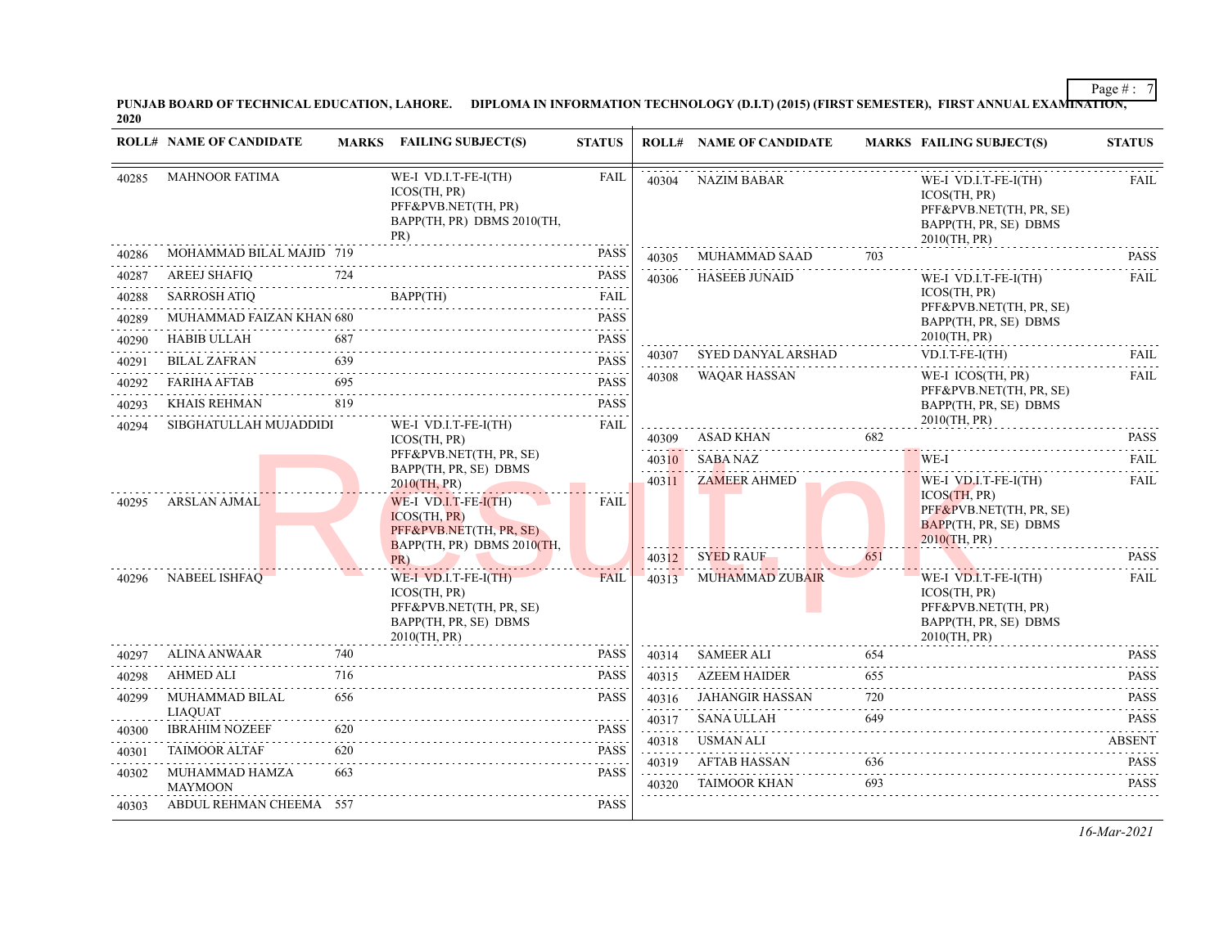PUNJAB BOARD OF TECHNICAL EDUCATION, LAHORE. DIPLOMA IN INFORMATION TECHNOLOGY (D.I.T) (2015) (FIRST SEMESTER), FIRST ANNUAL EXAMI<del>NATION,</del><br>2020

|       | <b>ROLL# NAME OF CANDIDATE</b>          |                       | MARKS FAILING SUBJECT(S)                                                                                 | <b>STATUS</b>                                                                                                                                                       |            | <b>ROLL# NAME OF CANDIDATE</b> |     | <b>MARKS FAILING SUBJECT(S)</b>                                                                          | <b>STATUS</b>              |
|-------|-----------------------------------------|-----------------------|----------------------------------------------------------------------------------------------------------|---------------------------------------------------------------------------------------------------------------------------------------------------------------------|------------|--------------------------------|-----|----------------------------------------------------------------------------------------------------------|----------------------------|
| 40285 | <b>MAHNOOR FATIMA</b>                   |                       | WE-I VD.I.T-FE-I(TH)<br>ICOS(TH, PR)<br>PFF&PVB.NET(TH, PR)<br>BAPP(TH, PR) DBMS 2010(TH,<br>PR)         | <b>FAIL</b>                                                                                                                                                         | 40304      | NAZIM BABAR                    |     | WE-I VD.I.T-FE-I(TH)<br>ICOS(TH, PR)<br>PFF&PVB.NET(TH, PR, SE)<br>BAPP(TH, PR, SE) DBMS<br>2010(TH, PR) | <b>FAIL</b>                |
| 40286 | MOHAMMAD BILAL MAJID 719                |                       |                                                                                                          | <b>PASS</b>                                                                                                                                                         | 40305      | MUHAMMAD SAAD                  | 703 |                                                                                                          | <b>PASS</b>                |
| 40287 | <b>AREEJ SHAFIO</b>                     | 724                   |                                                                                                          | <b>PASS</b>                                                                                                                                                         | 40306      | <b>HASEEB JUNAID</b>           |     | WE-I VD.I.T-FE-I(TH)                                                                                     | <b>FAIL</b>                |
| 40288 | <b>SARROSH ATIO</b>                     |                       |                                                                                                          | <b>FAIL</b>                                                                                                                                                         |            |                                |     | ICOS(TH, PR)<br>PFF&PVB.NET(TH, PR, SE)                                                                  |                            |
| 40289 | MUHAMMAD FAIZAN KHAN 680                |                       |                                                                                                          | <b>PASS</b>                                                                                                                                                         |            |                                |     | BAPP(TH, PR, SE) DBMS                                                                                    |                            |
| 40290 | <b>HABIB ULLAH</b>                      | 687                   |                                                                                                          | <b>PASS</b><br>2 2 2 2 2                                                                                                                                            |            |                                |     | 2010(TH, PR)                                                                                             | FAII.                      |
| 40291 | <b>BILAL ZAFRAN</b>                     | 639                   |                                                                                                          | <b>PASS</b>                                                                                                                                                         | 40307      | SYED DANYAL ARSHAD             |     | $VD.I.T-FE-I(TH)$                                                                                        |                            |
| 40292 | <b>FARIHA AFTAB</b>                     | 695                   |                                                                                                          | <b>PASS</b>                                                                                                                                                         | 40308      | <b>WAQAR HASSAN</b>            |     | WE-I ICOS(TH, PR)<br>PFF&PVB.NET(TH, PR, SE)                                                             | FAIL                       |
| 40293 | KHAIS REHMAN                            | 819                   |                                                                                                          | <b>PASS</b>                                                                                                                                                         |            |                                |     | BAPP(TH, PR, SE) DBMS                                                                                    |                            |
| 40294 | SIBGHATULLAH MUJADDIDI                  |                       | WE-I VD.I.T-FE-I(TH)<br>ICOS(TH, PR)                                                                     | <b>FAIL</b>                                                                                                                                                         | 40309      | ASAD KHAN                      | 682 | 2010(TH, PR)                                                                                             | <b>PASS</b>                |
|       |                                         |                       | PFF&PVB.NET(TH, PR, SE)                                                                                  |                                                                                                                                                                     | 40310      | SABA NAZ                       |     | WE-I                                                                                                     | 2.2.2.2.2.1<br><b>FAIL</b> |
|       |                                         |                       | BAPP(TH, PR, SE) DBMS<br>2010(TH, PR)                                                                    |                                                                                                                                                                     | .          | 40311 ZAMEER AHMED             |     | WE-I VD.I.T-FE-I(TH)                                                                                     | <b>FAIL</b>                |
| 40295 | ARSLAN AJMAL                            |                       | WE-I VD.I.T-FE- $I(TH)$<br>ICOS(TH, PR)<br>PFF&PVB.NET(TH, PR, SE)<br>BAPP(TH, PR) DBMS 2010(TH,         | FAIL                                                                                                                                                                |            |                                |     | ICOS(TH, PR)<br>PFF&PVB.NET(TH, PR, SE)<br>BAPP(TH, PR, SE) DBMS<br>$2010$ (TH, PR)                      |                            |
|       |                                         |                       | PR)                                                                                                      |                                                                                                                                                                     |            | 40312 SYED RAUF                | 651 |                                                                                                          | <b>PASS</b>                |
| 40296 | NABEEL ISHFAQ                           |                       | WE-I VD.I.T-FE-I(TH)<br>ICOS(TH, PR)<br>PFF&PVB.NET(TH, PR, SE)<br>BAPP(TH, PR, SE) DBMS<br>2010(TH, PR) | <b>FAIL</b>                                                                                                                                                         | 40313      | MUHAMMAD ZUBAIR                |     | WE-I VD.I.T-FE-I(TH)<br>ICOS(TH, PR)<br>PFF&PVB.NET(TH, PR)<br>BAPP(TH, PR, SE) DBMS<br>2010(TH, PR)     | FAIL                       |
| 40297 | ALINA ANWAAR                            | 740                   |                                                                                                          | <b>PASS</b>                                                                                                                                                         | 40314      | SAMEER ALI                     | 654 |                                                                                                          | <b>PASS</b><br>.           |
| 40298 | <b>AHMED ALI</b>                        | 716<br>and a state of | .                                                                                                        | <b>PASS</b>                                                                                                                                                         | 40315<br>. | <b>AZEEM HAIDER</b>            | 655 |                                                                                                          | <b>PASS</b>                |
| 40299 | <b>MUHAMMAD BILAL</b>                   | 656                   |                                                                                                          | <b>PASS</b>                                                                                                                                                         | 40316      | JAHANGIR HASSAN                | 720 |                                                                                                          | <b>PASS</b>                |
| 40300 | <b>LIAOUAT</b><br><b>IBRAHIM NOZEEF</b> | 620                   |                                                                                                          | <b>PASS</b>                                                                                                                                                         | 40317<br>. | <b>SANA ULLAH</b>              | 649 |                                                                                                          | <b>PASS</b>                |
| 40301 | <b>TAIMOOR ALTAF</b>                    | 620                   |                                                                                                          | $\frac{1}{2} \left( \frac{1}{2} \right) \left( \frac{1}{2} \right) \left( \frac{1}{2} \right) \left( \frac{1}{2} \right) \left( \frac{1}{2} \right)$<br><b>PASS</b> | 40318      | <b>USMAN ALI</b>               |     |                                                                                                          | <b>ABSENT</b>              |
| 40302 | MUHAMMAD HAMZA                          | 663                   |                                                                                                          | <b>PASS</b>                                                                                                                                                         | 40319      | AFTAB HASSAN                   | 636 |                                                                                                          | <b>PASS</b>                |
|       | <b>MAYMOON</b>                          |                       |                                                                                                          |                                                                                                                                                                     | 40320      | <b>TAIMOOR KHAN</b>            | 693 |                                                                                                          | <b>PASS</b>                |
| 40303 | ABDUL REHMAN CHEEMA 557                 |                       |                                                                                                          | <b>PASS</b>                                                                                                                                                         |            |                                |     |                                                                                                          |                            |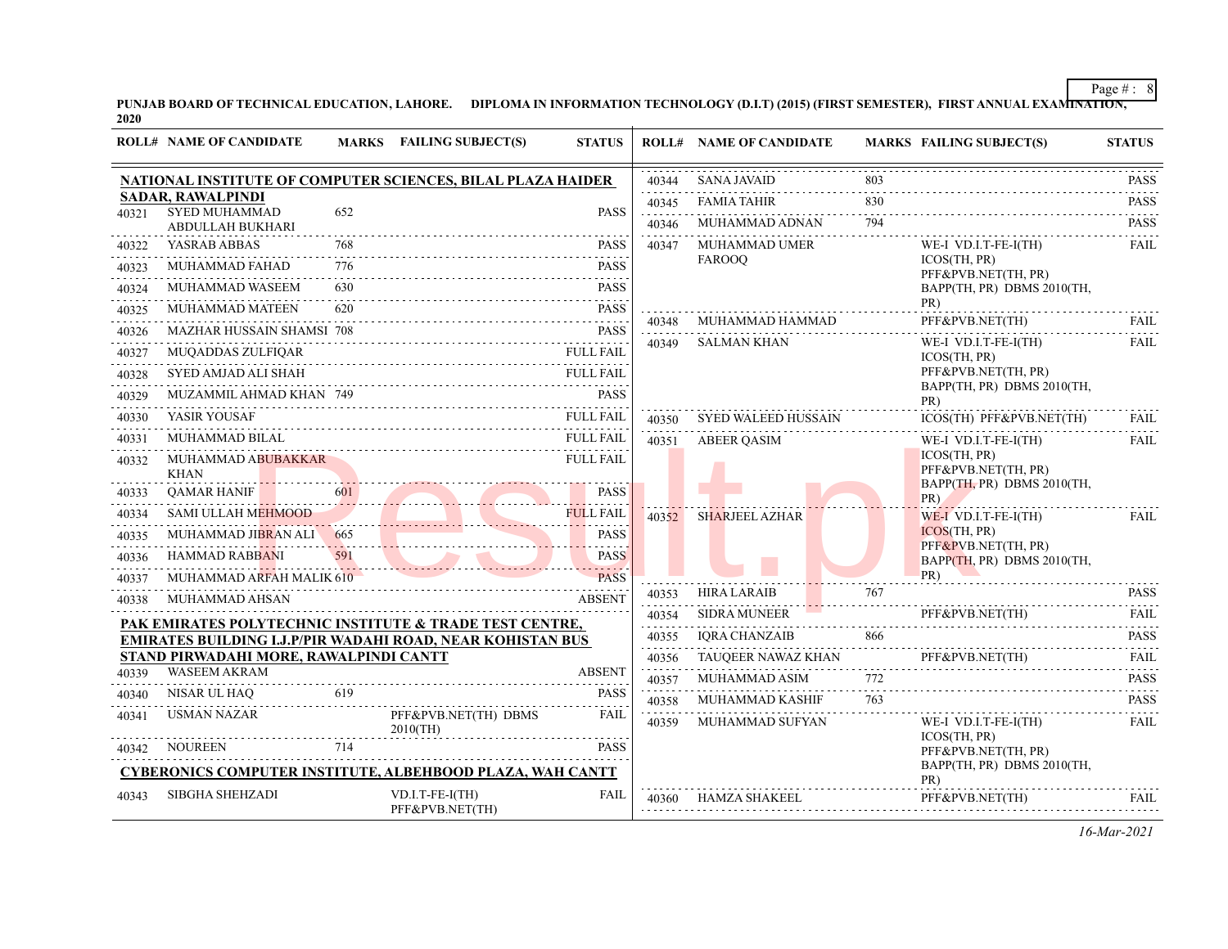PUNJAB BOARD OF TECHNICAL EDUCATION, LAHORE. DIPLOMA IN INFORMATION TECHNOLOGY (D.I.T) (2015) (FIRST SEMESTER), FIRST ANNUAL EXAMI<del>NATION,</del><br>2020

|       | <b>ROLL# NAME OF CANDIDATE</b>                                                                       |     | MARKS FAILING SUBJECT(S)           | <b>STATUS</b>             |       | <b>ROLL# NAME OF CANDIDATE</b> |     | <b>MARKS FAILING SUBJECT(S)</b>                   | <b>STATUS</b>                                     |
|-------|------------------------------------------------------------------------------------------------------|-----|------------------------------------|---------------------------|-------|--------------------------------|-----|---------------------------------------------------|---------------------------------------------------|
|       | NATIONAL INSTITUTE OF COMPUTER SCIENCES, BILAL PLAZA HAIDER                                          |     |                                    |                           | 40344 | <b>SANA JAVAID</b>             | .   |                                                   | <b>PASS</b>                                       |
|       | <b>SADAR, RAWALPINDI</b><br><b>SYED MUHAMMAD</b>                                                     |     |                                    |                           | 40345 | <b>FAMIA TAHIR</b>             | 830 |                                                   | .<br><b>PASS</b>                                  |
| 40321 | ABDULLAH BUKHARI                                                                                     | 652 |                                    | <b>PASS</b>               | 40346 | MUHAMMAD ADNAN                 | 794 |                                                   | <b>PASS</b>                                       |
| 40322 | YASRAB ABBAS                                                                                         | 768 |                                    | <b>PASS</b>               | 40347 | <b>MUHAMMAD UMER</b>           |     | WE-I VD.I.T-FE-I(TH)                              | <b>FAIL</b>                                       |
| 40323 | <b>MUHAMMAD FAHAD</b>                                                                                | 776 |                                    | <b>PASS</b>               |       | <b>FAROOO</b>                  |     | ICOS(TH, PR)<br>PFF&PVB.NET(TH, PR)               |                                                   |
| 40324 | MUHAMMAD WASEEM                                                                                      | 630 |                                    | <b>PASS</b>               |       |                                |     | BAPP(TH, PR) DBMS 2010(TH,                        |                                                   |
| 40325 | MUHAMMAD MATEEN                                                                                      | 620 |                                    | PASS                      |       |                                |     | PR)                                               |                                                   |
| 40326 | <b>MAZHAR HUSSAIN SHAMSI 708</b>                                                                     |     |                                    | <b>PASS</b>               | 40348 | MUHAMMAD HAMMAD                |     | PFF&PVB.NET(TH)                                   | FAIL                                              |
| 40327 | MUQADDAS ZULFIQAR                                                                                    |     |                                    | <b>FULL FAIL</b>          | 40349 | <b>SALMAN KHAN</b>             |     | WE-I VD.I.T-FE-I(TH)<br>ICOS(TH, PR)              | FAIL                                              |
| 40328 | SYED AMJAD ALI SHAH                                                                                  |     |                                    | <b>FULL FAIL</b>          |       |                                |     | PFF&PVB.NET(TH, PR)                               |                                                   |
| 40329 | MUZAMMIL AHMAD KHAN 749                                                                              |     |                                    | <b>PASS</b>               |       |                                |     | BAPP(TH, PR) DBMS 2010(TH,<br>PR)                 |                                                   |
| 40330 | YASIR YOUSAF                                                                                         |     |                                    | <b>FULL FAIL</b>          | 40350 | SYED WALEED HUSSAIN            |     | ICOS(TH) PFF&PVB.NET(TH)                          | FAII.                                             |
| 40331 | MUHAMMAD BILAL                                                                                       |     |                                    | <b>FULL FAIL</b>          | 40351 | <b>ABEER OASIM</b>             |     | WE-I VD.I.T-FE-I(TH)                              | <b>FAIL</b>                                       |
| 40332 | MUHAMMAD ABUBAKKAR                                                                                   |     |                                    | FULL FAIL                 |       |                                |     | ICOS(TH, PR)                                      |                                                   |
|       | <b>KHAN</b>                                                                                          |     |                                    |                           |       |                                |     | PFF&PVB.NET(TH, PR)<br>BAPP(TH, PR) DBMS 2010(TH, |                                                   |
| 40333 | <b>QAMAR HANIF</b>                                                                                   |     |                                    | <b>PASS</b>               |       |                                |     | PR)                                               |                                                   |
| 40334 | <b>SAMI ULLAH MEHMOOD</b>                                                                            |     |                                    | <b>FULL FAIL</b>          | 40352 | <b>SHARJEEL AZHAR</b>          |     | $WE-I$ VD.I.T-FE-I(TH)<br>ICOS(TH, PR)            | FAIL                                              |
| 40335 | MUHAMMAD JIBRAN ALI 665                                                                              |     |                                    | <b>PASS</b>               |       |                                |     | PFF&PVB.NET(TH, PR)                               |                                                   |
| 40336 | HAMMAD RABBANI                                                                                       | 591 |                                    | <b>PASS</b><br>2.2.2.2.2. |       |                                |     | BAPP(TH, PR) DBMS 2010(TH,<br>PR)                 |                                                   |
| 40337 | MUHAMMAD ARFAH MALIK 610                                                                             |     |                                    | <b>PASS</b>               | 40353 | <b>HIRA LARAIB</b>             | 767 |                                                   | <b>PASS</b>                                       |
| 40338 | MUHAMMAD AHSAN                                                                                       |     |                                    | <b>ABSENT</b>             | 40354 | <b>SIDRA MUNEER</b>            |     | PFF&PVB.NET(TH)                                   | $\sim$ $\sim$ $\sim$ $\sim$ $\sim$<br><b>FAIL</b> |
|       | PAK EMIRATES POLYTECHNIC INSTITUTE & TRADE TEST CENTRE,                                              |     |                                    |                           | 40355 | <b>IORA CHANZAIB</b>           | 866 |                                                   | <b>PASS</b>                                       |
|       | EMIRATES BUILDING I.J.P/PIR WADAHI ROAD, NEAR KOHISTAN BUS<br>STAND PIRWADAHI MORE, RAWALPINDI CANTT |     |                                    |                           | 40356 | TAUQEER NAWAZ KHAN             |     | PFF&PVB.NET(TH)                                   | <b>FAIL</b>                                       |
| 40339 | <b>WASEEM AKRAM</b>                                                                                  |     |                                    | <b>ABSENT</b>             | 40357 | MUHAMMAD ASIM                  | 772 |                                                   | .<br><b>PASS</b>                                  |
| 40340 | NISAR UL HAQ                                                                                         | 619 |                                    | <b>PASS</b>               | 40358 | MUHAMMAD KASHIF                | 763 |                                                   | <b>PASS</b>                                       |
| 40341 | USMAN NAZAR                                                                                          |     | PFF&PVB.NET(TH) DBMS               | <b>FAIL</b>               | 40359 | MUHAMMAD SUFYAN                |     | WE-I VD.I.T-FE-I(TH)                              | .<br><b>FAIL</b>                                  |
|       |                                                                                                      |     | $2010$ (TH)                        |                           |       |                                |     | ICOS(TH, PR)                                      |                                                   |
| 40342 | <b>NOUREEN</b>                                                                                       | 714 |                                    | <b>PASS</b>               |       |                                |     | PFF&PVB.NET(TH, PR)<br>BAPP(TH, PR) DBMS 2010(TH, |                                                   |
|       | <b>CYBERONICS COMPUTER INSTITUTE, ALBEHBOOD PLAZA, WAH CANTT</b>                                     |     |                                    |                           |       |                                |     | PR)                                               |                                                   |
| 40343 | <b>SIBGHA SHEHZADI</b>                                                                               |     | VD.I.T-FE-I(TH)<br>PFF&PVB.NET(TH) | FAIL                      | 40360 | HAMZA SHAKEEL                  |     | PFF&PVB.NET(TH)                                   | FAIL                                              |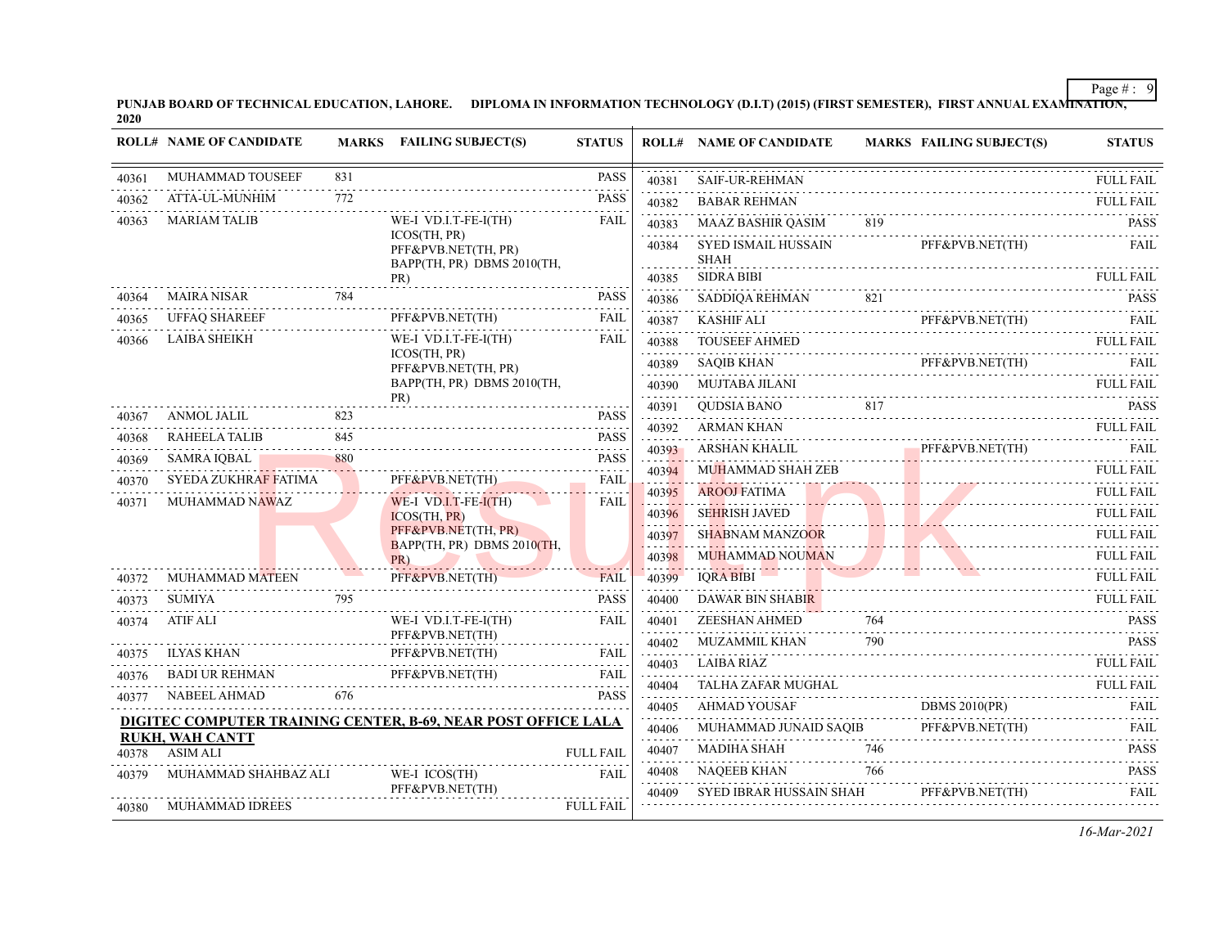PUNJAB BOARD OF TECHNICAL EDUCATION, LAHORE. DIPLOMA IN INFORMATION TECHNOLOGY (D.I.T) (2015) (FIRST SEMESTER), FIRST ANNUAL EXAMI<del>NATION,</del><br>2020

|       | <b>ROLL# NAME OF CANDIDATE</b> |     | MARKS FAILING SUBJECT(S)                                          | <b>STATUS</b>    |            | <b>ROLL# NAME OF CANDIDATE</b>                             |     | <b>MARKS FAILING SUBJECT(S)</b>                                                                                                                                                                                                      | <b>STATUS</b>         |
|-------|--------------------------------|-----|-------------------------------------------------------------------|------------------|------------|------------------------------------------------------------|-----|--------------------------------------------------------------------------------------------------------------------------------------------------------------------------------------------------------------------------------------|-----------------------|
| 40361 | MUHAMMAD TOUSEEF               | 831 |                                                                   | <b>PASS</b>      | 40381      | <b>SAIF-UR-REHMAN</b>                                      |     |                                                                                                                                                                                                                                      | <b>FULL FAIL</b>      |
| 40362 | ATTA-UL-MUNHIM<br>.            | 772 |                                                                   | <b>PASS</b>      | 40382      | <b>BABAR REHMAN</b>                                        |     |                                                                                                                                                                                                                                      | <b>FULL FAIL</b>      |
| 40363 | <b>MARIAM TALIB</b>            |     | WE-I VD.I.T-FE-I(TH)                                              | <b>FAIL</b>      | 40383      | MAAZ BASHIR QASIM                                          | 819 |                                                                                                                                                                                                                                      | <b>PASS</b>           |
|       |                                |     | ICOS(TH, PR)<br>PFF&PVB.NET(TH, PR)<br>BAPP(TH, PR) DBMS 2010(TH, |                  | 40384      | SYED ISMAIL HUSSAIN<br><b>SHAH</b>                         |     | PFF&PVB.NET(TH)                                                                                                                                                                                                                      | FAIL                  |
|       |                                |     | PR)                                                               |                  | 40385      | <b>SIDRA BIBI</b>                                          |     |                                                                                                                                                                                                                                      | <b>FULL FAIL</b>      |
| 40364 | MAIRA NISAR                    | 784 |                                                                   | <b>PASS</b>      | 40386<br>. | SADDIQA REHMAN 821 PASS                                    |     |                                                                                                                                                                                                                                      |                       |
| 40365 | <b>UFFAQ SHAREEF</b>           |     | PFF&PVB.NET(TH)                                                   | <b>FAIL</b>      | 40387      | KASHIF ALI                                                 |     |                                                                                                                                                                                                                                      | FAIL                  |
| 40366 | <b>LAIBA SHEIKH</b>            |     | WE-I VD.I.T-FE-I(TH)<br>ICOS(TH, PR)                              | FAIL             | 40388<br>. | TOUSEEF AHMED                                              |     |                                                                                                                                                                                                                                      | <b>FULL FAIL</b>      |
|       |                                |     | PFF&PVB.NET(TH, PR)                                               |                  |            | <b>SAQIB KHAN</b><br>40389 SAQIB KHAN PFF&PVB.NET(TH) FAIL |     | PFF&PVB.NET(TH)                                                                                                                                                                                                                      |                       |
|       |                                |     | BAPP(TH, PR) DBMS 2010(TH,                                        |                  | 40390<br>. | MUJTABA JILANI                                             |     |                                                                                                                                                                                                                                      | FULL FAIL             |
| 40367 | ANMOL JALIL                    | 823 | PR)                                                               | <b>PASS</b>      | 40391      | QUDSIA BANO 817 PASS                                       |     |                                                                                                                                                                                                                                      |                       |
| 40368 | <b>RAHEELA TALIB</b>           | 845 |                                                                   | <b>PASS</b>      | 40392<br>. | <b>ARMAN KHAN</b><br>ARMAN KHAN FULL FAIL                  |     |                                                                                                                                                                                                                                      |                       |
| 40369 | SAMRA IQBAL                    | 880 |                                                                   | <b>PASS</b>      | 40393      | ARSHAN KHALIL PFF&PVB.NET(TH) FAIL                         |     |                                                                                                                                                                                                                                      |                       |
| 40370 | SYEDA ZUKHRAF FATIMA           |     | PFF&PVB.NET(TH)                                                   | <b>FAIL</b>      | 40394      | MUHAMMAD SHAH ZEB                                          |     |                                                                                                                                                                                                                                      | <b>FULL FAIL</b>      |
| 40371 | MUHAMMAD NAWAZ                 |     | WE-I VD.I.T-FE-I(TH)                                              | <b>FAIL</b>      | 40395      | <b>AROOJ FATIMA</b>                                        |     | <u> 1988 - Johann Barbara, margaret e propinsi populari e propinsi populari e propinsi populari e propinsi populari e propinsi populari e propinsi populari e propinsi populari e propinsi populari e propinsi populari e propin</u> | <b>FULL FAIL</b><br>. |
|       |                                |     | ICOS(TH, PR)                                                      |                  | 40396      | <b>SEHRISH JAVED</b>                                       |     |                                                                                                                                                                                                                                      | <b>FULL FAIL</b>      |
|       |                                |     | PFF&PVB.NET(TH, PR)<br>BAPP(TH, PR) DBMS 2010(TH,                 |                  | 40397      | <b>SHABNAM MANZOOR</b>                                     |     | COOR FULL FAIL                                                                                                                                                                                                                       | <b>FULL FAIL</b>      |
|       |                                |     | PR)                                                               |                  | 40398      | <b>MUHAMMAD NOUMAN</b>                                     |     |                                                                                                                                                                                                                                      | <b>FULL FAIL</b>      |
| 40372 | <b>MUHAMMAD MATEEN</b>         |     | PFF&PVB.NET(TH)                                                   | <b>FAIL</b>      | 40399      | <b>IQRA BIBI</b>                                           |     |                                                                                                                                                                                                                                      | FULL FAIL             |
| 40373 | SUMIYA                         | 795 |                                                                   | <b>PASS</b>      | 40400      | DAWAR BIN SHABIR                                           |     |                                                                                                                                                                                                                                      | <b>FULL FAIL</b>      |
| 40374 | <b>ATIF ALI</b>                |     | WE-I VD.I.T-FE-I(TH)                                              | <b>FAIL</b>      | 40401      |                                                            |     |                                                                                                                                                                                                                                      |                       |
| 40375 | <b>ILYAS KHAN</b>              |     | PFF&PVB.NET(TH)<br>PFF&PVB.NET(TH)                                | <b>FAIL</b>      | 40402<br>. | MUZAMMIL KHAN                                              | 790 |                                                                                                                                                                                                                                      | <b>PASS</b>           |
| 40376 |                                |     |                                                                   |                  | 40403<br>. | <b>LAIBA RIAZ</b>                                          |     |                                                                                                                                                                                                                                      |                       |
| 40377 | NABEEL AHMAD                   | 676 | BADI UR REHMAN PFF&PVB.NET(TH) FAIL                               | <b>PASS</b>      | 40404      | TALHA ZAFAR MUGHAL                                         |     |                                                                                                                                                                                                                                      | <b>FULL FAIL</b>      |
|       |                                |     |                                                                   |                  | 40405      | AHMAD YOUSAF                                               |     | <b>DBMS 2010(PR)</b>                                                                                                                                                                                                                 | FAIL                  |
|       | <b>RUKH, WAH CANTT</b>         |     | DIGITEC COMPUTER TRAINING CENTER, B-69, NEAR POST OFFICE LALA     |                  | 40406<br>. | MUHAMMAD JUNAID SAQIB PFF&PVB.NET(TH) FAIL                 |     | PFF&PVB.NET(TH)                                                                                                                                                                                                                      |                       |
| 40378 | <b>ASIM ALI</b>                |     |                                                                   | <b>FULL FAIL</b> | 40407      | MADIHA SHAH                                                | 746 |                                                                                                                                                                                                                                      | <b>PASS</b><br>.      |
| 40379 | MUHAMMAD SHAHBAZ ALI           |     | WE-I ICOS(TH)                                                     | <b>FAIL</b>      | 40408      | NAQEEB KHAN                                                | 766 |                                                                                                                                                                                                                                      | <b>PASS</b>           |
|       |                                |     | PFF&PVB.NET(TH)                                                   |                  | 40409      | SYED IBRAR HUSSAIN SHAH                                    |     | PFF&PVB.NET(TH)                                                                                                                                                                                                                      | <b>FAIL</b>           |
| 40380 | MUHAMMAD IDREES                |     |                                                                   | <b>FULL FAIL</b> |            |                                                            |     |                                                                                                                                                                                                                                      |                       |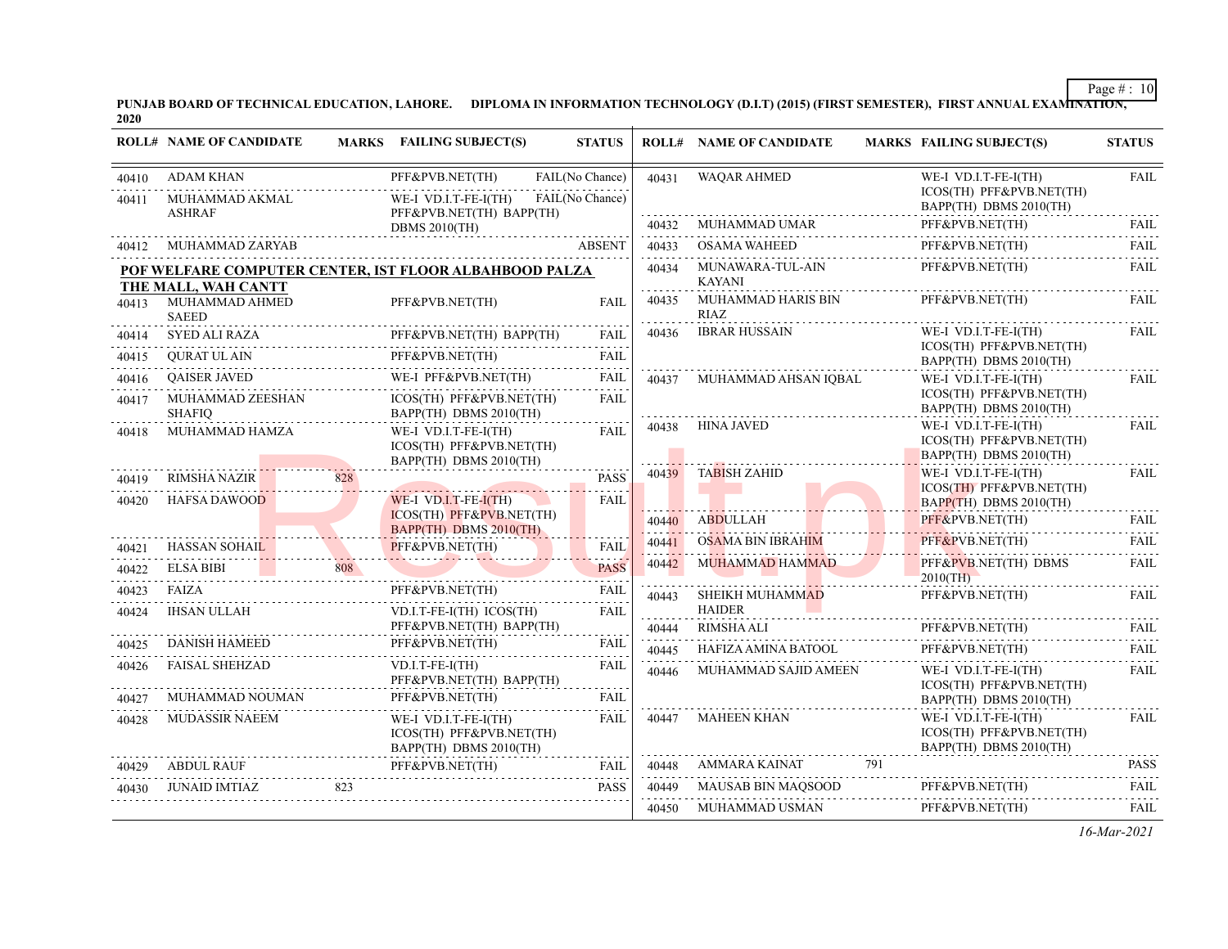PUNJAB BOARD OF TECHNICAL EDUCATION, LAHORE. DIPLOMA IN INFORMATION TECHNOLOGY (D.I.T) (2015) (FIRST SEMESTER), FIRST ANNUAL EXAMI<del>NATION,</del><br>2020

|                | <b>ROLL# NAME OF CANDIDATE</b>               |     | <b>MARKS</b> FAILING SUBJECT(S)                                            | <b>STATUS</b>                      |            | <b>ROLL# NAME OF CANDIDATE</b>                | <b>MARKS FAILING SUBJECT(S)</b>                                            | <b>STATUS</b>    |
|----------------|----------------------------------------------|-----|----------------------------------------------------------------------------|------------------------------------|------------|-----------------------------------------------|----------------------------------------------------------------------------|------------------|
| 40410<br>40411 | ADAM KHAN<br>MUHAMMAD AKMAL<br><b>ASHRAF</b> |     | PFF&PVB.NET(TH)<br>WE-I VD.I.T-FE-I(TH)<br>PFF&PVB.NET(TH) BAPP(TH)        | FAIL(No Chance)<br>FAIL(No Chance) | 40431      | <b>WAQAR AHMED</b>                            | WE-I VD.I.T-FE-I(TH)<br>ICOS(TH) PFF&PVB.NET(TH)<br>BAPP(TH) DBMS 2010(TH) | <b>FAIL</b>      |
|                |                                              |     | <b>DBMS 2010(TH)</b>                                                       |                                    | 40432      | MUHAMMAD UMAR                                 | PFF&PVB.NET(TH)                                                            | <b>FAIL</b>      |
| 40412          | MUHAMMAD ZARYAB                              |     |                                                                            | <b>ABSENT</b>                      | 40433      | OSAMA WAHEED                                  | PFF&PVB.NET(TH)                                                            | FAIL             |
|                | THE MALL, WAH CANTT                          |     | POF WELFARE COMPUTER CENTER, IST FLOOR ALBAHBOOD PALZA                     |                                    | 40434      | <u>.</u><br>MUNAWARA-TUL-AIN<br><b>KAYANI</b> | PFF&PVB.NET(TH)                                                            | <b>FAIL</b>      |
| 40413          | MUHAMMAD AHMED<br><b>SAEED</b>               |     | PFF&PVB.NET(TH)                                                            | FAIL                               | 40435      | MUHAMMAD HARIS BIN<br>RIAZ                    | PFF&PVB.NET(TH)                                                            | <b>FAIL</b>      |
| 40414          | <b>SYED ALI RAZA</b>                         |     | PFF&PVB.NET(TH) BAPP(TH)                                                   | FAIL                               | 40436      | <b>IBRAR HUSSAIN</b>                          | WE-I VD.I.T-FE-I(TH)                                                       | <b>FAIL</b>      |
| 40415          | QURAT UL AIN                                 |     | PFF&PVB.NET(TH)                                                            | <b>FAIL</b>                        |            |                                               | ICOS(TH) PFF&PVB.NET(TH)<br>BAPP(TH) DBMS 2010(TH)                         |                  |
| 40416          | <b>OAISER JAVED</b>                          |     | WE-I PFF&PVB.NET(TH)                                                       | <b>FAIL</b>                        | 40437      | MUHAMMAD AHSAN IOBAL                          | WE-I VD.I.T-FE-I(TH)                                                       | <b>FAIL</b>      |
| 40417          | MUHAMMAD ZEESHAN<br><b>SHAFIQ</b>            |     | ICOS(TH) PFF&PVB.NET(TH)<br>BAPP(TH) DBMS 2010(TH)                         | <b>FAIL</b>                        |            |                                               | ICOS(TH) PFF&PVB.NET(TH)<br>BAPP(TH) DBMS 2010(TH)                         |                  |
| 40418          | MUHAMMAD HAMZA                               |     | WE-I VD.I.T-FE-I(TH)<br>ICOS(TH) PFF&PVB.NET(TH)<br>BAPP(TH) DBMS 2010(TH) | FAIL                               | 40438      | HINA JAVED                                    | WE-I VD.I.T-FE-I(TH)<br>ICOS(TH) PFF&PVB.NET(TH)<br>BAPP(TH) DBMS 2010(TH) | FAIL             |
| 40419          | <b>RIMSHA NAZIR</b>                          | 828 |                                                                            | <b>PASS</b>                        | 40439      | <b>TABISH ZAHID</b>                           | WE-I VD.I.T-FE-I(TH)                                                       | FAIL             |
| 40420          | <b>HAFSA DAWOOD</b>                          |     | WE-I VD.I.T-FE- $I(TH)$                                                    | <b>FAIL</b>                        |            |                                               | ICOS(TH) PFF&PVB.NET(TH)<br>$BAPP(TH)$ DBMS 2010(TH)                       |                  |
|                |                                              |     | ICOS(TH) PFF&PVB.NET(TH)<br>BAPP(TH) DBMS 2010(TH)                         |                                    | 40440      | ABDULLAH                                      | PFF&PVB.NET(TH)                                                            | <b>FAIL</b>      |
| 40421          | <b>HASSAN SOHAIL</b>                         |     | PFF&PVB.NET(TH)                                                            | <b>FAIL</b>                        | 40441      | OSAMA BIN IBRAHIM                             | PFF&PVB.NET(TH)                                                            | <b>FAIL</b>      |
| 40422          | <b>ELSA BIBI</b>                             | 808 |                                                                            | <b>PASS</b>                        | 40442      | MUHAMMAD HAMMAD                               | PFF&PVB.NET(TH) DBMS<br>$2010$ (TH)                                        | FAIL             |
| 40423          | FAIZA                                        |     | PFF&PVB.NET(TH)                                                            | FAIL                               | 40443      | SHEIKH MUHAMMAD                               | PFF&PVB.NET(TH)                                                            | .<br>FAIL        |
| 40424          | IHSAN ULLAH                                  |     | $VD.I.T-FE-I(TH) ICOS(TH)$                                                 | FAIL                               |            | <b>HAIDER</b>                                 |                                                                            |                  |
| 40425          | <b>DANISH HAMEED</b>                         |     | PFF&PVB.NET(TH) BAPP(TH)<br>PFF&PVB.NET(TH)                                | <b>FAIL</b>                        | 40444      | RIMSHA ALI                                    | PFF&PVB.NET(TH)                                                            | FAIL.            |
| 40426          | FAISAL SHEHZAD                               |     | $VD.I.T-FE-I(TH)$                                                          | FAIL                               | 40445      | HAFIZA AMINA BATOOL                           | PFF&PVB.NET(TH)                                                            | FAIL             |
|                |                                              |     | PFF&PVB.NET(TH) BAPP(TH)                                                   |                                    | 40446      | MUHAMMAD SAJID AMEEN                          | WE-I VD.I.T-FE-I(TH)<br>ICOS(TH) PFF&PVB.NET(TH)                           | FAIL             |
| 40427          | MUHAMMAD NOUMAN                              |     | PFF&PVB.NET(TH)                                                            | FAIL                               |            |                                               | BAPP(TH) DBMS 2010(TH)                                                     |                  |
| 40428          | MUDASSIR NAEEM                               |     | WE-I VD.I.T-FE-I(TH)<br>ICOS(TH) PFF&PVB.NET(TH)<br>BAPP(TH) DBMS 2010(TH) | FAIL                               | 40447      | MAHEEN KHAN                                   | WE-I VD.I.T-FE-I(TH)<br>ICOS(TH) PFF&PVB.NET(TH)<br>BAPP(TH) DBMS 2010(TH) | FAIL             |
| 40429          | ABDUL RAUF                                   |     | PFF&PVB.NET(TH)                                                            | FAIL                               | 40448<br>. | AMMARA KAINAT<br>791                          |                                                                            | <b>PASS</b><br>. |
| 40430          | JUNAID IMTIAZ                                | 823 |                                                                            | <b>PASS</b>                        | 40449      | MAUSAB BIN MAQSOOD                            | PFF&PVB.NET(TH)<br><u>.</u> .                                              | FAII.            |
|                |                                              |     |                                                                            |                                    | 40450      | MUHAMMAD USMAN                                | PFF&PVB.NET(TH)                                                            | FAIL             |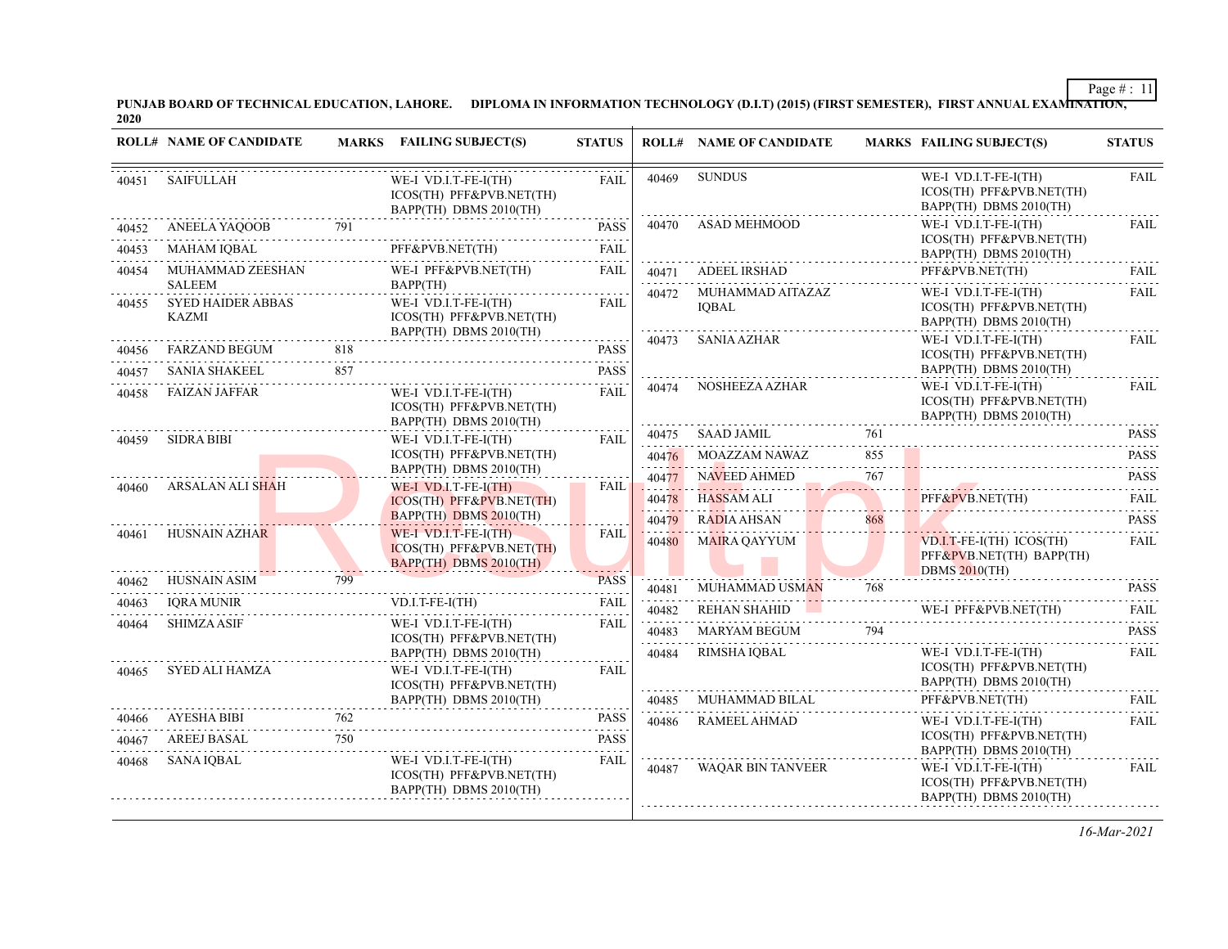PUNJAB BOARD OF TECHNICAL EDUCATION, LAHORE. DIPLOMA IN INFORMATION TECHNOLOGY (D.I.T) (2015) (FIRST SEMESTER), FIRST ANNUAL EXAMI<del>NATION,</del><br>2020

|       | <b>ROLL# NAME OF CANDIDATE</b>                            |     | <b>MARKS</b> FAILING SUBJECT(S)                                               | <b>STATUS</b> |       | <b>ROLL# NAME OF CANDIDATE</b>         |     | <b>MARKS FAILING SUBJECT(S)</b>                                                | <b>STATUS</b>                                                                                                                                                            |
|-------|-----------------------------------------------------------|-----|-------------------------------------------------------------------------------|---------------|-------|----------------------------------------|-----|--------------------------------------------------------------------------------|--------------------------------------------------------------------------------------------------------------------------------------------------------------------------|
| 40451 | SAIFULLAH                                                 |     | WE-I VD.I.T-FE-I(TH)<br>ICOS(TH) PFF&PVB.NET(TH)<br>BAPP(TH) DBMS 2010(TH)    | <b>FAIL</b>   | 40469 | <b>SUNDUS</b>                          |     | WE-I VD.I.T-FE-I(TH)<br>ICOS(TH) PFF&PVB.NET(TH)<br>BAPP(TH) DBMS 2010(TH)     | <b>FAIL</b>                                                                                                                                                              |
| 40452 | ANEELA YAQOOB                                             | 791 |                                                                               | <b>PASS</b>   | 40470 | ASAD MEHMOOD                           |     | WE-I VD.I.T-FE-I(TH)                                                           | <b>FAIL</b>                                                                                                                                                              |
| 40453 | MAHAM IQBAL                                               |     | PFF&PVB.NET(TH)                                                               | <b>FAIL</b>   |       |                                        |     | ICOS(TH) PFF&PVB.NET(TH)<br>BAPP(TH) DBMS 2010(TH)                             |                                                                                                                                                                          |
| 40454 | MUHAMMAD ZEESHAN                                          |     | WE-I PFF&PVB.NET(TH)                                                          | FAIL          |       | 40471 ADEEL IRSHAD                     |     | PFF&PVB.NET(TH)                                                                | <b>FAIL</b><br>.                                                                                                                                                         |
| 40455 | <b>SALEEM</b><br><b>SYED HAIDER ABBAS</b><br><b>KAZMI</b> |     | BAPP(TH)<br>WE-I VD.I.T-FE-I(TH)<br>ICOS(TH) PFF&PVB.NET(TH)                  | FAIL          |       | 40472 MUHAMMAD AITAZAZ<br><b>IOBAL</b> |     | WE-I VD.I.T-FE-I(TH)<br>ICOS(TH) PFF&PVB.NET(TH)<br>BAPP(TH) DBMS 2010(TH)     | FAIL                                                                                                                                                                     |
| 40456 |                                                           |     | BAPP(TH) DBMS 2010(TH)                                                        | <b>PASS</b>   | 40473 | SANIA AZHAR                            |     | WE-I VD.I.T-FE-I(TH)                                                           | <b>FAIL</b>                                                                                                                                                              |
| 40457 | FARZAND BEGUM 818<br>SANIA SHAKEEL                        | 857 |                                                                               | <b>PASS</b>   |       |                                        |     | ICOS(TH) PFF&PVB.NET(TH)<br>BAPP(TH) DBMS 2010(TH)                             |                                                                                                                                                                          |
| 40458 | <b>FAIZAN JAFFAR</b>                                      |     | WE-I VD.I.T-FE-I(TH)<br>ICOS(TH) PFF&PVB.NET(TH)<br>BAPP(TH) DBMS 2010(TH)    | <b>FAIL</b>   | 40474 | NOSHEEZA AZHAR                         |     | WE-I VD.I.T-FE-I(TH)<br>ICOS(TH) PFF&PVB.NET(TH)<br>BAPP(TH) DBMS 2010(TH)     | <b>FAIL</b>                                                                                                                                                              |
| 40459 | SIDRA BIBI                                                |     | WE-I VD.I.T-FE-I(TH)                                                          | <b>FAIL</b>   | 40475 | <b>SAAD JAMIL</b>                      | 761 |                                                                                | <b>PASS</b>                                                                                                                                                              |
|       |                                                           |     | ICOS(TH) PFF&PVB.NET(TH)                                                      |               | 40476 | MOAZZAM NAWAZ                          | 855 |                                                                                | $\frac{1}{2} \left( \frac{1}{2} \right) \left( \frac{1}{2} \right) \left( \frac{1}{2} \right) \left( \frac{1}{2} \right) \left( \frac{1}{2} \right)$<br><b>PASS</b><br>. |
|       | ARSALAN ALI SHAH                                          |     | BAPP(TH) DBMS 2010(TH)<br>WE-I VD.I.T-FE-I(TH)                                | FAIL          | 40477 | NAVEED AHMED                           | 767 |                                                                                | <b>PASS</b>                                                                                                                                                              |
| 40460 |                                                           |     | ICOS(TH) PFF&PVB.NET(TH)                                                      |               | 40478 | <b>HASSAM ALI</b>                      |     | PFF&PVB.NET(TH)<br>PFF&PVB.NET(TH)                                             | <b>FAIL</b><br>.                                                                                                                                                         |
|       |                                                           |     | BAPP(TH) DBMS 2010(TH)                                                        |               | 40479 | RADIA AHSAN                            | 868 |                                                                                | <b>PASS</b>                                                                                                                                                              |
| 40461 | HUSNAIN AZHAR                                             |     | WE-I VD.I.T-FE-I $(TH)$<br>ICOS(TH) PFF&PVB.NET(TH)<br>BAPP(TH) DBMS 2010(TH) | <b>FAIL</b>   | 40480 | MAIRA QAYYUM                           |     | $VD.I.T-FE-I(TH) ICOS(TH)$<br>PFF&PVB.NET(TH) BAPP(TH)<br><b>DBMS 2010(TH)</b> | FAIL                                                                                                                                                                     |
| 40462 | <b>HUSNAIN ASIM</b>                                       | 799 |                                                                               | <b>PASS</b>   | 40481 | MUHAMMAD USM <mark>AN</mark>           | 768 |                                                                                | <b>PASS</b>                                                                                                                                                              |
| 40463 | <b>IQRA MUNIR</b>                                         |     | VD.I.T-FE-I(TH)                                                               | <b>FAIL</b>   | 40482 | REHAN SHAHID                           |     | WE-I PFF&PVB.NET(TH)                                                           | FAIL                                                                                                                                                                     |
| 40464 | <b>SHIMZA ASIF</b>                                        |     | WE-I VD.I.T-FE-I(TH)                                                          | <b>FAIL</b>   | 40483 | MARYAM BEGUM                           | 794 |                                                                                | .<br><b>PASS</b>                                                                                                                                                         |
|       |                                                           |     | ICOS(TH) PFF&PVB.NET(TH)<br>BAPP(TH) DBMS 2010(TH)                            |               | 40484 | RIMSHA IQBAL                           |     | WE-I VD.I.T-FE-I(TH)                                                           | <b>FAIL</b>                                                                                                                                                              |
| 40465 | SYED ALI HAMZA                                            |     | WE-I VD.I.T-FE-I(TH)<br>ICOS(TH) PFF&PVB.NET(TH)                              | <b>FAIL</b>   |       |                                        |     | ICOS(TH) PFF&PVB.NET(TH)<br>BAPP(TH) DBMS 2010(TH)                             |                                                                                                                                                                          |
|       |                                                           |     | BAPP(TH) DBMS 2010(TH)                                                        |               | 40485 | MUHAMMAD BILAL                         |     | PFF&PVB.NET(TH)                                                                | FAII.<br>.                                                                                                                                                               |
| 40466 | AYESHA BIBI<br>ESHA BIBI 762                              | 762 |                                                                               | <b>PASS</b>   | 40486 | RAMEEL AHMAD                           |     | WE-I VD.I.T-FE-I(TH)                                                           | FAIL                                                                                                                                                                     |
| 40467 | AREEJ BASAL                                               | 750 |                                                                               | <b>PASS</b>   |       |                                        |     | ICOS(TH) PFF&PVB.NET(TH)<br>BAPP(TH) DBMS 2010(TH)                             |                                                                                                                                                                          |
| 40468 | SANA IOBAL                                                |     | WE-I VD.I.T-FE-I(TH)<br>ICOS(TH) PFF&PVB.NET(TH)<br>BAPP(TH) DBMS 2010(TH)    | <b>FAIL</b>   | 40487 | WAOAR BIN TANVEER                      |     | WE-I VD.I.T-FE-I(TH)<br>ICOS(TH) PFF&PVB.NET(TH)<br>BAPP(TH) DBMS 2010(TH)     | <b>FAIL</b>                                                                                                                                                              |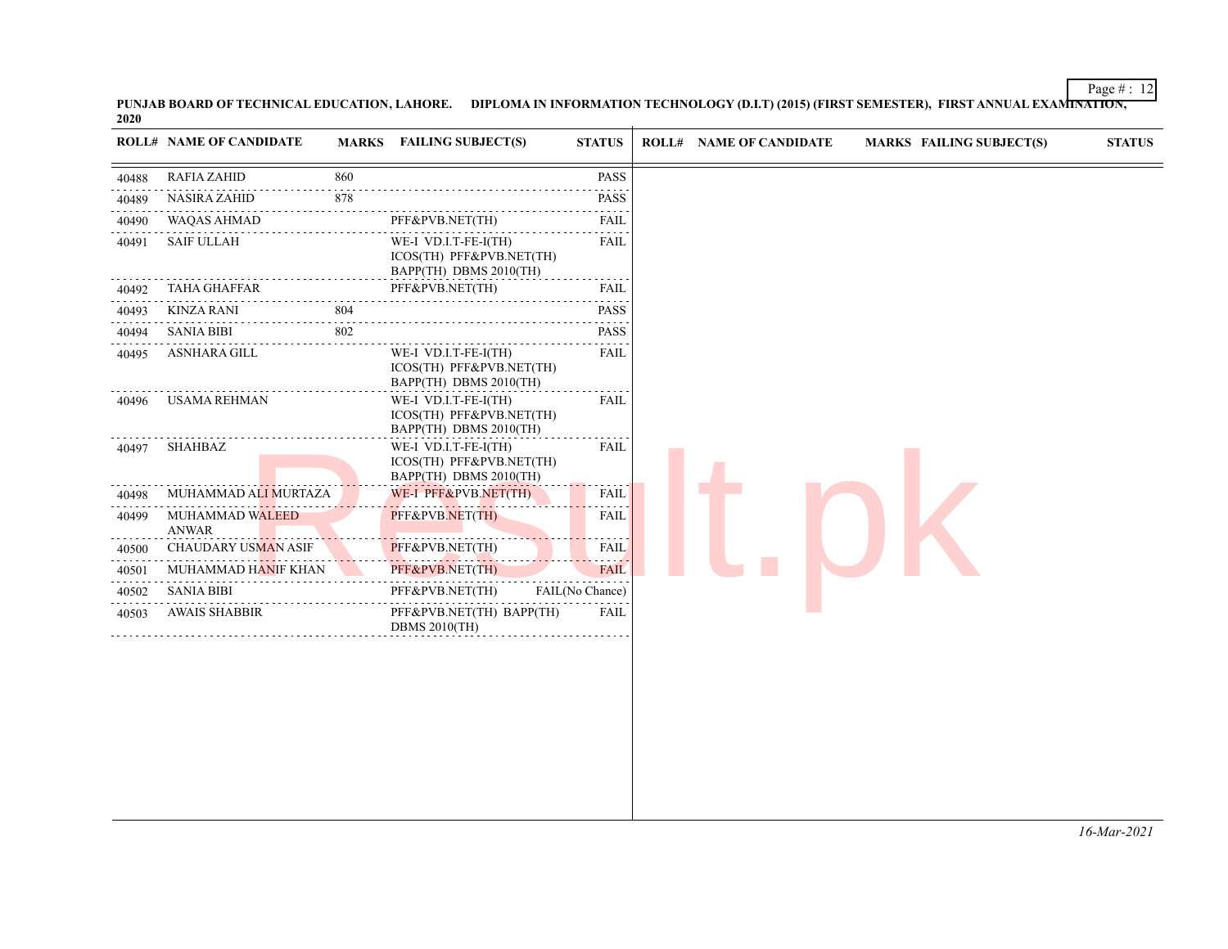PUNJAB BOARD OF TECHNICAL EDUCATION, LAHORE. DIPLOMA IN INFORMATION TECHNOLOGY (D.I.T) (2015) (FIRST SEMESTER), FIRST ANNUAL EXAMI<del>NATION,</del><br>2020

| 860<br><b>PASS</b><br><b>RAFIA ZAHID</b><br>40488<br><b>NASIRA ZAHID</b><br>878<br><b>PASS</b><br>40489<br>$\omega_{\rm c} = \omega_{\rm c} = \omega_{\rm c}$<br><b>WAQAS AHMAD</b><br>PFF&PVB.NET(TH)<br>FAIL<br>40490<br><b>SAIF ULLAH</b><br>WE-I VD.I.T-FE-I(TH)<br>FAIL<br>40491<br>ICOS(TH) PFF&PVB.NET(TH)<br>BAPP(TH) DBMS 2010(TH)<br><b>TAHA GHAFFAR</b><br>PFF&PVB.NET(TH)<br>FAIL<br>40492<br>$\mathcal{L}^{\mathcal{A}}\left( \mathcal{L}^{\mathcal{A}}\right) =\mathcal{L}^{\mathcal{A}}\left( \mathcal{L}^{\mathcal{A}}\right)$<br>804<br><b>PASS</b><br>KINZA RANI<br>40493<br>802<br><b>SANIA BIBI</b><br><b>PASS</b><br>40494<br>WE-I VD.I.T-FE-I(TH)<br>ASNHARA GILL<br>FAIL<br>40495<br>ICOS(TH) PFF&PVB.NET(TH)<br>BAPP(TH) DBMS 2010(TH)<br>WE-I VD.I.T-FE-I(TH)<br>USAMA REHMAN<br>FAIL<br>40496<br>ICOS(TH) PFF&PVB.NET(TH)<br>BAPP(TH) DBMS 2010(TH)<br>WE-I VD.I.T-FE-I(TH)<br>SHAHBAZ<br>FAIL<br>40497<br>ICOS(TH) PFF&PVB.NET(TH)<br>BAPP(TH) DBMS 2010(TH)<br>WE-I PFF&PVB.NET(TH)<br>FAIL<br>MUHAMMAD ALI MURTAZA<br>40498<br>PFF&PVB.NET(TH)<br>MUHAMMAD WALEED<br>FAIL<br>40499<br><b>ANWAR</b><br>PFF&PVB.NET(TH)<br><b>CHAUDARY USMAN ASIF</b><br>FAIL<br>40500<br>PFF&PVB.NET(TH)<br>MUHAMMAD HANIF KHAN<br><b>FAIL</b><br>40501<br><b>SANIA BIBI</b><br>PFF&PVB.NET(TH)<br>FAIL(No Chance)<br>40502<br><b>AWAIS SHABBIR</b><br>PFF&PVB.NET(TH) BAPP(TH)<br>FAIL<br>40503<br><b>DBMS 2010(TH)</b> | <b>ROLL# NAME OF CANDIDATE</b> | <b>MARKS</b> FAILING SUBJECT(S) | <b>STATUS</b> | <b>ROLL# NAME OF CANDIDATE</b> | <b>MARKS FAILING SUBJECT(S)</b> | <b>STATUS</b> |
|--------------------------------------------------------------------------------------------------------------------------------------------------------------------------------------------------------------------------------------------------------------------------------------------------------------------------------------------------------------------------------------------------------------------------------------------------------------------------------------------------------------------------------------------------------------------------------------------------------------------------------------------------------------------------------------------------------------------------------------------------------------------------------------------------------------------------------------------------------------------------------------------------------------------------------------------------------------------------------------------------------------------------------------------------------------------------------------------------------------------------------------------------------------------------------------------------------------------------------------------------------------------------------------------------------------------------------------------------------------------------------------------------------------------------------------|--------------------------------|---------------------------------|---------------|--------------------------------|---------------------------------|---------------|
|                                                                                                                                                                                                                                                                                                                                                                                                                                                                                                                                                                                                                                                                                                                                                                                                                                                                                                                                                                                                                                                                                                                                                                                                                                                                                                                                                                                                                                      |                                |                                 |               |                                |                                 |               |
|                                                                                                                                                                                                                                                                                                                                                                                                                                                                                                                                                                                                                                                                                                                                                                                                                                                                                                                                                                                                                                                                                                                                                                                                                                                                                                                                                                                                                                      |                                |                                 |               |                                |                                 |               |
|                                                                                                                                                                                                                                                                                                                                                                                                                                                                                                                                                                                                                                                                                                                                                                                                                                                                                                                                                                                                                                                                                                                                                                                                                                                                                                                                                                                                                                      |                                |                                 |               |                                |                                 |               |
|                                                                                                                                                                                                                                                                                                                                                                                                                                                                                                                                                                                                                                                                                                                                                                                                                                                                                                                                                                                                                                                                                                                                                                                                                                                                                                                                                                                                                                      |                                |                                 |               |                                |                                 |               |
|                                                                                                                                                                                                                                                                                                                                                                                                                                                                                                                                                                                                                                                                                                                                                                                                                                                                                                                                                                                                                                                                                                                                                                                                                                                                                                                                                                                                                                      |                                |                                 |               |                                |                                 |               |
|                                                                                                                                                                                                                                                                                                                                                                                                                                                                                                                                                                                                                                                                                                                                                                                                                                                                                                                                                                                                                                                                                                                                                                                                                                                                                                                                                                                                                                      |                                |                                 |               |                                |                                 |               |
|                                                                                                                                                                                                                                                                                                                                                                                                                                                                                                                                                                                                                                                                                                                                                                                                                                                                                                                                                                                                                                                                                                                                                                                                                                                                                                                                                                                                                                      |                                |                                 |               |                                |                                 |               |
|                                                                                                                                                                                                                                                                                                                                                                                                                                                                                                                                                                                                                                                                                                                                                                                                                                                                                                                                                                                                                                                                                                                                                                                                                                                                                                                                                                                                                                      |                                |                                 |               |                                |                                 |               |
|                                                                                                                                                                                                                                                                                                                                                                                                                                                                                                                                                                                                                                                                                                                                                                                                                                                                                                                                                                                                                                                                                                                                                                                                                                                                                                                                                                                                                                      |                                |                                 |               |                                |                                 |               |
|                                                                                                                                                                                                                                                                                                                                                                                                                                                                                                                                                                                                                                                                                                                                                                                                                                                                                                                                                                                                                                                                                                                                                                                                                                                                                                                                                                                                                                      |                                |                                 |               |                                |                                 |               |
|                                                                                                                                                                                                                                                                                                                                                                                                                                                                                                                                                                                                                                                                                                                                                                                                                                                                                                                                                                                                                                                                                                                                                                                                                                                                                                                                                                                                                                      |                                |                                 |               |                                |                                 |               |
|                                                                                                                                                                                                                                                                                                                                                                                                                                                                                                                                                                                                                                                                                                                                                                                                                                                                                                                                                                                                                                                                                                                                                                                                                                                                                                                                                                                                                                      |                                |                                 |               |                                |                                 |               |
|                                                                                                                                                                                                                                                                                                                                                                                                                                                                                                                                                                                                                                                                                                                                                                                                                                                                                                                                                                                                                                                                                                                                                                                                                                                                                                                                                                                                                                      |                                |                                 |               |                                |                                 |               |
|                                                                                                                                                                                                                                                                                                                                                                                                                                                                                                                                                                                                                                                                                                                                                                                                                                                                                                                                                                                                                                                                                                                                                                                                                                                                                                                                                                                                                                      |                                |                                 |               |                                |                                 |               |
|                                                                                                                                                                                                                                                                                                                                                                                                                                                                                                                                                                                                                                                                                                                                                                                                                                                                                                                                                                                                                                                                                                                                                                                                                                                                                                                                                                                                                                      |                                |                                 |               |                                |                                 |               |
|                                                                                                                                                                                                                                                                                                                                                                                                                                                                                                                                                                                                                                                                                                                                                                                                                                                                                                                                                                                                                                                                                                                                                                                                                                                                                                                                                                                                                                      |                                |                                 |               |                                |                                 |               |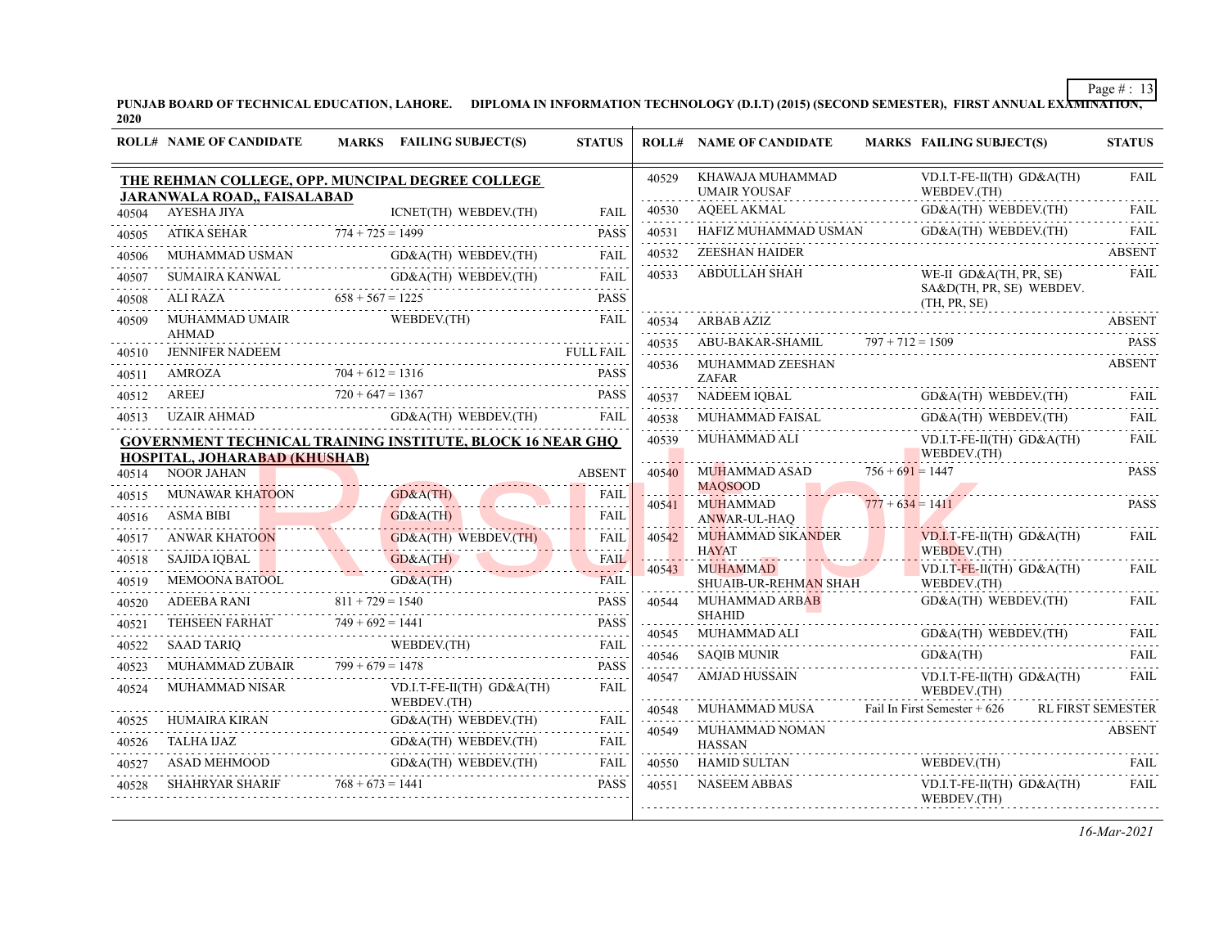PUNJAB BOARD OF TECHNICAL EDUCATION, LAHORE. DIPLOMA IN INFORMATION TECHNOLOGY (D.I.T) (2015) (SECOND SEMESTER), FIRST ANNUAL EXA<del>MINATION,</del><br>2020

|                | <b>ROLL# NAME OF CANDIDATE</b>                                                         |                    | <b>MARKS</b> FAILING SUBJECT(S)              | <b>STATUS</b>              |            | <b>ROLL# NAME OF CANDIDATE</b>                                               |                    | <b>MARKS FAILING SUBJECT(S)</b>                                    | <b>STATUS</b>            |
|----------------|----------------------------------------------------------------------------------------|--------------------|----------------------------------------------|----------------------------|------------|------------------------------------------------------------------------------|--------------------|--------------------------------------------------------------------|--------------------------|
|                | THE REHMAN COLLEGE, OPP. MUNCIPAL DEGREE COLLEGE<br><b>JARANWALA ROAD,, FAISALABAD</b> |                    |                                              |                            | 40529      | KHAWAJA MUHAMMAD<br><b>UMAIR YOUSAF</b>                                      |                    | VD.I.T-FE-II(TH) GD&A(TH)<br>WEBDEV.(TH)                           | <b>FAIL</b>              |
| 40504          | AYESHA JIYA                                                                            |                    | ICNET(TH) WEBDEV.(TH)                        | FAII.                      | 40530      | AQEEL AKMAL                                                                  |                    | GD&A(TH) WEBDEV.(TH)                                               | <b>FAIL</b>              |
| 40505          | ATIKA SEHAR                                                                            |                    | KA SEHAR $774 + 725 = 1499$                  | <b>PASS</b>                | 40531      | HAFIZ MUHAMMAD USMAN GD&A(TH) WEBDEV.(TH)                                    |                    |                                                                    | <b>FAIL</b>              |
| 40506          | MUHAMMAD USMAN GD&A(TH) WEBDEV.(TH)                                                    |                    |                                              | and a state<br><b>FAIL</b> | 40532      | <b>ZEESHAN HAIDER</b>                                                        |                    |                                                                    | <b>ABSENT</b>            |
| 40507          |                                                                                        |                    |                                              |                            | 40533      | <b>ABDULLAH SHAH</b>                                                         |                    | WE-II GD&A(TH, PR, SE)                                             | FAIL                     |
| 40508          | SUMAIRA KANWAL GD&A(TH) WEBDEV(TH) FAIL ALI RAZA 658 + 567 = 1225 PASS                 |                    |                                              |                            |            |                                                                              |                    | SA&D(TH, PR, SE) WEBDEV.<br>(TH, PR, SE)                           |                          |
| 40509          | <b>MUHAMMAD UMAIR</b>                                                                  |                    | WEBDEV.(TH)                                  | FAIL                       | 40534      | ARBAB AZIZ                                                                   |                    |                                                                    |                          |
| 40510          | AHMAD                                                                                  |                    |                                              |                            | 40535      | ABU-BAKAR-SHAMIL $797 + 712 = 1509$                                          |                    |                                                                    | <b>PASS</b><br>.         |
| 40511          | FULL FAIL<br>AMROZA 704 + 612 = 1316 PASS<br>AMROZA 704 + 612 = 1316                   |                    |                                              |                            | 40536      | MUHAMMAD ZEESHAN<br><b>ZAFAR</b>                                             |                    |                                                                    | <b>ABSENT</b>            |
| 40512          | AREEJ $720 + 647 = 1367$ PASS                                                          | $720 + 647 = 1367$ |                                              | <b>PASS</b>                | 40537      | NADEEM IQBAL                                                                 |                    | GD&A(TH) WEBDEV.(TH)                                               | FAIL                     |
| 40513          | UZAIR AHMAD                                                                            |                    | GD&A(TH) WEBDEV.(TH)                         | FAIL                       | 40538      | MUHAMMAD FAISAL                                                              |                    | GD&A(TH) WEBDEV.(TH)                                               | FAIL                     |
|                | <b>GOVERNMENT TECHNICAL TRAINING INSTITUTE, BLOCK 16 NEAR GHQ</b>                      |                    |                                              |                            | 40539      | MUHAMMAD ALI                                                                 |                    | VD.I.T-FE-II(TH) GD&A(TH)                                          | FAIL                     |
|                | HOSPITAL, JOHARABAD (KHUSHAB)                                                          |                    |                                              | <b>ABSENT</b>              | 40540      | MUHAMMAD ASAD                                                                | $756 + 691 = 1447$ | WEBDEV.(TH)<br>.                                                   | <b>PASS</b>              |
| 40514<br>40515 | NOOR JAHAN                                                                             | GD&A(TH)           |                                              | <b>FAIL</b>                |            | <b>MAOSOOD</b>                                                               |                    | <u> 1988 - Januar Jacobson, Amerikaansk polit</u> ik               |                          |
| 40516          | MUNAWAR KHATOON<br><b>ASMA BIBI</b>                                                    | GD&A(TH)           |                                              | .<br><b>FAIL</b>           | 40541      | <b>MUHAMMAD</b>                                                              | $777 + 634 = 1411$ |                                                                    | <b>PASS</b>              |
| 40517          |                                                                                        |                    | $GD&A(TH)$ WEBDEV.(TH)                       | .<br><b>FAIL</b>           | 40542      | ANWAR-UL-HAQ<br>MUHAMMAD SIKANDER                                            |                    | $VD.I.T$ -FE-II(TH) $GD&A(TH)$                                     | <b>FAIL</b>              |
| 40518          | ANWAR KHATOON                                                                          |                    |                                              | <u>.</u><br><b>FAIL</b>    |            | <b>HAYAT</b>                                                                 |                    | WEBDEV.(TH)                                                        |                          |
| 40519          | SAJIDA IQBAL GD&A(TH)<br>MEMOONA BATOOL GD&A(TH)                                       | GD&A(TH)           |                                              | لأعاماها<br><b>FAIL</b>    | 40543      | <b>MUHAMMAD</b>                                                              |                    | $VD.I.T-FE-II(TH)$ $GD&A(TH)$<br>WEBDEV.(TH)                       | <b>FAIL</b>              |
| 40520          |                                                                                        |                    |                                              | .                          | 40544      | SHUAIB-UR-REHMAN SHAH<br><b>MUHAMMAD ARBAB</b>                               |                    |                                                                    |                          |
| 40521          | ADEEBA RANI $811 + 729 = 1540$ PASS<br>TEHSEEN FARHAT $749 + 692 = 1441$ PASS          |                    |                                              |                            |            | <b>SHAHID</b>                                                                |                    |                                                                    |                          |
| 40522          | <b>SAAD TARIO</b>                                                                      |                    | ND TARIQ WEBDEV. (TH) FAIL                   |                            | 40545      | $\begin{array}{cccc}\n\text{MUHAMMAD ALI} \\ \text{MUHAMMAD} \\ \end{array}$ |                    | GD&A(TH) WEBDEV.(TH)                                               | <b>FAIL</b>              |
| 40523          | MUHAMMAD ZUBAIR $799 + 679 = 1478$                                                     |                    |                                              | <b>PASS</b>                | 40546      | SAQIB MUNIR                                                                  |                    | GD&A(TH)                                                           | <b>FAIL</b>              |
| 40524          | MUHAMMAD NISAR                                                                         |                    | $VD.I.T-FE-II(TH)$ $GD&A(TH)$<br>WEBDEV.(TH) | .<br><b>FAIL</b>           | 40547      | <b>AMJAD HUSSAIN</b>                                                         |                    | VD.I.T-FE-II(TH) GD&A(TH)<br>WEBDEV.(TH)                           | FAIL                     |
| 40525          | HUMAIRA KIRAN G                                                                        |                    | GD&A(TH) WEBDEV.(TH)                         | FAIL                       | 40548<br>. | MUHAMMAD MUSA                                                                |                    | Fail In First Semester + $626$                                     | <b>RL FIRST SEMESTER</b> |
| 40526          |                                                                                        |                    |                                              | .                          | 40549      | MUHAMMAD NOMAN<br><b>HASSAN</b>                                              |                    |                                                                    | <b>ABSENT</b>            |
| 40527          | TALHA UAZ GD&A(TH) WEBDEV.(TH) FAIL ASAD MEHMOOD GD&A(TH) WEBDEV.(TH) FAIL             |                    |                                              |                            | 40550      | <b>HAMID SULTAN</b>                                                          |                    | $\begin{array}{lll}\n\text{WEBDEV(TH)} & \text{FAM} \n\end{array}$ |                          |
| 40528          | <b>SHAHRYAR SHARIF</b>                                                                 | $768 + 673 = 1441$ |                                              | <b>PASS</b>                | 40551      | NASEEM ABBAS                                                                 |                    | VD.I.T-FE-II(TH) GD&A(TH)<br>WEBDEV.(TH)                           | FAIL                     |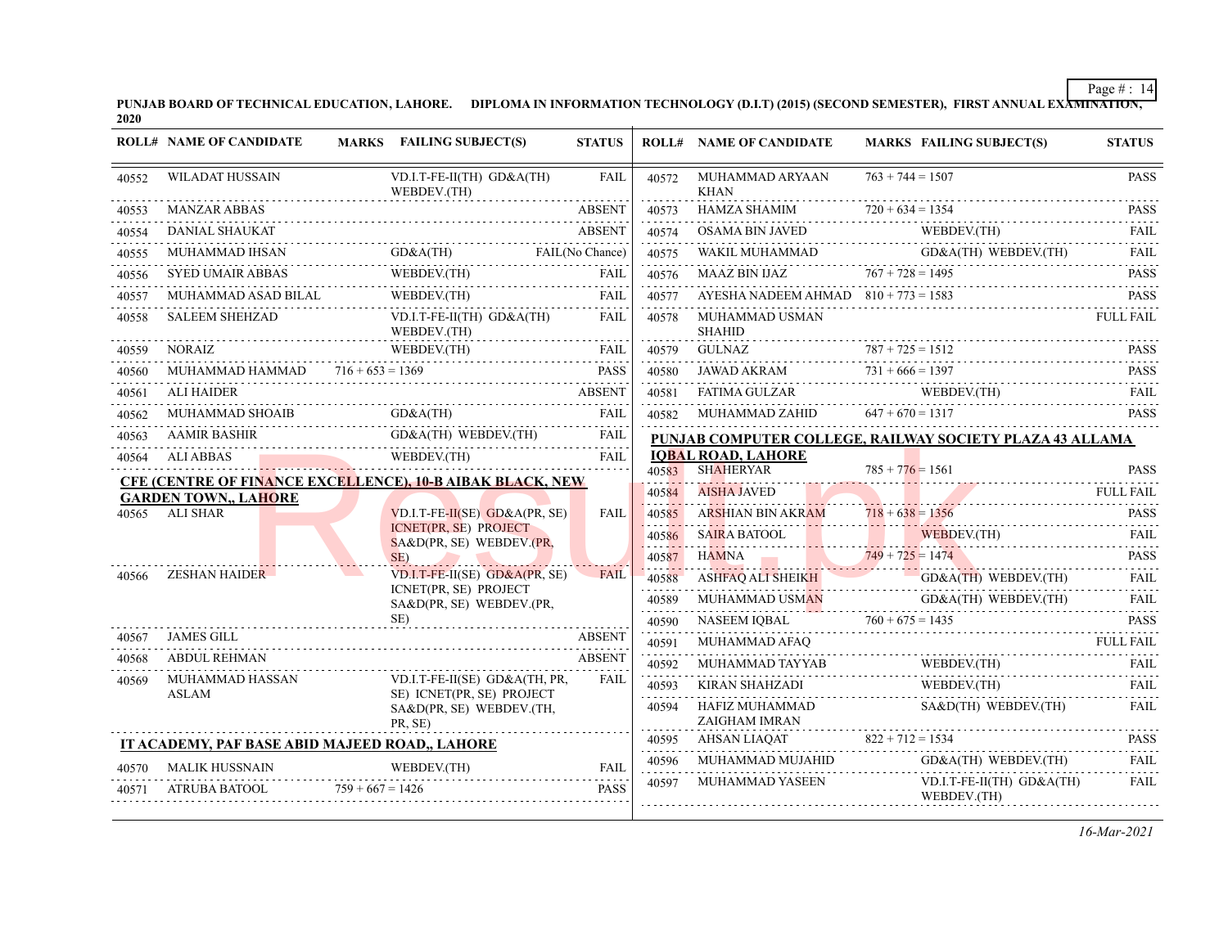PUNJAB BOARD OF TECHNICAL EDUCATION, LAHORE. DIPLOMA IN INFORMATION TECHNOLOGY (D.I.T) (2015) (SECOND SEMESTER), FIRST ANNUAL EXA<del>MINATION,</del><br>2020

|       | <b>ROLL# NAME OF CANDIDATE</b>                                   |                                                            | MARKS FAILING SUBJECT(S)                              | <b>STATUS</b> |                | <b>ROLL# NAME OF CANDIDATE</b>                 | <b>MARKS FAILING SUBJECT(S)</b>                                | <b>STATUS</b>    |
|-------|------------------------------------------------------------------|------------------------------------------------------------|-------------------------------------------------------|---------------|----------------|------------------------------------------------|----------------------------------------------------------------|------------------|
| 40552 | <b>WILADAT HUSSAIN</b>                                           |                                                            | VD.I.T-FE-II(TH) GD&A(TH)<br>WEBDEV.(TH)              | <b>FAIL</b>   | 40572          | MUHAMMAD ARYAAN<br><b>KHAN</b>                 | $763 + 744 = 1507$                                             | <b>PASS</b><br>. |
| 40553 | <b>MANZAR ABBAS</b>                                              |                                                            |                                                       | <b>ABSENT</b> | 40573          | HAMZA SHAMIM                                   | $720 + 634 = 1354$                                             | <b>PASS</b>      |
| 40554 | <b>DANIAL SHAUKAT</b>                                            |                                                            |                                                       | <b>ABSENT</b> | 40574          | OSAMA BIN JAVED                                | WEBDEV.(TH)                                                    | FAII.<br>1.11111 |
| 40555 | MUHAMMAD IHSAN                                                   |                                                            | HAMMAD IHSAN GD&A(TH) FAIL(No Chance)                 |               | 40575          | WAKIL MUHAMMAD                                 | GD&A(TH) WEBDEV.(TH)                                           | FAII.<br>.       |
| 40556 | <b>SYED UMAIR ABBAS</b>                                          |                                                            | WEBDEV.(TH)                                           | <b>FAIL</b>   | 40576          | MAAZ BIN IJAZ $767 + 728 = 1495$               |                                                                | <b>PASS</b>      |
| 40557 | MUHAMMAD ASAD BILAL                                              |                                                            | WEBDEV.(TH)                                           | <b>FAIL</b>   | 40577          | AYESHA NADEEM AHMAD $810 + 773 = 1583$         |                                                                | <b>PASS</b>      |
| 40558 | <b>SALEEM SHEHZAD</b>                                            |                                                            | VD.I.T-FE-II(TH) GD&A(TH)<br>WEBDEV.(TH)              | FAIL          | 40578          | MUHAMMAD USMAN<br><b>SHAHID</b>                |                                                                | <b>FULL FAIL</b> |
| 40559 | <b>NORAIZ</b>                                                    |                                                            | WEBDEV.(TH)<br>WEBDEV.(TH) FAIL                       | FAIL          | 40579<br>.     | <b>GULNAZ</b>                                  | $787 + 725 = 1512$                                             | <b>PASS</b>      |
| 40560 | MUHAMMAD HAMMAD $716 + 653 = 1369$                               |                                                            |                                                       | PASS          | 40580          |                                                | $731 + 666 = 1397$                                             |                  |
| 40561 | <b>ALI HAIDER</b>                                                |                                                            |                                                       | <b>ABSENT</b> | 40581          | FATIMA GULZAR                                  | WEBDEV.(TH)                                                    | FAIL             |
| 40562 |                                                                  |                                                            |                                                       |               | 40582          | MUHAMMAD ZAHID                                 | $647 + 670 = 1317$                                             | <b>PASS</b>      |
| 40563 | <b>AAMIR BASHIR</b>                                              |                                                            | R BASHIR GD&A(TH) WEBDEV(TH) FAIL                     | <b>FAIL</b>   |                |                                                | PUNJAB COMPUTER COLLEGE, RAILWAY SOCIETY PLAZA 43 ALLAMA       |                  |
| 40564 | ALI ABBAS WEBDEV. (TH)<br><b>ALI ABBAS</b>                       |                                                            |                                                       | <b>FAIL</b>   |                | <b>IOBAL ROAD, LAHORE</b><br><b>SHAHERYAR</b>  | $785 + 776 = 1561$                                             | <b>PASS</b>      |
|       | <b>CFE (CENTRE OF FINANCE EXCELLENCE), 10-B AIBAK BLACK, NEW</b> |                                                            |                                                       |               | 40583<br>40584 | <b>AISHA JAVED</b>                             |                                                                | <b>FULL FAIL</b> |
| 40565 | <b>GARDEN TOWN,, LAHORE</b><br>ALI SHAR                          | $VD.I.T-FE-II(SE) GO&A(PR, SE)$<br>ICNET(PR, SE) PROJECT   |                                                       | FAIL          | 40585          | ARSHIAN BIN AKRAM                              | $718 + 638 = 1356$                                             | .<br><b>PASS</b> |
|       |                                                                  |                                                            |                                                       | 40586         | SAIRA BATOOL   | WEBDEV.(TH)                                    | .<br><b>FAIL</b>                                               |                  |
|       |                                                                  | SA&D(PR, SE) WEBDEV.(PR,<br>SE)                            |                                                       |               | 40587          |                                                |                                                                | <b>PASS</b>      |
| 40566 | <b>ZESHAN HAIDER</b>                                             | $VD.I.T-FE-II(SE)$ $GD&A(PR, SE)$<br>ICNET(PR, SE) PROJECT |                                                       | <b>FAIL</b>   | 40588          |                                                | HAMNA $749 + 725 = 1474$                                       | <b>FAIL</b>      |
|       |                                                                  |                                                            |                                                       |               | 40589          | MUHAMMAD USMAN                                 | ASHFAQ ALI SHEIKH GD&A(TH) WEBDEV.(TH)<br>GD&A(TH) WEBDEV.(TH) | <b>FAIL</b>      |
|       |                                                                  |                                                            | SA&D(PR, SE) WEBDEV.(PR,<br>SE)                       |               | 40590          | NASEEM IOBAL                                   | $760 + 675 = 1435$ PASS                                        |                  |
| 40567 | JAMES GILL                                                       |                                                            |                                                       | <b>ABSENT</b> | 40591          | MUHAMMAD AFAQ                                  |                                                                | <b>FULL FAIL</b> |
| 40568 | <b>ABDUL REHMAN</b>                                              |                                                            |                                                       | <b>ABSENT</b> | 40592          | AD AFAQ<br>-------------------------           |                                                                |                  |
| 40569 | MUHAMMAD HASSAN                                                  |                                                            | VD.I.T-FE-II(SE) GD&A(TH, PR,                         | <b>FAIL</b>   | .<br>40593     | KIRAN SHAHZADI                                 | WEBDEV.(TH)                                                    | <b>FAIL</b>      |
|       | <b>ASLAM</b>                                                     |                                                            | SE) ICNET(PR, SE) PROJECT<br>SA&D(PR, SE) WEBDEV.(TH, |               | 40594          | HAFIZ MUHAMMAD                                 | SA&D(TH) WEBDEV.(TH)                                           | <b>FAIL</b>      |
|       |                                                                  |                                                            | PR. SE)                                               |               | 40595          | ZAIGHAM IMRAN<br>AHSAN LIAQAT 822 + 712 = 1534 |                                                                | <b>PASS</b>      |
|       | IT ACADEMY, PAF BASE ABID MAJEED ROAD,, LAHORE                   |                                                            |                                                       | <b>FAIL</b>   | 40596          | MUHAMMAD MUJAHID                               | GD&A(TH) WEBDEV.(TH)                                           | <b>FAIL</b>      |
| 40570 | <b>MALIK HUSSNAIN</b>                                            |                                                            | WEBDEV.(TH)                                           |               | 40597          | MUHAMMAD YASEEN                                | VD.I.T-FE-II(TH) GD&A(TH)                                      | .<br><b>FAIL</b> |
| 40571 | ATRUBA BATOOL<br>.                                               | $759 + 667 = 1426$                                         |                                                       | <b>PASS</b>   |                |                                                | WEBDEV.(TH)                                                    |                  |
|       |                                                                  |                                                            |                                                       |               |                |                                                |                                                                |                  |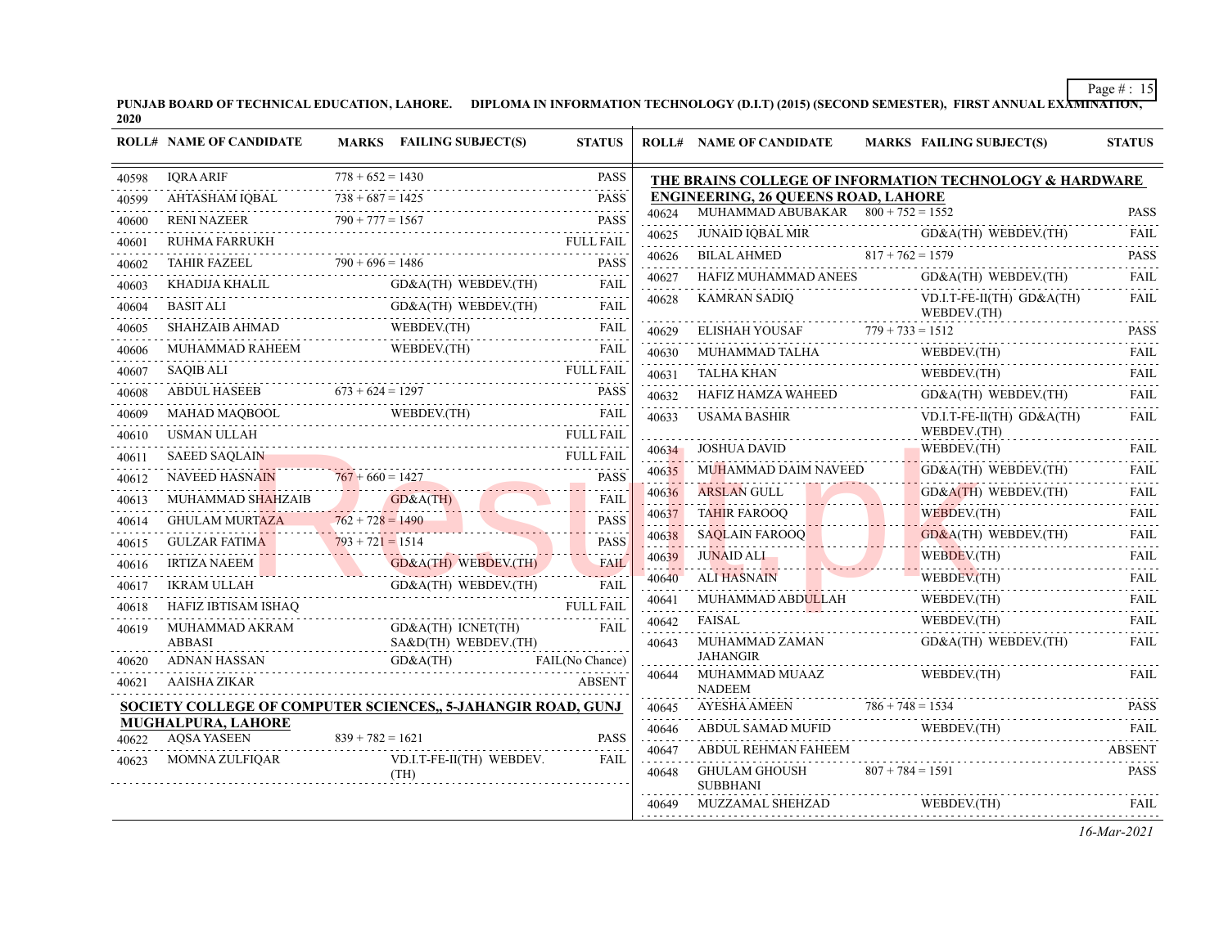PUNJAB BOARD OF TECHNICAL EDUCATION, LAHORE. DIPLOMA IN INFORMATION TECHNOLOGY (D.I.T) (2015) (SECOND SEMESTER), FIRST ANNUAL EXA<del>MINATION,</del><br>2020

|       | <b>ROLL# NAME OF CANDIDATE</b>                                    | MARKS FAILING SUBJECT(S)                                                                                                                                                                                                                                                                                                                                                                                                                                                                                                                             | <b>STATUS</b>            |            | <b>ROLL# NAME OF CANDIDATE</b>             | <b>MARKS FAILING SUBJECT(S)</b>                         | <b>STATUS</b>              |
|-------|-------------------------------------------------------------------|------------------------------------------------------------------------------------------------------------------------------------------------------------------------------------------------------------------------------------------------------------------------------------------------------------------------------------------------------------------------------------------------------------------------------------------------------------------------------------------------------------------------------------------------------|--------------------------|------------|--------------------------------------------|---------------------------------------------------------|----------------------------|
| 40598 | <b>IORA ARIF</b>                                                  | $778 + 652 = 1430$                                                                                                                                                                                                                                                                                                                                                                                                                                                                                                                                   | <b>PASS</b>              |            |                                            | THE BRAINS COLLEGE OF INFORMATION TECHNOLOGY & HARDWARE |                            |
| 40599 | AHTASHAM IQBAL                                                    | $738 + 687 = 1425$                                                                                                                                                                                                                                                                                                                                                                                                                                                                                                                                   | <b>PASS</b>              |            | <b>ENGINEERING, 26 QUEENS ROAD, LAHORE</b> |                                                         |                            |
| 40600 | <b>RENI NAZEER</b>                                                | $790 + 777 = 1567$                                                                                                                                                                                                                                                                                                                                                                                                                                                                                                                                   | <b>PASS</b>              | 40624      | MUHAMMAD ABUBAKAR $800 + 752 = 1552$       |                                                         | <b>PASS</b>                |
| 40601 | RUHMA FARRUKH                                                     | $\begin{minipage}{0.5\textwidth} \begin{minipage}{0.9\textwidth} \centering \begin{minipage}{0.9\textwidth} \centering \end{minipage} \begin{minipage}{0.9\textwidth} \centering \begin{minipage}{0.9\textwidth} \centering \end{minipage} \begin{minipage}{0.9\textwidth} \centering \end{minipage} \begin{minipage}{0.9\textwidth} \centering \end{minipage} \begin{minipage}{0.9\textwidth} \centering \end{minipage} \begin{minipage}{0.9\textwidth} \centering \end{minipage} \begin{minipage}{0.9\textwidth} \centering \begin{minipage}{0.9\$ | .<br><b>FULL FAIL</b>    | 40625      | <b>JUNAID IQBAL MIR</b>                    | GD&A(TH) WEBDEV.(TH)                                    | <b>FAIL</b><br>.           |
| 40602 | <b>TAHIR FAZEEL</b>                                               | IIR FAZEEL $790 + 696 = 1486$ PASS                                                                                                                                                                                                                                                                                                                                                                                                                                                                                                                   | <b>PASS</b>              | 40626      | <b>BILAL AHMED</b>                         | $817 + 762 = 1579$                                      | <b>PASS</b>                |
| 40603 | KHADIJA KHALIL<br>)IJA KHALIL<br>-------------------------------- | GD&A(TH) WEBDEV.(TH)                                                                                                                                                                                                                                                                                                                                                                                                                                                                                                                                 | <b>FAIL</b>              | 40627      | HAFIZ MUHAMMAD ANEES                       | GD&A(TH) WEBDEV.(TH)                                    | <b>FAIL</b>                |
| 40604 | <b>BASIT ALI</b>                                                  | GD&A(TH) WEBDEV.(TH)                                                                                                                                                                                                                                                                                                                                                                                                                                                                                                                                 | <b>FAIL</b>              | 40628      | <b>KAMRAN SADIQ</b>                        | VD.I.T-FE-II(TH) GD&A(TH)<br>WEBDEV.(TH)                | FAIL                       |
| 40605 | <b>SHAHZAIB AHMAD</b>                                             | AIB AHMAD WEBDEV(TH)                                                                                                                                                                                                                                                                                                                                                                                                                                                                                                                                 | FAIL                     | 40629      |                                            | ELISHAH YOUSAF $779 + 733 = 1512$                       | PASS                       |
| 40606 |                                                                   | WEBDEV.(TH)<br>MUHAMMAD RAHEEM WEBDEV.(TH) FAIL                                                                                                                                                                                                                                                                                                                                                                                                                                                                                                      |                          | 40630      | MUHAMMAD TALHA                             | WEBDEV.(TH)                                             | in dia ara-<br><b>FAIL</b> |
| 40607 | <b>SAQIB ALI</b>                                                  |                                                                                                                                                                                                                                                                                                                                                                                                                                                                                                                                                      | <b>FULL FAIL</b>         | 40631      | <b>TALHA KHAN</b>                          | WEBDEV.(TH)                                             | <b>FAIL</b>                |
| 40608 | <b>ABDUL HASEEB</b>                                               | $\overline{673 + 624} = 1297$ PASS                                                                                                                                                                                                                                                                                                                                                                                                                                                                                                                   |                          | 40632      | HAFIZ HAMZA WAHEED<br><u>.</u>             | GD&A(TH) WEBDEV.(TH)                                    | <b>FAIL</b>                |
| 40609 | MAHAD MAQBOOL                                                     | OOL WEBDEV.(TH)                                                                                                                                                                                                                                                                                                                                                                                                                                                                                                                                      | FAIL                     | 40633      | <b>USAMA BASHIR</b>                        | $VD.I.T-FE-II(TH) GD&A(TH)$                             | <b>FAIL</b>                |
| 40610 | USMAN ULLAH                                                       |                                                                                                                                                                                                                                                                                                                                                                                                                                                                                                                                                      | <b>FULL FAIL</b>         |            |                                            | WEBDEV.(TH)                                             |                            |
| 40611 | <b>SAEED SAQLAIN</b>                                              |                                                                                                                                                                                                                                                                                                                                                                                                                                                                                                                                                      | <b>FULL FAIL</b>         |            | 40634 JOSHUA DAVID                         | WEBDEV.(TH)                                             | FAIL                       |
| 40612 | <b>NAVEED HASNAIN</b>                                             | $767 + 660 = 1427$                                                                                                                                                                                                                                                                                                                                                                                                                                                                                                                                   | <b>PASS</b><br>.         | 40635      | MUHAMMAD DAIM NAVEED                       | GD&A(TH) WEBDEV.(TH)                                    | FAIL                       |
| 40613 | MUHAMMAD SHAHZAIB                                                 | MAD SHAHZAIB GD&A(TH)                                                                                                                                                                                                                                                                                                                                                                                                                                                                                                                                | <b>FAIL</b><br>.         | 40636      | ARSLAN GULL                                | $GD&A(TH)$ WEBDEV.(TH)                                  | <b>FAIL</b>                |
| 40614 | GHULAM MURTAZA $762 + 728 = 1490$                                 |                                                                                                                                                                                                                                                                                                                                                                                                                                                                                                                                                      | <b>PASS</b><br>a a a a a | 40637      | <b>TAHIR FAROOQ</b>                        | WEBDEV.(TH)                                             | <b>FAIL</b><br>.           |
| 40615 | <b>GULZAR FATIMA</b>                                              | $793 + 721 = 1514$                                                                                                                                                                                                                                                                                                                                                                                                                                                                                                                                   | <b>PASS</b>              | 40638      | S AQLAIN FAROOQ                            | $GD&A(TH)$ WEBDEV.(TH)                                  | <b>FAIL</b>                |
| 40616 | <b>IRTIZA NAEEM</b>                                               | GD&A(TH) WEBDEV.(TH)                                                                                                                                                                                                                                                                                                                                                                                                                                                                                                                                 | FAIL                     | 40639      | <b>JUNAID ALI</b>                          | WEBDEV.(TH)                                             | FAIL                       |
| 40617 | IKRAM ULLAH                                                       | GD&A(TH) WEBDEV.(TH)<br>TH GD&A(TH) WEBDEV.(TH)                                                                                                                                                                                                                                                                                                                                                                                                                                                                                                      | <b>FAIL</b>              | 40640      | <b>ALI HASNAIN</b>                         | WEBDEV.(TH)                                             | FAIL<br>.                  |
| 40618 | HAFIZ IBTISAM ISHAQ                                               |                                                                                                                                                                                                                                                                                                                                                                                                                                                                                                                                                      | <b>FULL FAIL</b>         | 40641      | MUHAMMAD ABDULLAH                          | WEBDEV.(TH)                                             | <b>FAIL</b>                |
| 40619 | MUHAMMAD AKRAM                                                    | GD&A(TH) ICNET(TH)                                                                                                                                                                                                                                                                                                                                                                                                                                                                                                                                   | <b>FAIL</b>              | 40642      | FAISAL                                     | WEBDEV.(TH)                                             | FAII.                      |
|       | <b>ABBASI</b>                                                     | SA&D(TH) WEBDEV.(TH)                                                                                                                                                                                                                                                                                                                                                                                                                                                                                                                                 |                          | 40643      | MUHAMMAD ZAMAN<br><b>JAHANGIR</b>          | GD&A(TH) WEBDEV.(TH)                                    | <b>FAIL</b>                |
| 40620 | ADNAN HASSAN                                                      | GD&A(TH)<br>AN GD&A(TH) FAIL(No Chance)                                                                                                                                                                                                                                                                                                                                                                                                                                                                                                              | FAIL(No Chance)          | 40644      | MUHAMMAD MUAAZ                             | WEBDEV.(TH)                                             | <b>FAIL</b>                |
| 40621 | AAISHA ZIKAR                                                      |                                                                                                                                                                                                                                                                                                                                                                                                                                                                                                                                                      | <b>ABSENT</b>            |            | <b>NADEEM</b>                              |                                                         |                            |
|       |                                                                   | SOCIETY COLLEGE OF COMPUTER SCIENCES,, 5-JAHANGIR ROAD, GUNJ                                                                                                                                                                                                                                                                                                                                                                                                                                                                                         |                          | 40645<br>. | AYESHA AMEEN                               | $786 + 748 = 1534$                                      | <b>PASS</b>                |
| 40622 | <b>MUGHALPURA, LAHORE</b><br><b>AQSA YASEEN</b>                   | $839 + 782 = 1621$                                                                                                                                                                                                                                                                                                                                                                                                                                                                                                                                   | <b>PASS</b>              | 40646      | ABDUL SAMAD MUFID                          | AD MUFID WEBDEV.(TH) FAIL<br>$WEBDEV(TH)$               |                            |
|       | MOMNA ZULFIQAR                                                    | VD.I.T-FE-II(TH) WEBDEV.                                                                                                                                                                                                                                                                                                                                                                                                                                                                                                                             | <b>FAIL</b>              | 40647      | ABDUL REHMAN FAHEEM                        |                                                         | ABSENT                     |
| 40623 |                                                                   | (TH)                                                                                                                                                                                                                                                                                                                                                                                                                                                                                                                                                 |                          | 40648      | GHULAM GHOUSH<br><b>SUBBHANI</b>           | $807 + 784 = 1591$                                      | <b>PASS</b>                |
|       |                                                                   |                                                                                                                                                                                                                                                                                                                                                                                                                                                                                                                                                      |                          | 40649      | MUZZAMAL SHEHZAD                           | WEBDEV.(TH)                                             | FAIL.                      |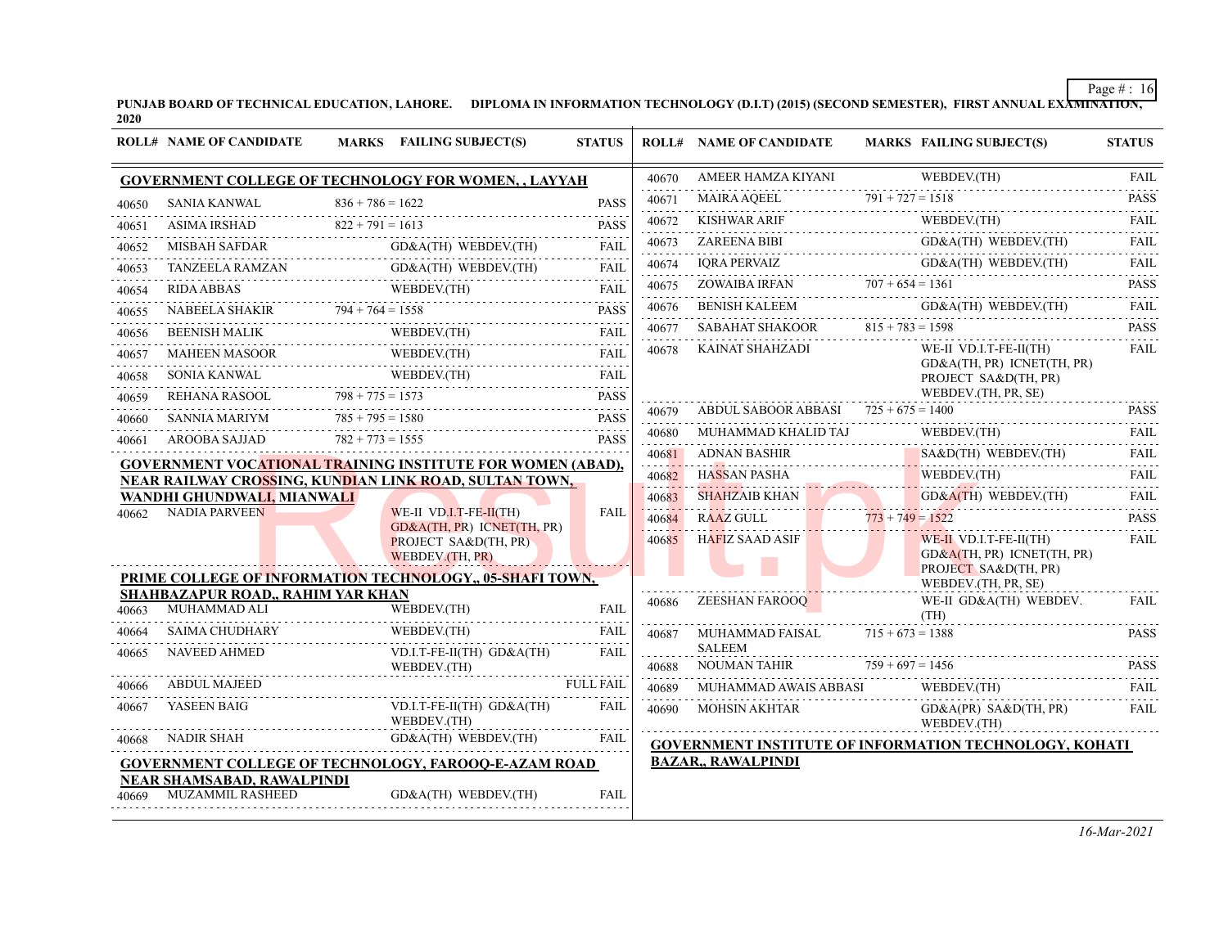PUNJAB BOARD OF TECHNICAL EDUCATION, LAHORE. DIPLOMA IN INFORMATION TECHNOLOGY (D.I.T) (2015) (SECOND SEMESTER), FIRST ANNUAL EXA<del>MINATION,</del><br>2020

|       | <b>ROLL# NAME OF CANDIDATE</b>                                            |                    | MARKS FAILING SUBJECT(S)                                                                                                                                                                                                                                                                                                                                                                                                                             | <b>STATUS</b>               |                             | <b>ROLL# NAME OF CANDIDATE</b>            |                    | <b>MARKS FAILING SUBJECT(S)</b>                                                | <b>STATUS</b>               |
|-------|---------------------------------------------------------------------------|--------------------|------------------------------------------------------------------------------------------------------------------------------------------------------------------------------------------------------------------------------------------------------------------------------------------------------------------------------------------------------------------------------------------------------------------------------------------------------|-----------------------------|-----------------------------|-------------------------------------------|--------------------|--------------------------------------------------------------------------------|-----------------------------|
|       |                                                                           |                    | <b>GOVERNMENT COLLEGE OF TECHNOLOGY FOR WOMEN,, LAYYAH</b>                                                                                                                                                                                                                                                                                                                                                                                           |                             | 40670                       | AMEER HAMZA KIYANI                        |                    | WEBDEV.(TH)                                                                    | <b>FAIL</b><br>.            |
| 40650 | SANIA KANWAL                                                              | $836 + 786 = 1622$ |                                                                                                                                                                                                                                                                                                                                                                                                                                                      | <b>PASS</b>                 | 40671                       | MAIRA AOEEL                               | $791 + 727 = 1518$ |                                                                                | <b>PASS</b><br><u>.</u>     |
| 40651 | <b>ASIMA IRSHAD</b>                                                       | $822 + 791 = 1613$ |                                                                                                                                                                                                                                                                                                                                                                                                                                                      | <b>PASS</b>                 | 40672                       | <b>KISHWAR ARIF</b>                       |                    | WEBDEV.(TH)                                                                    | <b>FAIL</b>                 |
| 40652 |                                                                           |                    | $GD&A(TH)$ WEBDEV.(TH)                                                                                                                                                                                                                                                                                                                                                                                                                               | FAII.                       | 40673                       | <b>ZAREENA BIBI</b>                       |                    | GD&A(TH) WEBDEV.(TH)                                                           | FAIL<br>.                   |
| 40653 |                                                                           |                    | GD&A(TH) WEBDEV.(TH)<br>TANZEELA RAMZAN GD&A(TH) WEBDEV.(TH)                                                                                                                                                                                                                                                                                                                                                                                         | <b>FAIL</b>                 | 40674                       | <b>IORA PERVAIZ</b>                       |                    | GD&A(TH) WEBDEV.(TH)                                                           | FAIL<br>do do do            |
| 40654 |                                                                           |                    |                                                                                                                                                                                                                                                                                                                                                                                                                                                      |                             | 40675                       | ZOWAIBA IRFAN                             | $707 + 654 = 1361$ |                                                                                | <b>PASS</b><br>$-1 - 1 - 1$ |
| 40655 |                                                                           |                    | $\begin{tabular}{lllllllll} \multicolumn{2}{l} \textbf{RIDA ABBAS} & \multicolumn{2}{l} \textbf{WEDBEV.(TH)} & \multicolumn{2}{l} \textbf{FAIL} \\ \multicolumn{2}{l} \textbf{NABEELA SHAKIR} & \multicolumn{2}{l} \textbf{794} + \textbf{764} = 1558 & \multicolumn{2}{l} \textbf{PASS} \\ \multicolumn{2}{l} \textbf{NABEELA SHAKIR} & \multicolumn{2}{l} \textbf{794} + \textbf{764} = 1558 & \multicolumn{2}{l} \textbf{PASS} \\ \multicolumn{2$ |                             | 40676                       | <b>BENISH KALEEM</b>                      |                    | GD&A(TH) WEBDEV.(TH)                                                           | FAIL<br>.                   |
| 40656 | <b>BEENISH MALIK</b><br>NISH MALIK<br>----------------------------------- |                    | WEBDEV.(TH)<br>WEBDEV(TH)                                                                                                                                                                                                                                                                                                                                                                                                                            | <b>FAIL</b>                 | 40677                       | SABAHAT SHAKOOR                           | $815 + 783 = 1598$ |                                                                                | <b>PASS</b><br>.            |
| 40657 | MAHEEN MASOOR                                                             |                    | WEBDEV.(TH)<br>MAHEEN MASOOR WEBDEV.(TH)                                                                                                                                                                                                                                                                                                                                                                                                             | الداعات عامل<br><b>FAIL</b> | 40678                       | KAINAT SHAHZADI                           |                    | WE-II VD.I.T-FE-II(TH)                                                         | <b>FAIL</b>                 |
| 40658 |                                                                           |                    | WEBDEV.(TH)<br>$\begin{array}{cccc}\n\textbf{WEBDEV.} \text{(TH)}\n\end{array}$                                                                                                                                                                                                                                                                                                                                                                      | <b>FAIL</b>                 |                             |                                           |                    | GD&A(TH, PR) ICNET(TH, PR)<br>PROJECT SA&D(TH, PR)                             |                             |
| 40659 | REHANA RASOOL $798 + 775 = 1573$                                          |                    | $798 + 775 = 1573$                                                                                                                                                                                                                                                                                                                                                                                                                                   | .<br><b>PASS</b>            |                             |                                           |                    | WEBDEV.(TH, PR, SE)                                                            |                             |
| 40660 | SANNIA MARIYM                                                             | $785 + 795 = 1580$ |                                                                                                                                                                                                                                                                                                                                                                                                                                                      | .<br><b>PASS</b>            | 40679                       | ABDUL SABOOR ABBASI $725 + 675 = 1400$    |                    |                                                                                | <b>PASS</b><br>.            |
| 40661 | AROOBA SAJJAD                                                             | $782 + 773 = 1555$ |                                                                                                                                                                                                                                                                                                                                                                                                                                                      | <b>PASS</b>                 | 40680                       | MUHAMMAD KHALID TAJ                       |                    | WEBDEV.(TH)                                                                    | <b>FAIL</b>                 |
|       |                                                                           |                    | <b>GOVERNMENT VOCATIONAL TRAINING INSTITUTE FOR WOMEN (ABAD),</b>                                                                                                                                                                                                                                                                                                                                                                                    |                             |                             | <b>ADNAN BASHIR</b><br>40681 ADNAN BASHIR |                    | SA&D(TH) WEBDEV.(TH)                                                           | <b>FAIL</b><br>.            |
|       |                                                                           |                    | NEAR RAILWAY CROSSING, KUNDIAN LINK ROAD, SULTAN TOWN,                                                                                                                                                                                                                                                                                                                                                                                               |                             | 40682                       | HASSAN PASHA                              |                    | WEBDEV.(TH)                                                                    | FAIL<br>.                   |
|       | WANDHI GHUNDWALI, MIANWALI                                                |                    |                                                                                                                                                                                                                                                                                                                                                                                                                                                      |                             | 40683                       | <b>SHAHZAIB KHAN</b>                      |                    | $GD&A(TH)$ WEBDEV.(TH)                                                         | <b>FAIL</b>                 |
| 40662 | <b>NADIA PARVEEN</b>                                                      |                    | WE-II VD.I.T-FE-II(TH)<br>GD&A(TH, PR) ICNET(TH, PR)                                                                                                                                                                                                                                                                                                                                                                                                 | <b>FAIL</b>                 | 40684                       | <b>RAAZ GULL</b>                          | $773 + 749 = 1522$ |                                                                                | <b>PASS</b><br>.            |
|       |                                                                           |                    | PROJECT SA&D(TH, PR)<br>WEBDEV.(TH, PR)                                                                                                                                                                                                                                                                                                                                                                                                              |                             | 40685                       | HAFIZ SAAD ASIF                           |                    | $WE-II VD.I.T-FE-II(TH)$<br>GD&A(TH, PR) ICNET(TH, PR)<br>PROJECT SA&D(TH, PR) | <b>FAIL</b>                 |
|       |                                                                           |                    | PRIME COLLEGE OF INFORMATION TECHNOLOGY,, 05-SHAFI TOWN,                                                                                                                                                                                                                                                                                                                                                                                             |                             |                             |                                           |                    | WEBDEV.(TH, PR, SE)                                                            |                             |
| 40663 | SHAHBAZAPUR ROAD., RAHIM YAR KHAN<br>MUHAMMAD ALI                         |                    | WEBDEV.(TH)                                                                                                                                                                                                                                                                                                                                                                                                                                          | <b>FAIL</b>                 | 40686                       | ZEESHAN FAROOO                            |                    | WE-II GD&A(TH) WEBDEV.<br>(TH)                                                 | <b>FAIL</b>                 |
| 40664 | <b>SAIMA CHUDHARY</b>                                                     |                    | WEBDEV.(TH)                                                                                                                                                                                                                                                                                                                                                                                                                                          | <b>FAIL</b>                 | 40687                       | MUHAMMAD FAISAL                           | $715 + 673 = 1388$ |                                                                                | <b>PASS</b>                 |
| 40665 | <b>NAVEED AHMED</b>                                                       |                    | $VD.I.T-FE-II(TH)$ $GD&A(TH)$<br>WEBDEV.(TH)                                                                                                                                                                                                                                                                                                                                                                                                         | FAIL                        | 40688                       | <b>SALEEM</b><br>NOUMAN TAHIR             | $759 + 697 = 1456$ |                                                                                | <b>PASS</b>                 |
| 40666 | <b>ABDUL MAJEED</b>                                                       |                    |                                                                                                                                                                                                                                                                                                                                                                                                                                                      | <b>FULL FAIL</b>            | and a state of the<br>40689 | MUHAMMAD AWAIS ABBASI                     |                    | WEBDEV.(TH)                                                                    | FAIL                        |
| 40667 | YASEEN BAIG                                                               |                    | VD.I.T-FE-II(TH) GD&A(TH)<br>WEBDEV.(TH)                                                                                                                                                                                                                                                                                                                                                                                                             | <b>FAIL</b>                 | 40690                       | <b>MOHSIN AKHTAR</b>                      |                    | $GD&A(PR)$ $SA&D(TH, PR)$<br>WEBDEV.(TH)                                       | <b>FAIL</b>                 |
| 40668 | NADIR SHAH                                                                |                    | GD&A(TH) WEBDEV.(TH)                                                                                                                                                                                                                                                                                                                                                                                                                                 | FAIL                        |                             |                                           |                    | <b>GOVERNMENT INSTITUTE OF INFORMATION TECHNOLOGY, KOHATI</b>                  |                             |
|       |                                                                           |                    | <b>GOVERNMENT COLLEGE OF TECHNOLOGY, FAROOO-E-AZAM ROAD</b>                                                                                                                                                                                                                                                                                                                                                                                          |                             |                             | <b>BAZAR,, RAWALPINDI</b>                 |                    |                                                                                |                             |
| 40669 | <b>NEAR SHAMSABAD, RAWALPINDI</b><br>MUZAMMIL RASHEED                     |                    | GD&A(TH) WEBDEV.(TH)                                                                                                                                                                                                                                                                                                                                                                                                                                 | FAIL                        |                             |                                           |                    |                                                                                |                             |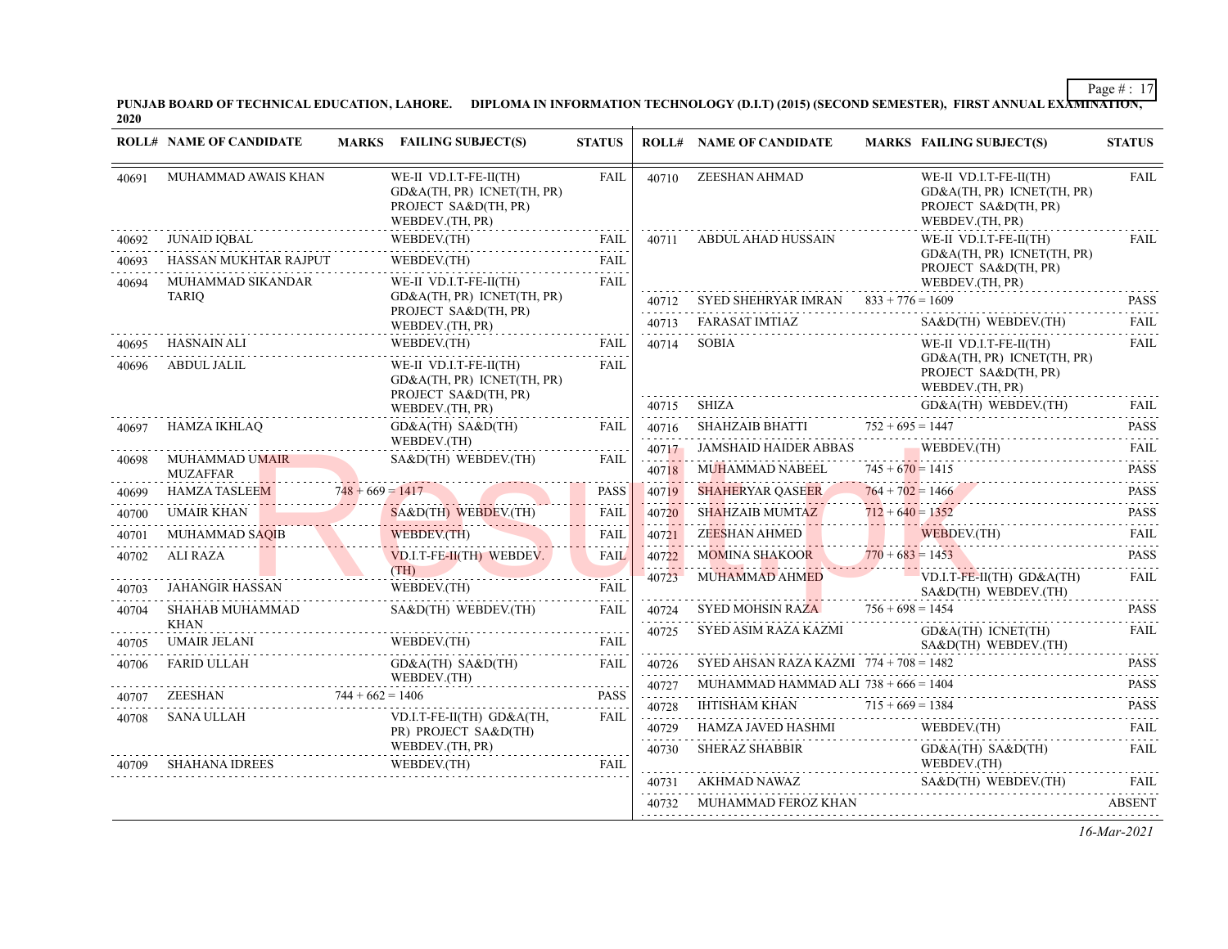PUNJAB BOARD OF TECHNICAL EDUCATION, LAHORE. DIPLOMA IN INFORMATION TECHNOLOGY (D.I.T) (2015) (SECOND SEMESTER), FIRST ANNUAL EXA<del>MINATION,</del><br>2020

|       | <b>ROLL# NAME OF CANDIDATE</b> | MARKS FAILING SUBJECT(S)                                                                        | <b>STATUS</b> |            | <b>ROLL# NAME OF CANDIDATE</b>               |                    | <b>MARKS FAILING SUBJECT(S)</b>                                                                 | <b>STATUS</b>                 |
|-------|--------------------------------|-------------------------------------------------------------------------------------------------|---------------|------------|----------------------------------------------|--------------------|-------------------------------------------------------------------------------------------------|-------------------------------|
| 40691 | MUHAMMAD AWAIS KHAN            | WE-II VD.I.T-FE-II(TH)<br>GD&A(TH, PR) ICNET(TH, PR)<br>PROJECT SA&D(TH, PR)<br>WEBDEV.(TH, PR) | <b>FAIL</b>   | 40710      | ZEESHAN AHMAD                                |                    | WE-II VD.I.T-FE-II(TH)<br>GD&A(TH, PR) ICNET(TH, PR)<br>PROJECT SA&D(TH, PR)<br>WEBDEV.(TH, PR) | <b>FAIL</b>                   |
| 40692 | JUNAID IQBAL                   | WEBDEV.(TH)<br>WEBDEV.(TH) FAIL                                                                 | FAIL          |            | 40711 ABDUL AHAD HUSSAIN                     |                    | WE-II VD.I.T-FE-II(TH)                                                                          | <b>FAIL</b>                   |
| 40693 | HASSAN MUKHTAR RAJPUT          | WEBDEV.(TH)                                                                                     | FAIL          |            |                                              |                    | GD&A(TH, PR) ICNET(TH, PR)<br>PROJECT SA&D(TH, PR)                                              |                               |
| 40694 | MUHAMMAD SIKANDAR              | WE-II VD.I.T-FE-II(TH)                                                                          | <b>FAIL</b>   |            |                                              |                    | WEBDEV.(TH, PR)                                                                                 |                               |
|       | <b>TARIO</b>                   | GD&A(TH, PR) ICNET(TH, PR)<br>PROJECT SA&D(TH, PR)                                              |               |            | 40712 SYED SHEHRYAR IMRAN $833 + 776 = 1609$ |                    |                                                                                                 | <b>PASS</b>                   |
|       |                                | WEBDEV.(TH, PR)                                                                                 |               |            | 40713 FARASAT IMTIAZ                         |                    | SA&D(TH) WEBDEV.(TH)                                                                            | FAIL                          |
| 40695 | HASNAIN ALI                    | WEBDEV.(TH)                                                                                     | FAIL          | 40714      | <b>SOBIA</b>                                 |                    | WE-II VD.I.T-FE-II(TH)                                                                          | <b>FAIL</b>                   |
| 40696 | ABDUL JALIL                    | WE-II VD.I.T-FE-II(TH)<br>GD&A(TH, PR) ICNET(TH, PR)<br>PROJECT SA&D(TH, PR)                    | FAII.         |            |                                              |                    | GD&A(TH, PR) ICNET(TH, PR)<br>PROJECT SA&D(TH, PR)<br>WEBDEV.(TH, PR)                           |                               |
|       |                                | WEBDEV.(TH, PR)                                                                                 |               |            | 40715 SHIZA                                  |                    | GD&A(TH) WEBDEV.(TH)                                                                            | FAIL                          |
| 40697 | HAMZA IKHLAQ                   | $GD&A(TH)$ $SA&D(TH)$                                                                           | FAIL          |            | 40716 SHAHZAIB BHATTI $752 + 695 = 1447$     |                    |                                                                                                 | <b>PASS</b><br>2.2.2.2.2.1    |
|       | MUHAMMAD UMAIR                 | WEBDEV.(TH)<br>SA&D(TH) WEBDEV.(TH)                                                             | FAIL          |            |                                              |                    | 40717 JAMSHAID HAIDER ABBAS WEBDEV. (TH) FAIL                                                   |                               |
| 40698 | <b>MUZAFFAR</b>                |                                                                                                 |               | 40718      | MUHAMMAD NABEEL                              | $745 + 670 = 1415$ | REEL 745 + 670 = 1415 PASS                                                                      | <b>PASS</b>                   |
| 40699 | <b>HAMZA TASLEEM</b>           | $748 + 669 = 1417$<br>$748 + 669 = 1417$                                                        | <b>PASS</b>   | 40719      | <b>SHAHERYAR QASEER</b>                      | $764 + 702 = 1466$ | $764 + 702 = 1466$                                                                              | <b>PASS</b><br>.              |
| 40700 | UMAIR KHAN                     | SA&D(TH) WEBDEV.(TH)                                                                            | FAIL          | 40720      | <b>SHAHZAIB MUMTAZ</b>                       | $712 + 640 = 1352$ | SHAHZAIB MUMTAZ $712 + 640 = 1352$ PASS                                                         | <b>PASS</b>                   |
| 40701 | MUHAMMAD SAQIB                 | WEBDEV.(TH)                                                                                     | <b>FAIL</b>   |            | 40721 ZEESHAN AHMED                          |                    | WEBDEV.(TH)                                                                                     | FAII.<br>$\omega$ is a single |
| 40702 | ALI RAZA                       | VD.I.T-FE-II(TH) WEBDEV.                                                                        | <b>FAIL</b>   | 40722      | MOMINA SHAKOOR $770 + 683 = 1453$            |                    |                                                                                                 | <b>PASS</b>                   |
| 40703 | JAHANGIR HASSAN                | (TH)<br>WEBDEV.(TH)                                                                             | <b>FAIL</b>   | 40723      | <b>MUHAMMAD AHMED</b>                        |                    | $VD.I.T-FE-II(TH) GD&A(TH)$<br>$SAB$ (TH) WEBDEV.(TH)                                           | FAIL                          |
| 40704 | SHAHAB MUHAMMAD                | SA&D(TH) WEBDEV.(TH)                                                                            | FAIL          | 40724      | <b>SYED MOHSIN RAZA</b>                      | $756 + 698 = 1454$ |                                                                                                 | <b>PASS</b>                   |
| 40705 | <b>KHAN</b><br>UMAIR JELANI    | WEBDEV.(TH)                                                                                     | FAIL          | 40725      | SYED ASIM RAZA KAZMI                         |                    | GD&A(TH) ICNET(TH)<br>$SAB$ (TH) WEBDEV.(TH)                                                    | <b>FAIL</b>                   |
| 40706 | FARID ULLAH                    | $GD&A(TH)$ $SA&D(TH)$                                                                           | FAIL          | 40726      | SYED AHSAN RAZA KAZMI $774 + 708 = 1482$     |                    |                                                                                                 | <b>PASS</b>                   |
|       | $744 + 662 = 1406$             | WEBDEV.(TH)<br>.                                                                                |               | 40727      | MUHAMMAD HAMMAD ALI $738 + 666 = 1404$       |                    |                                                                                                 | <b>PASS</b>                   |
| 40707 | ZEESHAN                        |                                                                                                 | <b>PASS</b>   | 40728<br>. | IHTISHAM KHAN $715 + 669 = 1384$             |                    |                                                                                                 | .<br><b>PASS</b><br>.         |
| 40708 | SANA ULLAH                     | VD.I.T-FE-II(TH) GD&A(TH.<br>PR) PROJECT SA&D(TH)                                               | <b>FAIL</b>   | 40729      | HAMZA JAVED HASHMI                           |                    | WEBDEV.(TH)                                                                                     | <b>FAIL</b>                   |
|       | SHAHANA IDREES                 | WEBDEV.(TH, PR)<br>.<br>WEBDEV.(TH)                                                             | <b>FAIL</b>   | .<br>40730 | <b>SHERAZ SHABBIR</b>                        |                    | GD&A(TH) SA&D(TH)<br>WEBDEV.(TH)                                                                | <b>FAIL</b>                   |
|       |                                |                                                                                                 |               |            |                                              |                    | 40731 AKHMAD NAWAZ SA&D(TH) WEBDEV.(TH) FAIL                                                    |                               |
|       |                                |                                                                                                 |               | 40732      | MUHAMMAD FEROZ KHAN                          |                    |                                                                                                 | <b>ABSENT</b>                 |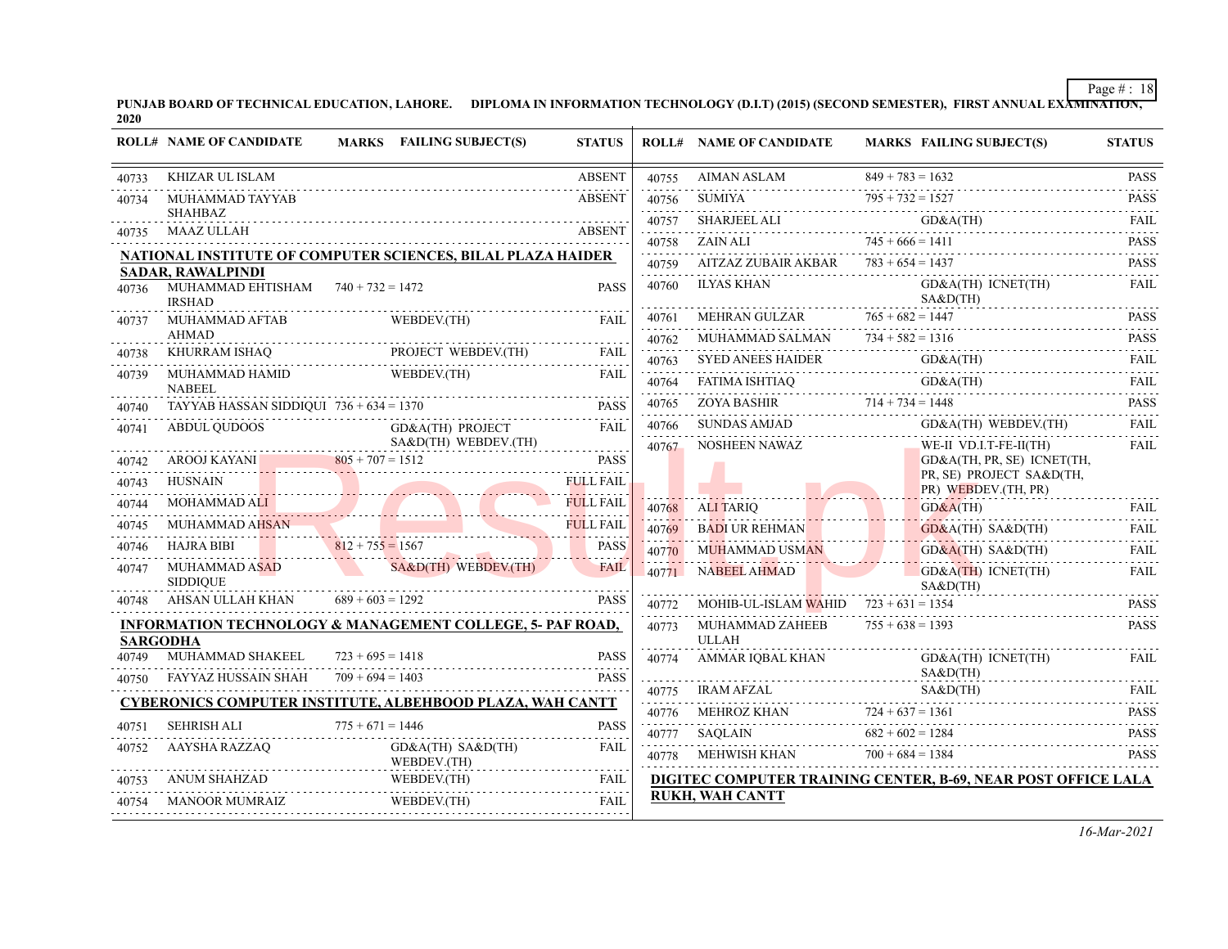PUNJAB BOARD OF TECHNICAL EDUCATION, LAHORE. DIPLOMA IN INFORMATION TECHNOLOGY (D.I.T) (2015) (SECOND SEMESTER), FIRST ANNUAL EXA<del>MINATION,</del><br>2020

|       | <b>ROLL# NAME OF CANDIDATE</b>                                                          |                                          | <b>MARKS</b> FAILING SUBJECT(S)                                                                                 | <b>STATUS</b>              |            | <b>ROLL# NAME OF CANDIDATE</b>          |                    | <b>MARKS FAILING SUBJECT(S)</b>                                             | <b>STATUS</b> |
|-------|-----------------------------------------------------------------------------------------|------------------------------------------|-----------------------------------------------------------------------------------------------------------------|----------------------------|------------|-----------------------------------------|--------------------|-----------------------------------------------------------------------------|---------------|
| 40733 | <b>KHIZAR UL ISLAM</b>                                                                  |                                          |                                                                                                                 | <b>ABSENT</b>              |            |                                         |                    |                                                                             |               |
| 40734 | MUHAMMAD TAYYAB                                                                         |                                          |                                                                                                                 | <b>ABSENT</b>              |            |                                         |                    | 40755 AIMAN ASLAM 849 + 783 = 1632<br>$\frac{40755}{795 + 732} = 1527$ PASS |               |
|       | <b>SHAHBAZ</b>                                                                          |                                          |                                                                                                                 | <b>ABSENT</b>              | 40757      |                                         |                    | SHARJEEL ALI GD&A(TH) FAIL                                                  |               |
| 40735 | MAAZ ULLAH                                                                              |                                          |                                                                                                                 |                            | 40758      | $745 + 666 = 1411$<br><b>ZAIN ALI</b>   |                    |                                                                             | <b>PASS</b>   |
|       | NATIONAL INSTITUTE OF COMPUTER SCIENCES, BILAL PLAZA HAIDER<br><b>SADAR, RAWALPINDI</b> |                                          |                                                                                                                 |                            | 40759      | AITZAZ ZUBAIR AKBAR $783 + 654 = 1437$  |                    |                                                                             | <b>PASS</b>   |
| 40736 | MUHAMMAD EHTISHAM $740 + 732 = 1472$<br><b>IRSHAD</b>                                   |                                          |                                                                                                                 | <b>PASS</b>                | 40760      | ILYAS KHAN                              |                    | GD&A(TH) ICNET(TH)<br>$SAB$ (TH)                                            | <b>FAIL</b>   |
| 40737 | MUHAMMAD AFTAB                                                                          |                                          | WEBDEV.(TH)                                                                                                     | <b>FAIL</b>                | 40761      | MEHRAN GULZAR                           | $765 + 682 = 1447$ |                                                                             | <b>PASS</b>   |
|       | <b>AHMAD</b>                                                                            |                                          |                                                                                                                 |                            | 40762      | MUHAMMAD SALMAN $734 + 582 = 1316$      |                    |                                                                             | <b>PASS</b>   |
| 40738 | KHURRAM ISHAQ PROJECT WEBDEV.(TH) FAIL                                                  |                                          |                                                                                                                 |                            | 40763      |                                         |                    | SYED ANEES HAIDER GD&A(TH)<br>FATIMA ISHTIAQ GD&A(TH)                       | FAIL.<br>.    |
| 40739 | MUHAMMAD HAMID<br><b>NABEEL</b>                                                         |                                          | WEBDEV.(TH)                                                                                                     | <b>FAIL</b>                | 40764<br>. | FATIMA ISHTIAQ                          |                    |                                                                             | FAII.<br>.    |
| 40740 | TAYYAB HASSAN SIDDIQUI $736 + 634 = 1370$                                               |                                          |                                                                                                                 | <b>PASS</b>                | 40765      |                                         |                    | $714 + 734 = 1448$<br>$714 + 734 = 1448$                                    | <b>PASS</b>   |
| 40741 | ABDUL QUDOOS                                                                            |                                          | <b>GD&amp;A(TH) PROJECT</b>                                                                                     | <b>FAIL</b>                | 40766      | SUNDAS AMJAD                            |                    | GD&A(TH) WEBDEV.(TH)                                                        | <b>FAIL</b>   |
|       |                                                                                         |                                          | SA&D(TH) WEBDEV.(TH)                                                                                            |                            | 40767      | NOSHEEN NAWAZ                           |                    | WE-II VD.I.T-FE-II(TH)                                                      | FAIL          |
| 40742 | AROOJ KAYANI $805 + 707 = 1512$                                                         |                                          | the contract of the contract of the contract of the contract of the contract of the contract of the contract of | <b>PASS</b>                |            |                                         |                    | GD&A(TH, PR, SE) ICNET(TH,<br>PR, SE) PROJECT SA&D(TH,                      |               |
| 40743 | <b>HUSNAIN</b>                                                                          |                                          |                                                                                                                 | <b>FULL FAIL</b>           |            |                                         |                    | PR) WEBDEV.(TH, PR)                                                         |               |
| 40744 | MOHAMMAD ALI                                                                            |                                          | AMMAD ALI                                                                                                       | <b>FULL FAIL</b>           | 40768      | ALI TARIO                               |                    | GD&A(TH)                                                                    | <b>FAIL</b>   |
| 40745 | <b>MUHAMMAD AHSAN</b>                                                                   |                                          |                                                                                                                 | <b>FULL FAIL</b>           | 40769      | <b>BADI UR REHMAN</b>                   |                    | GD&A(TH) SA&D(TH)                                                           | <b>FAIL</b>   |
| 40746 | <b>HAJRA BIBI</b>                                                                       |                                          | $812 + 755 = 1567$                                                                                              | PASS                       | 40770      | MUHAMMAD USMAN                          |                    | $GD&A(TH)$ $SA&D(TH)$                                                       | FAIL          |
| 40747 | MUHAMMAD ASAD<br><b>SIDDIOUE</b>                                                        |                                          | SA&D(TH) WEBDEV.(TH)                                                                                            | <b>FAIL</b>                |            | 40771 NABEEL AHMAD                      |                    | $GD&A(TH)$ ICNET(TH)<br>$SAB$ (TH)                                          | <b>FAIL</b>   |
| 40748 | AHSAN ULLAH KHAN                                                                        | $689 + 603 = 1292$                       |                                                                                                                 | <b>PASS</b>                | 40772      | MOHIB-UL-ISLAM WAHID $723 + 631 = 1354$ |                    |                                                                             | <b>PASS</b>   |
|       | <b>INFORMATION TECHNOLOGY &amp; MANAGEMENT COLLEGE, 5- PAF ROAD,</b><br><b>SARGODHA</b> |                                          |                                                                                                                 |                            | 40773      | MUHAMMAD ZAHEEB<br><b>ULLAH</b>         | $755 + 638 = 1393$ |                                                                             | <b>PASS</b>   |
| 40749 | MUHAMMAD SHAKEEL<br>FAYYAZ HUSSAIN SHAH                                                 | $723 + 695 = 1418$<br>$709 + 694 = 1403$ |                                                                                                                 | <b>PASS</b><br><b>PASS</b> | 40774      | AMMAR IQBAL KHAN                        |                    | GD&A(TH) ICNET(TH)<br>S A & D (TH)<br>.                                     | <b>FAIL</b>   |
| 40750 |                                                                                         |                                          |                                                                                                                 |                            |            | IRAM AFZAL                              |                    | S A & D(TH)                                                                 | <b>FAIL</b>   |
|       | <b>CYBERONICS COMPUTER INSTITUTE, ALBEHBOOD PLAZA, WAH CANTT</b>                        |                                          |                                                                                                                 |                            |            |                                         |                    |                                                                             | <b>PASS</b>   |
| 40751 | <b>SEHRISH ALI</b>                                                                      | $775 + 671 = 1446$                       |                                                                                                                 | <b>PASS</b><br>.           |            | <b>SAOLAIN</b>                          | $682 + 602 = 1284$ | 40777 SAQLAIN $682 + 602 = 1284$ PASS                                       | .             |
| 40752 | AAYSHA RAZZAQ                                                                           |                                          | $GD&A(TH)$ $SA&D(TH)$<br>WEBDEV.(TH)                                                                            | <b>FAIL</b>                | 40778      | MEHWISH KHAN                            | $700 + 684 = 1384$ |                                                                             | <b>PASS</b>   |
| 40753 | <b>ANUM SHAHZAD</b>                                                                     |                                          | JM SHAHZAD WEBDEV.(TH)                                                                                          | <b>FAIL</b>                |            |                                         |                    | DIGITEC COMPUTER TRAINING CENTER, B-69, NEAR POST OFFICE LALA               |               |
| 40754 | MANOOR MUMRAIZ                                                                          |                                          | WEBDEV.(TH)                                                                                                     | <b>FAIL</b>                |            | <b>RUKH, WAH CANTT</b>                  |                    |                                                                             |               |
|       |                                                                                         |                                          |                                                                                                                 |                            |            |                                         |                    |                                                                             |               |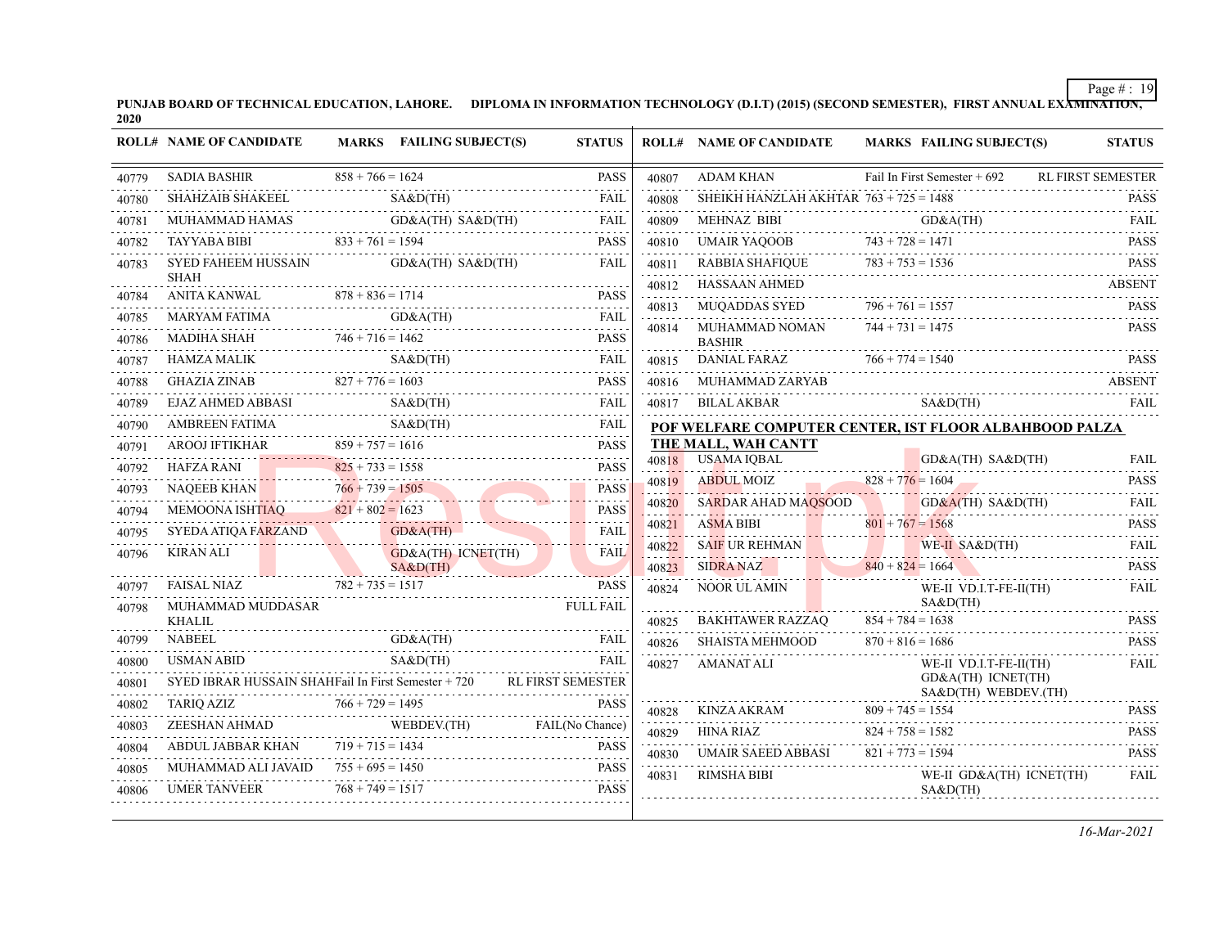PUNJAB BOARD OF TECHNICAL EDUCATION, LAHORE. DIPLOMA IN INFORMATION TECHNOLOGY (D.I.T) (2015) (SECOND SEMESTER), FIRST ANNUAL EXA<del>MINATION,</del><br>2020

|                | <b>ROLL# NAME OF CANDIDATE</b>                                                                                                                                                                                                                                                                                                                                                                                                                                                           |                    | <b>MARKS</b> FAILING SUBJECT(S) | <b>STATUS</b>    |            | <b>ROLL# NAME OF CANDIDATE</b>                                                                                                                                                                                                                                                                                                                                                                                                               | <b>MARKS FAILING SUBJECT(S)</b> | <b>STATUS</b>                                  |
|----------------|------------------------------------------------------------------------------------------------------------------------------------------------------------------------------------------------------------------------------------------------------------------------------------------------------------------------------------------------------------------------------------------------------------------------------------------------------------------------------------------|--------------------|---------------------------------|------------------|------------|----------------------------------------------------------------------------------------------------------------------------------------------------------------------------------------------------------------------------------------------------------------------------------------------------------------------------------------------------------------------------------------------------------------------------------------------|---------------------------------|------------------------------------------------|
|                |                                                                                                                                                                                                                                                                                                                                                                                                                                                                                          |                    |                                 |                  | 40807      | <b>ADAM KHAN</b>                                                                                                                                                                                                                                                                                                                                                                                                                             |                                 | Fail In First Semester + 692 RL FIRST SEMESTER |
| 40780          | $\texttt{SADIA BASHIR} \texttt{BASHAR} \texttt{B} \texttt{S4} + 766 = 1624 \texttt{PASS} \texttt{S4} + 766 = 1624 \texttt{PASS} \texttt{S4} + 766 = 1624 \texttt{PASS} \texttt{S4} + 766 = 1624 \texttt{PASS} \texttt{S4} + 766 = 1624 \texttt{PASS} \texttt{S4} + 766 = 1624 \texttt{PASS} \texttt{S4} + 766 = 1624 \texttt{PASS} \texttt{S4} + 766 = 1624 \text$                                                                                                                       |                    |                                 |                  | 40808      | SHEIKH HANZLAH AKHTAR $763 + 725 = 1488$                                                                                                                                                                                                                                                                                                                                                                                                     |                                 |                                                |
| 40781          | $\begin{tabular}{ll} MUHAMMAD HAMAS & \multicolumn{3}{l} \textbf{GD&A(TH) SABD(TH)} & \multicolumn{3}{l} \textbf{FAIL} \\ \multicolumn{3}{l}{\textbf{PQ}} & \multicolumn{3}{l}{\textbf{FAL}} \\ \multicolumn{3}{l}{\textbf{PQ}} & \multicolumn{3}{l}{\textbf{FAL}} \\ \multicolumn{3}{l}{\textbf{PQ}} & \multicolumn{3}{l}{\textbf{PQ}} \\ \multicolumn{3}{l}{\textbf{PQ}} & \multicolumn{3}{l}{\textbf{FAL}} \\ \multicolumn{3}{l}{\textbf{PQ}} & \multicolumn{3$                       |                    |                                 |                  | 40809<br>. | $\begin{tabular}{llllll} \multicolumn{2}{l} \textbf{MEHMAZ BIBI} & \multicolumn{2}{l} \textbf{GO&A(TH)} & \multicolumn{2}{l} \textbf{FAIL} \\ \multicolumn{2}{l} \textbf{UMAIR YAQOOB} & \multicolumn{2}{l} \textbf{743 + 728 = 1471} & \multicolumn{2}{l} \textbf{PASS} \\ \multicolumn{2}{l} \textbf{RABBIA SHAFIQUE} & \multicolumn{2}{l} \textbf{783 + 753 = 1536} & \multicolumn{2}{l} \textbf{PASS} \\ \multicolumn{2}{l} \textbf{RAB$ |                                 |                                                |
| 40782          | TAYYABA BIBI $833 + 761 = 1594$ PASS                                                                                                                                                                                                                                                                                                                                                                                                                                                     |                    |                                 |                  | 40810<br>. |                                                                                                                                                                                                                                                                                                                                                                                                                                              |                                 |                                                |
| 40783          | SYED FAHEEM HUSSAIN GD&A(TH) SA&D(TH)                                                                                                                                                                                                                                                                                                                                                                                                                                                    |                    |                                 | FAIL             | 40811<br>. |                                                                                                                                                                                                                                                                                                                                                                                                                                              |                                 |                                                |
|                | <b>SHAH</b>                                                                                                                                                                                                                                                                                                                                                                                                                                                                              |                    |                                 |                  | 40812      | HASSAAN AHMED                                                                                                                                                                                                                                                                                                                                                                                                                                |                                 | ABSENT                                         |
| 40784          | ANITA KANWAL $878 + 836 = 1714$ PASS                                                                                                                                                                                                                                                                                                                                                                                                                                                     |                    |                                 | FAIL             | 40813      | MUQADDAS SYED $796 + 761 = 1557$                                                                                                                                                                                                                                                                                                                                                                                                             |                                 | <b>PASS</b><br>$796 + 761 = 1557$ PASS         |
| 40785<br>40786 | MARYAM FATIMA GD&A(TH) FAIL GD.                                                                                                                                                                                                                                                                                                                                                                                                                                                          |                    |                                 |                  | 40814      | MUHAMMAD NOMAN $744 + 731 = 1475$                                                                                                                                                                                                                                                                                                                                                                                                            |                                 | <b>PASS</b>                                    |
| 40787          | MADIHA SHAH 746 + 716 = 1462 PASS                                                                                                                                                                                                                                                                                                                                                                                                                                                        |                    |                                 |                  |            | <b>BASHIR</b>                                                                                                                                                                                                                                                                                                                                                                                                                                |                                 |                                                |
| 40788          | HAMZA MALIK SA&D(TH) FAIL SARAGES                                                                                                                                                                                                                                                                                                                                                                                                                                                        |                    |                                 |                  | .          | 40815 DANIAL FARAZ $766 + 774 = 1540$ PASS                                                                                                                                                                                                                                                                                                                                                                                                   |                                 |                                                |
| 40789          | $\begin{tabular}{ll} \multicolumn{2}{c}{GHAZIA ZINAB} & & 827 + 776 = 1603 & \multicolumn{2}{c}{PASS} \\ \multicolumn{2}{c}{EIAZ AHMED ABBASI} & & SA&D(TH) & \multicolumn{2}{c}{FAIL} \\ \multicolumn{2}{c}{HIAL} & & & \\ \multicolumn{2}{c}{PAZI} & & & \\ \multicolumn{2}{c}{PAIL} & & & \\ \multicolumn{2}{c}{PAIL} & & & \\ \multicolumn{2}{c}{PAIL} & & & \\ \multicolumn{2}{c}{PAIL} & & & \\ \multicolumn{2}{c}{PAIL} & & & \\ \multicolumn{2}{c$                               |                    |                                 |                  |            | 40816 MUHAMMAD ZARYAB ABSENT<br>40817 BILALAKBAR SA&D(TH)                                                                                                                                                                                                                                                                                                                                                                                    |                                 | FAIL                                           |
| 40790          |                                                                                                                                                                                                                                                                                                                                                                                                                                                                                          |                    |                                 |                  |            | POF WELFARE COMPUTER CENTER, IST FLOOR ALBAHBOOD PALZA                                                                                                                                                                                                                                                                                                                                                                                       |                                 |                                                |
| 40791          | AMBREEN FATIMA<br>AROOJ IFTIKHAR 859 + 757 = 1616 PASS<br>HAFZA RANI 825 + 733 = 1558 PASS                                                                                                                                                                                                                                                                                                                                                                                               |                    |                                 |                  |            | THE MALL, WAH CANTT                                                                                                                                                                                                                                                                                                                                                                                                                          |                                 |                                                |
| 40792          |                                                                                                                                                                                                                                                                                                                                                                                                                                                                                          |                    |                                 |                  |            | 40818 USAMA IQBAL                                                                                                                                                                                                                                                                                                                                                                                                                            | GD&A(TH) SA&D(TH)               | GD&A(TH) SA&D(TH) FAIL                         |
| 40793          |                                                                                                                                                                                                                                                                                                                                                                                                                                                                                          |                    |                                 |                  |            | 40819 ABDUL MOIZ 828 + 776 = 1604 PASS                                                                                                                                                                                                                                                                                                                                                                                                       |                                 |                                                |
| 40794          | NAQEEB KHAN $766 + 739 = 1505$ PASS<br>MEMOONA ISHTIAQ $821 + 802 = 1623$ PASS                                                                                                                                                                                                                                                                                                                                                                                                           |                    |                                 |                  |            | 40820 SARDAR AHAD MAQSOOD GD&A(TH) SA&D(TH) FAIL                                                                                                                                                                                                                                                                                                                                                                                             |                                 |                                                |
| 40795          | GDRA (TH)                                                                                                                                                                                                                                                                                                                                                                                                                                                                                |                    |                                 | FAIL             | 40821      | <b>ASMA BIBI</b><br>ASMA BIBI $801 + 767 = 1568$                                                                                                                                                                                                                                                                                                                                                                                             |                                 | <b>PASS</b>                                    |
| 40796          |                                                                                                                                                                                                                                                                                                                                                                                                                                                                                          |                    |                                 | <b>FAIL</b>      |            | 40822 SAIF UR REHMAN WE-II SA&D(TH) FAIL                                                                                                                                                                                                                                                                                                                                                                                                     |                                 |                                                |
|                | KIRAN ALI GD&A(TH) ICNET(TH) FAIL SA&D(TH) FAISAL NIAZ 782 + 735 = 1517 PASS                                                                                                                                                                                                                                                                                                                                                                                                             |                    |                                 |                  |            | 40823 SIDRA NAZ 840 + 824 = 1664 PASS                                                                                                                                                                                                                                                                                                                                                                                                        |                                 |                                                |
| 40797          |                                                                                                                                                                                                                                                                                                                                                                                                                                                                                          |                    | NIAZ $782 + 735 = 1517$ PASS    |                  |            | $\begin{tabular}{c c c} \hline 40824 & NOOR ULAMIN & \multicolumn{2}{c}{WE-II} VD.I.T-FE-II(TH) & \multicolumn{2}{c}{FAIL} \\ \hline & SA&D(TH) & \\ \hline 40825 & BAKHTAWER RAZZAQ & 854 + 784 = 1638 & \multicolumn{2}{c}{PASS} \\ \hline & 40826 & SHAISTA MEHMOOD & 870 + 816 = 1686 & \multicolumn{2}{c}{PASS} \\ \hline \end{tabular}$                                                                                                |                                 |                                                |
| 40798          | MUHAMMAD MUDDASAR<br><b>KHALIL</b>                                                                                                                                                                                                                                                                                                                                                                                                                                                       |                    |                                 | <b>FULL FAIL</b> |            |                                                                                                                                                                                                                                                                                                                                                                                                                                              |                                 |                                                |
| 40799          | <b>NABEEL</b>                                                                                                                                                                                                                                                                                                                                                                                                                                                                            |                    |                                 |                  |            |                                                                                                                                                                                                                                                                                                                                                                                                                                              |                                 |                                                |
| 40800          | $\begin{tabular}{ll} \multicolumn{2}{c}{\textbf{NABEEL}} & \multicolumn{2}{c}{\textbf{GD&A(TH)}} & \multicolumn{2}{c}{\textbf{FAL}} \\ \multicolumn{2}{c}{\textbf{NABEEL}} & \multicolumn{2}{c}{\textbf{GD&A(TH)}} & \multicolumn{2}{c}{\textbf{FAL}} \\ \multicolumn{2}{c}{\textbf{USMAN ABD}} & \multicolumn{2}{c}{\textbf{SAGD(TH)}} & \multicolumn{2}{c}{\textbf{FAL}} \\ \multicolumn{2}{c}{\textbf{SMAN ABID}} & \multicolumn{2}{c}{\textbf{SAL}} \\ \multic$<br><b>USMAN ABID</b> |                    |                                 |                  | 40827      | AMANAT ALI                                                                                                                                                                                                                                                                                                                                                                                                                                   | WE-II VD.I.T-FE-II(TH)          | <b>FAIL</b>                                    |
| 40801          | SYED IBRAR HUSSAIN SHAHFail In First Semester + 720 RL FIRST SEMESTER                                                                                                                                                                                                                                                                                                                                                                                                                    |                    |                                 |                  |            |                                                                                                                                                                                                                                                                                                                                                                                                                                              | GD&A(TH) ICNET(TH)              |                                                |
| 40802          | TARIQ AZIZ $766 + 729 = 1495$ PASS                                                                                                                                                                                                                                                                                                                                                                                                                                                       |                    |                                 | PASS             |            |                                                                                                                                                                                                                                                                                                                                                                                                                                              |                                 |                                                |
| 40803          | THE TRAIL (No Chance) WEBDEV. THE TRAIL (No Chance)                                                                                                                                                                                                                                                                                                                                                                                                                                      |                    |                                 |                  |            |                                                                                                                                                                                                                                                                                                                                                                                                                                              |                                 |                                                |
| 40804          | ABDUL JABBAR KHAN $719 + 715 = 1434$                                                                                                                                                                                                                                                                                                                                                                                                                                                     |                    |                                 | <b>PASS</b>      |            | $\begin{tabular}{c c c c c} \hline 40829 & HINA RIAZ & 824 + 758 = 1582 & \text{PASS} \\ \hline 40830 & UMAIR SAEED ABBASI & 821 + 773 = 1594 & \text{PASS} \\ \hline \end{tabular}$                                                                                                                                                                                                                                                         |                                 |                                                |
| 40805          | MUHAMMAD ALI JAVAID 755 + 695 = 1450 PASS                                                                                                                                                                                                                                                                                                                                                                                                                                                |                    |                                 |                  | 40831      | RIMSHA BIBI                                                                                                                                                                                                                                                                                                                                                                                                                                  | WE-II GD&A(TH) ICNET(TH)        | <b>FAIL</b>                                    |
| 40806          | UMER TANVEER 768 + 749 = 1517 PASS<br><b>UMER TANVEER</b>                                                                                                                                                                                                                                                                                                                                                                                                                                | $768 + 749 = 1517$ |                                 | <b>PASS</b>      |            |                                                                                                                                                                                                                                                                                                                                                                                                                                              | SAB(TH)                         |                                                |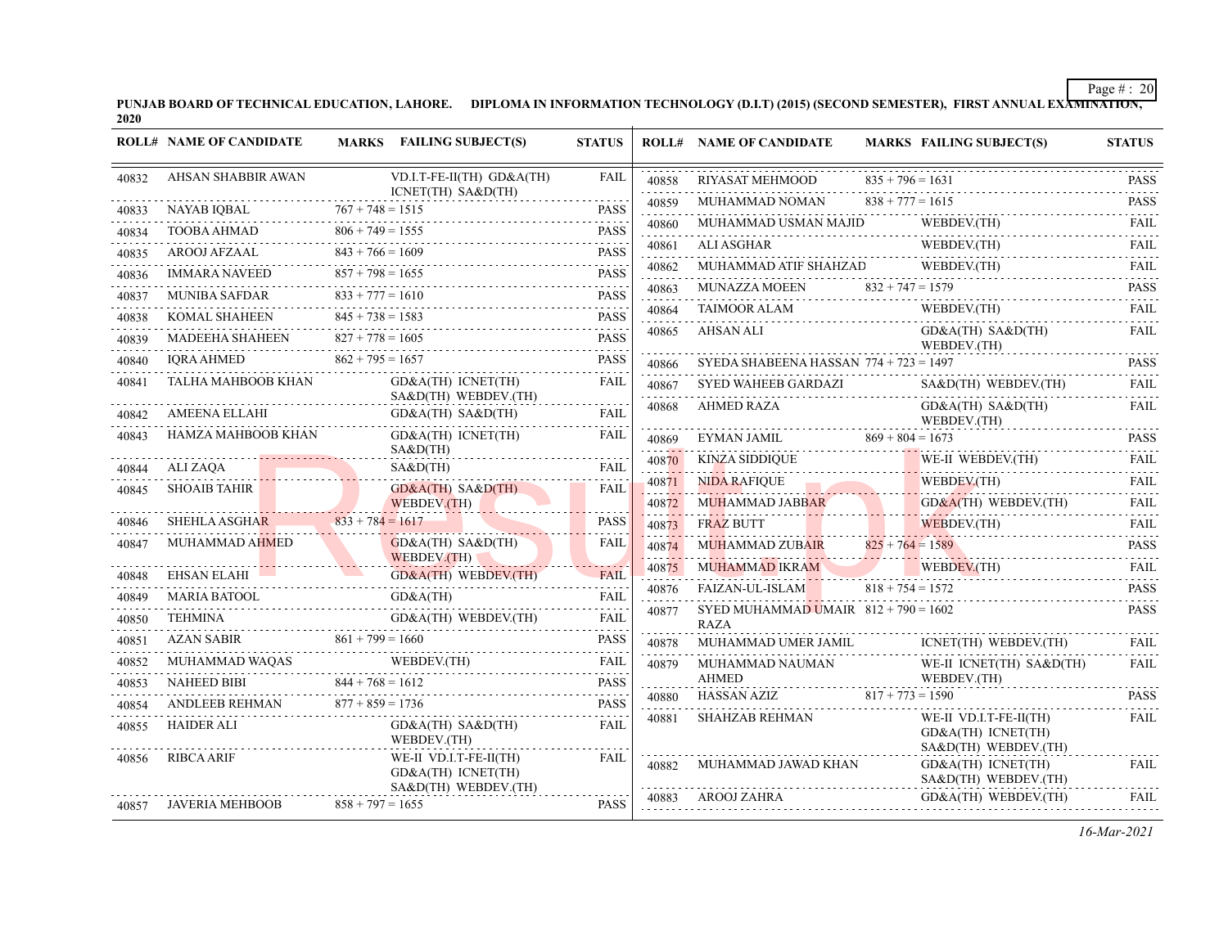PUNJAB BOARD OF TECHNICAL EDUCATION, LAHORE. DIPLOMA IN INFORMATION TECHNOLOGY (D.I.T) (2015) (SECOND SEMESTER), FIRST ANNUAL EXA<del>MINATION,</del><br>2020

|                | <b>ROLL# NAME OF CANDIDATE</b> |                         | MARKS FAILING SUBJECT(S)                                             | <b>STATUS</b>                                                                                                                                                       |            | <b>ROLL# NAME OF CANDIDATE</b>                        |                    | <b>MARKS FAILING SUBJECT(S)</b>                                   | <b>STATUS</b>                                                                                                                                                       |
|----------------|--------------------------------|-------------------------|----------------------------------------------------------------------|---------------------------------------------------------------------------------------------------------------------------------------------------------------------|------------|-------------------------------------------------------|--------------------|-------------------------------------------------------------------|---------------------------------------------------------------------------------------------------------------------------------------------------------------------|
| 40832          | AHSAN SHABBIR AWAN             |                         | VD.I.T-FE-II(TH) GD&A(TH)                                            | <b>FAIL</b>                                                                                                                                                         | 40858      | <b>RIYASAT MEHMOOD</b>                                | $835 + 796 = 1631$ |                                                                   | <b>PASS</b>                                                                                                                                                         |
| 40833          | NAYAB IQBAL                    | $767 + 748 = 1515$      | ICNET(TH) SA&D(TH)                                                   | <b>PASS</b>                                                                                                                                                         | .<br>40859 | MUHAMMAD NOMAN                                        | $838 + 777 = 1615$ |                                                                   | .<br><b>PASS</b><br>.                                                                                                                                               |
| 40834          | TOOBA AHMAD                    | $806 + 749 = 1555$      |                                                                      | <b>PASS</b>                                                                                                                                                         | 40860      | MUHAMMAD USMAN MAJID                                  |                    | WEBDEV.(TH)                                                       | <b>FAIL</b>                                                                                                                                                         |
| 40835          | AROOJ AFZAAL                   | $843 + 766 = 1609$      |                                                                      | .<br><b>PASS</b>                                                                                                                                                    | 40861<br>. | <b>ALI ASGHAR</b>                                     |                    | WEBDEV.(TH)<br><b>K</b><br>WEBDEV.(TH)                            | <b>FAIL</b><br>.                                                                                                                                                    |
| 40836          | <b>IMMARA NAVEED</b>           | $857 + 798 = 1655$      |                                                                      | $\frac{1}{2} \left( \frac{1}{2} \right) \left( \frac{1}{2} \right) \left( \frac{1}{2} \right) \left( \frac{1}{2} \right) \left( \frac{1}{2} \right)$<br><b>PASS</b> | 40862      | MUHAMMAD ATIF SHAHZAD                                 |                    | WEBDEV.(TH)                                                       | FAIL<br>$\omega$ is a set of                                                                                                                                        |
| 40837          | <b>MUNIBA SAFDAR</b>           | .<br>$833 + 777 = 1610$ |                                                                      | <b>PASS</b>                                                                                                                                                         | 40863      |                                                       |                    | MUNAZZA MOEEN $832 + 747 = 1579$                                  | <b>PASS</b>                                                                                                                                                         |
| 40838          | <b>KOMAL SHAHEEN</b>           | $845 + 738 = 1583$      |                                                                      | .<br><b>PASS</b>                                                                                                                                                    | 40864      | <b>TAIMOOR ALAM</b>                                   |                    | WEBDEV.(TH)                                                       | <b>FAIL</b><br>$\frac{1}{2} \left( \frac{1}{2} \right) \left( \frac{1}{2} \right) \left( \frac{1}{2} \right) \left( \frac{1}{2} \right) \left( \frac{1}{2} \right)$ |
| 40839          | <b>MADEEHA SHAHEEN</b>         | .<br>$827 + 778 = 1605$ |                                                                      | <b>PASS</b>                                                                                                                                                         | 40865      | AHSAN ALI                                             |                    | $GD&A(TH)$ $SA&D(TH)$<br>WEBDEV.(TH)                              | <b>FAIL</b>                                                                                                                                                         |
| 40840          | <b>IORA AHMED</b>              | $862 + 795 = 1657$      |                                                                      | <b>PASS</b>                                                                                                                                                         | 40866      | SYEDA SHABEENA HASSAN $774 + 723 = 1497$              |                    |                                                                   | <b>PASS</b>                                                                                                                                                         |
| 40841          | TALHA MAHBOOB KHAN             |                         | GD&A(TH) ICNET(TH)                                                   | <b>FAIL</b>                                                                                                                                                         | 40867      | SYED WAHEEB GARDAZI                                   |                    | $S A \& D(TH)$ WEBDEV.(TH)<br>the contract of the contract of the | .<br><b>FAIL</b>                                                                                                                                                    |
| 40842          | <b>AMEENA ELLAHI</b>           |                         | SA&D(TH) WEBDEV.(TH)<br>$GD&A(TH)$ $SA&D(TH)$                        | <b>FAIL</b>                                                                                                                                                         | 40868      | AHMED RAZA                                            |                    | $GD&A(TH)$ $SA&D(TH)$<br>WEBDEV.(TH)                              | <b>FAIL</b>                                                                                                                                                         |
| 40843          | HAMZA MAHBOOB KHAN             |                         | $GD&A(TH)$ $ICNET(TH)$                                               | FAIL                                                                                                                                                                | 40869      | EYMAN JAMIL $869 + 804 = 1673$                        |                    |                                                                   | <b>PASS</b>                                                                                                                                                         |
|                | ALI ZAQA                       |                         | S A & D (TH)<br>$S A \& D(TH)$                                       | FAIL                                                                                                                                                                | 40870      | KINZA SIDDIQUE                                        |                    | WE-II WEBDEV.(TH)                                                 | <b>FAIL</b>                                                                                                                                                         |
| 40844<br>40845 | <b>SHOAIB TAHIR</b>            |                         | $GD&A(TH)$ $SA&D(TH)$                                                | FAIL                                                                                                                                                                | 40871      | <b>NIDA RAFIQUE</b>                                   |                    | WEBDEV.(TH)                                                       | .<br><b>FAIL</b>                                                                                                                                                    |
|                |                                |                         | WEBDEV.(TH)                                                          |                                                                                                                                                                     | 40872      | <b>MUHAMMAD JABBAR</b>                                |                    | $GD&A(TH)$ WEBDEV.(TH)                                            | FAIL                                                                                                                                                                |
| 40846          | SHEHLA ASGHAR                  | $833 + 784 = 1617$      |                                                                      | <b>PASS</b>                                                                                                                                                         | 40873      | <b>FRAZ BUTT</b>                                      |                    | WEBDEV.(TH)<br><u>. A William</u>                                 | <b>FAIL</b>                                                                                                                                                         |
| 40847          | MUHAMMAD AHMED                 |                         | $GD&A(TH)$ $SA&D(TH)$<br>WEBDEV.(TH)                                 | FAIL                                                                                                                                                                | 40874<br>. | MUHAMMAD ZUBAIR                                       | $825 + 764 = 1589$ |                                                                   | $\omega$ is a single<br><b>PASS</b>                                                                                                                                 |
| 40848          | EHSAN ELAHI                    |                         | GD&A(TH) WEBDEV.(TH)                                                 | <b>FAIL</b>                                                                                                                                                         | 40875      | MUHAMMAD IKRAM                                        |                    | WEBDEV.(TH)                                                       | <b>FAIL</b><br>.                                                                                                                                                    |
| 40849          | <b>MARIA BATOOL</b>            |                         | the contract of the contract of the contract of<br>GD&A(TH)          | <b>FAIL</b>                                                                                                                                                         | 40876      | FAIZAN-UL-ISLAM                                       | $818 + 754 = 1572$ |                                                                   | <b>PASS</b>                                                                                                                                                         |
| 40850          | TEHMINA                        |                         | GD&A(TH) WEBDEV.(TH)                                                 | FAIL                                                                                                                                                                | 40877      | SYED MUHAMMAD UMAIR $812 + 790 = 1602$<br><b>RAZA</b> |                    |                                                                   | <b>PASS</b>                                                                                                                                                         |
| 40851          | <b>AZAN SABIR</b>              | $861 + 799 = 1660$      |                                                                      | <b>PASS</b>                                                                                                                                                         | 40878      | MUHAMMAD UMER JAMIL                                   |                    | ICNET(TH) WEBDEV.(TH)                                             | FAIL                                                                                                                                                                |
| 40852          | MUHAMMAD WAQAS                 |                         | WEBDEV.(TH)<br>MUHAMMAD WAQAS WEBDEV.(TH)                            | FAIL<br>.                                                                                                                                                           | 40879      | MUHAMMAD NAUMAN<br><b>AHMED</b>                       |                    | WE-II ICNET(TH) SA&D(TH)<br>WEBDEV.(TH)                           | .<br><b>FAIL</b>                                                                                                                                                    |
| 40853          | NAHEED BIBI                    | $844 + 768 = 1612$      |                                                                      | <b>PASS</b>                                                                                                                                                         | 40880      | HASSAN AZIZ                                           | $817 + 773 = 1590$ |                                                                   | <b>PASS</b>                                                                                                                                                         |
| 40854          | ANDLEEB REHMAN                 | $877 + 859 = 1736$      |                                                                      | <b>PASS</b>                                                                                                                                                         | 40881      | <b>SHAHZAB REHMAN</b>                                 |                    | WE-II VD.I.T-FE-II(TH)                                            | <b>FAIL</b>                                                                                                                                                         |
| 40855          | <b>HAIDER ALI</b>              |                         | $GD&A(TH)$ $SA&D(TH)$<br>WEBDEV.(TH)                                 | <b>FAIL</b>                                                                                                                                                         |            |                                                       |                    | GD&A(TH) ICNET(TH)<br>SA&D(TH) WEBDEV.(TH)                        |                                                                                                                                                                     |
| 40856          | <b>RIBCA ARIF</b>              |                         | WE-II VD.I.T-FE-II(TH)<br>GD&A(TH) ICNET(TH)<br>SA&D(TH) WEBDEV.(TH) | FAIL                                                                                                                                                                | 40882      | MUHAMMAD JAWAD KHAN                                   |                    | GD&A(TH) ICNET(TH)<br>SA&D(TH) WEBDEV.(TH)                        | <b>FAIL</b>                                                                                                                                                         |
| 40857          | JAVERIA MEHBOOB                | $858 + 797 = 1655$      |                                                                      | <b>PASS</b>                                                                                                                                                         | 40883      | AROOJ ZAHRA                                           |                    | GD&A(TH) WEBDEV.(TH)                                              | <b>FAIL</b>                                                                                                                                                         |